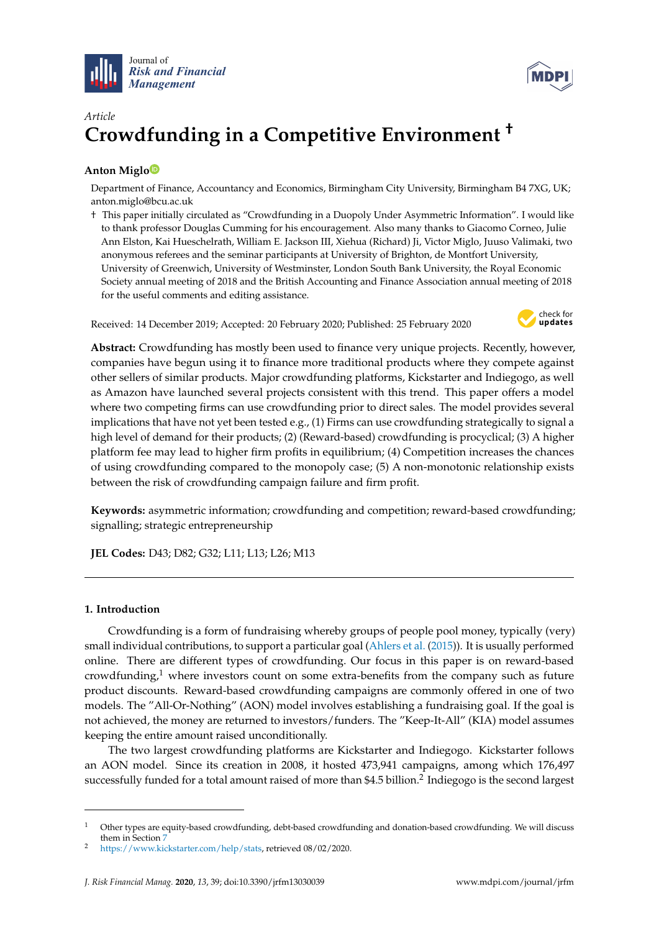



# *Article* **Crowdfunding in a Competitive Environment †**

# **Anton Migl[o](https://orcid.org/0000-0002-9237-5293)**

Department of Finance, Accountancy and Economics, Birmingham City University, Birmingham B4 7XG, UK; anton.miglo@bcu.ac.uk

† This paper initially circulated as "Crowdfunding in a Duopoly Under Asymmetric Information". I would like to thank professor Douglas Cumming for his encouragement. Also many thanks to Giacomo Corneo, Julie Ann Elston, Kai Hueschelrath, William E. Jackson III, Xiehua (Richard) Ji, Victor Miglo, Juuso Valimaki, two anonymous referees and the seminar participants at University of Brighton, de Montfort University, University of Greenwich, University of Westminster, London South Bank University, the Royal Economic Society annual meeting of 2018 and the British Accounting and Finance Association annual meeting of 2018 for the useful comments and editing assistance.

Received: 14 December 2019; Accepted: 20 February 2020; Published: 25 February 2020



**Abstract:** Crowdfunding has mostly been used to finance very unique projects. Recently, however, companies have begun using it to finance more traditional products where they compete against other sellers of similar products. Major crowdfunding platforms, Kickstarter and Indiegogo, as well as Amazon have launched several projects consistent with this trend. This paper offers a model where two competing firms can use crowdfunding prior to direct sales. The model provides several implications that have not yet been tested e.g., (1) Firms can use crowdfunding strategically to signal a high level of demand for their products; (2) (Reward-based) crowdfunding is procyclical; (3) A higher platform fee may lead to higher firm profits in equilibrium; (4) Competition increases the chances of using crowdfunding compared to the monopoly case; (5) A non-monotonic relationship exists between the risk of crowdfunding campaign failure and firm profit.

**Keywords:** asymmetric information; crowdfunding and competition; reward-based crowdfunding; signalling; strategic entrepreneurship

**JEL Codes:** D43; D82; G32; L11; L13; L26; M13

# **1. Introduction**

Crowdfunding is a form of fundraising whereby groups of people pool money, typically (very) small individual contributions, to support a particular goal [\(Ahlers et al.](#page-34-0) [\(2015\)](#page-34-0)). It is usually performed online. There are different types of crowdfunding. Our focus in this paper is on reward-based crowdfunding, $1$  where investors count on some extra-benefits from the company such as future product discounts. Reward-based crowdfunding campaigns are commonly offered in one of two models. The "All-Or-Nothing" (AON) model involves establishing a fundraising goal. If the goal is not achieved, the money are returned to investors/funders. The "Keep-It-All" (KIA) model assumes keeping the entire amount raised unconditionally.

The two largest crowdfunding platforms are Kickstarter and Indiegogo. Kickstarter follows an AON model. Since its creation in 2008, it hosted 473,941 campaigns, among which 176,497 successfully funded for a total amount raised of more than \$4.5 billion. $^2$  Indiegogo is the second largest

<sup>1</sup> Other types are equity-based crowdfunding, debt-based crowdfunding and donation-based crowdfunding. We will discuss them in Section [7](#page-15-0)

<sup>2</sup> [https://www.kickstarter.com/help/stats,](https://www.kickstarter.com/help/stats) retrieved 08/02/2020.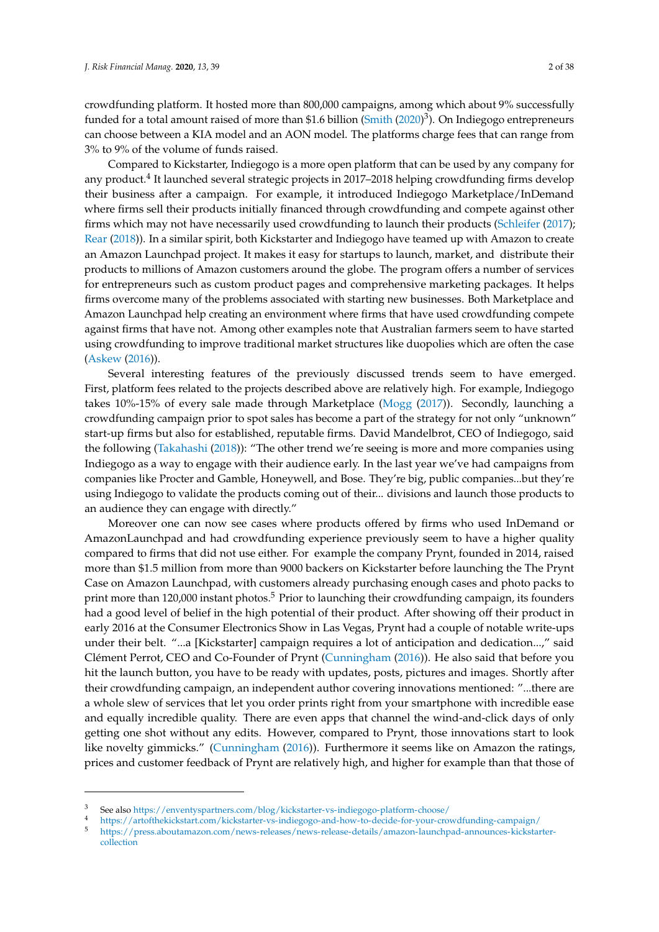crowdfunding platform. It hosted more than 800,000 campaigns, among which about 9% successfully funded for a total amount raised of more than \$1.6 billion [\(Smith](#page-37-0) [\(2020\)](#page-37-0)<sup>3</sup>). On Indiegogo entrepreneurs can choose between a KIA model and an AON model. The platforms charge fees that can range from 3% to 9% of the volume of funds raised.

Compared to Kickstarter, Indiegogo is a more open platform that can be used by any company for any product.<sup>4</sup> It launched several strategic projects in 2017–2018 helping crowdfunding firms develop their business after a campaign. For example, it introduced Indiegogo Marketplace/InDemand where firms sell their products initially financed through crowdfunding and compete against other firms which may not have necessarily used crowdfunding to launch their products [\(Schleifer](#page-37-1) [\(2017\)](#page-37-1); [Rear](#page-37-2) [\(2018\)](#page-37-2)). In a similar spirit, both Kickstarter and Indiegogo have teamed up with Amazon to create an Amazon Launchpad project. It makes it easy for startups to launch, market, and distribute their products to millions of Amazon customers around the globe. The program offers a number of services for entrepreneurs such as custom product pages and comprehensive marketing packages. It helps firms overcome many of the problems associated with starting new businesses. Both Marketplace and Amazon Launchpad help creating an environment where firms that have used crowdfunding compete against firms that have not. Among other examples note that Australian farmers seem to have started using crowdfunding to improve traditional market structures like duopolies which are often the case [\(Askew](#page-34-1) [\(2016\)](#page-34-1)).

Several interesting features of the previously discussed trends seem to have emerged. First, platform fees related to the projects described above are relatively high. For example, Indiegogo takes 10%-15% of every sale made through Marketplace [\(Mogg](#page-36-0) [\(2017\)](#page-36-0)). Secondly, launching a crowdfunding campaign prior to spot sales has become a part of the strategy for not only "unknown" start-up firms but also for established, reputable firms. David Mandelbrot, CEO of Indiegogo, said the following [\(Takahashi](#page-37-3) [\(2018\)](#page-37-3)): "The other trend we're seeing is more and more companies using Indiegogo as a way to engage with their audience early. In the last year we've had campaigns from companies like Procter and Gamble, Honeywell, and Bose. They're big, public companies...but they're using Indiegogo to validate the products coming out of their... divisions and launch those products to an audience they can engage with directly."

Moreover one can now see cases where products offered by firms who used InDemand or AmazonLaunchpad and had crowdfunding experience previously seem to have a higher quality compared to firms that did not use either. For example the company Prynt, founded in 2014, raised more than \$1.5 million from more than 9000 backers on Kickstarter before launching the The Prynt Case on Amazon Launchpad, with customers already purchasing enough cases and photo packs to print more than 120,000 instant photos.<sup>5</sup> Prior to launching their crowdfunding campaign, its founders had a good level of belief in the high potential of their product. After showing off their product in early 2016 at the Consumer Electronics Show in Las Vegas, Prynt had a couple of notable write-ups under their belt. "...a [Kickstarter] campaign requires a lot of anticipation and dedication...," said Clément Perrot, CEO and Co-Founder of Prynt [\(Cunningham](#page-35-0) [\(2016\)](#page-35-0)). He also said that before you hit the launch button, you have to be ready with updates, posts, pictures and images. Shortly after their crowdfunding campaign, an independent author covering innovations mentioned: "...there are a whole slew of services that let you order prints right from your smartphone with incredible ease and equally incredible quality. There are even apps that channel the wind-and-click days of only getting one shot without any edits. However, compared to Prynt, those innovations start to look like novelty gimmicks." [\(Cunningham](#page-35-0) [\(2016\)](#page-35-0)). Furthermore it seems like on Amazon the ratings, prices and customer feedback of Prynt are relatively high, and higher for example than that those of

<sup>3</sup> See also <https://enventyspartners.com/blog/kickstarter-vs-indiegogo-platform-choose/>

<sup>4</sup> <https://artofthekickstart.com/kickstarter-vs-indiegogo-and-how-to-decide-for-your-crowdfunding-campaign/>

<sup>5</sup> [https://press.aboutamazon.com/news-releases/news-release-details/amazon-launchpad-announces-kickstarter](https://press.aboutamazon.com/news-releases/news-release-details/amazon-launchpad-announces-kickstarter-collection)[collection](https://press.aboutamazon.com/news-releases/news-release-details/amazon-launchpad-announces-kickstarter-collection)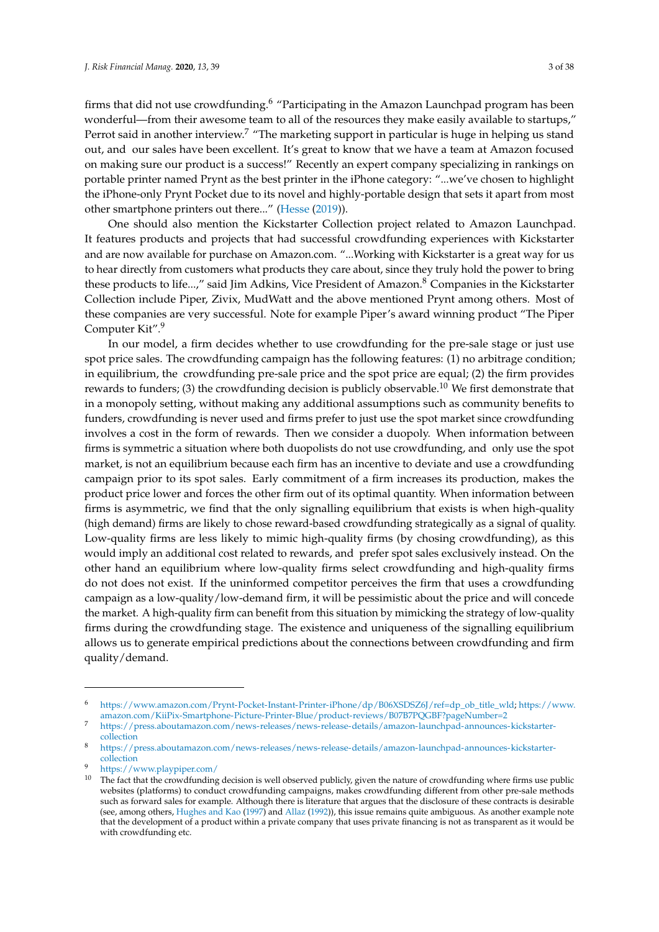firms that did not use crowdfunding.<sup>6</sup> "Participating in the Amazon Launchpad program has been wonderful—from their awesome team to all of the resources they make easily available to startups," Perrot said in another interview.<sup>7</sup> "The marketing support in particular is huge in helping us stand out, and our sales have been excellent. It's great to know that we have a team at Amazon focused on making sure our product is a success!" Recently an expert company specializing in rankings on portable printer named Prynt as the best printer in the iPhone category: "...we've chosen to highlight the iPhone-only Prynt Pocket due to its novel and highly-portable design that sets it apart from most other smartphone printers out there..." [\(Hesse](#page-35-1) [\(2019\)](#page-35-1)).

One should also mention the Kickstarter Collection project related to Amazon Launchpad. It features products and projects that had successful crowdfunding experiences with Kickstarter and are now available for purchase on Amazon.com. "...Working with Kickstarter is a great way for us to hear directly from customers what products they care about, since they truly hold the power to bring these products to life...," said Jim Adkins, Vice President of Amazon.<sup>8</sup> Companies in the Kickstarter Collection include Piper, Zivix, MudWatt and the above mentioned Prynt among others. Most of these companies are very successful. Note for example Piper's award winning product "The Piper Computer Kit".<sup>9</sup>

In our model, a firm decides whether to use crowdfunding for the pre-sale stage or just use spot price sales. The crowdfunding campaign has the following features: (1) no arbitrage condition; in equilibrium, the crowdfunding pre-sale price and the spot price are equal; (2) the firm provides rewards to funders; (3) the crowdfunding decision is publicly observable.<sup>10</sup> We first demonstrate that in a monopoly setting, without making any additional assumptions such as community benefits to funders, crowdfunding is never used and firms prefer to just use the spot market since crowdfunding involves a cost in the form of rewards. Then we consider a duopoly. When information between firms is symmetric a situation where both duopolists do not use crowdfunding, and only use the spot market, is not an equilibrium because each firm has an incentive to deviate and use a crowdfunding campaign prior to its spot sales. Early commitment of a firm increases its production, makes the product price lower and forces the other firm out of its optimal quantity. When information between firms is asymmetric, we find that the only signalling equilibrium that exists is when high-quality (high demand) firms are likely to chose reward-based crowdfunding strategically as a signal of quality. Low-quality firms are less likely to mimic high-quality firms (by chosing crowdfunding), as this would imply an additional cost related to rewards, and prefer spot sales exclusively instead. On the other hand an equilibrium where low-quality firms select crowdfunding and high-quality firms do not does not exist. If the uninformed competitor perceives the firm that uses a crowdfunding campaign as a low-quality/low-demand firm, it will be pessimistic about the price and will concede the market. A high-quality firm can benefit from this situation by mimicking the strategy of low-quality firms during the crowdfunding stage. The existence and uniqueness of the signalling equilibrium allows us to generate empirical predictions about the connections between crowdfunding and firm quality/demand.

<sup>6</sup> [https://www.amazon.com/Prynt-Pocket-Instant-Printer-iPhone/dp/B06XSDSZ6J/ref=dp\\_ob\\_title\\_wld;](https://www.amazon.com/Prynt-Pocket-Instant-Printer-iPhone/dp/B06XSDSZ6J/ref=dp_ob_title_wld) [https://www.](https://www.amazon.com/KiiPix-Smartphone-Picture-Printer-Blue/product-reviews/B07B7PQGBF?pageNumber=2) [amazon.com/KiiPix-Smartphone-Picture-Printer-Blue/product-reviews/B07B7PQGBF?pageNumber=2](https://www.amazon.com/KiiPix-Smartphone-Picture-Printer-Blue/product-reviews/B07B7PQGBF?pageNumber=2)

<sup>7</sup> [https://press.aboutamazon.com/news-releases/news-release-details/amazon-launchpad-announces-kickstarter](https://press.aboutamazon.com/news-releases/news-release-details/amazon-launchpad-announces-kickstarter-collection)[collection](https://press.aboutamazon.com/news-releases/news-release-details/amazon-launchpad-announces-kickstarter-collection)

<sup>8</sup> [https://press.aboutamazon.com/news-releases/news-release-details/amazon-launchpad-announces-kickstarter](https://press.aboutamazon.com/news-releases/news-release-details/amazon-launchpad-announces-kickstarter-collection)[collection](https://press.aboutamazon.com/news-releases/news-release-details/amazon-launchpad-announces-kickstarter-collection)

<sup>9</sup> <https://www.playpiper.com/>

 $10$  The fact that the crowdfunding decision is well observed publicly, given the nature of crowdfunding where firms use public websites (platforms) to conduct crowdfunding campaigns, makes crowdfunding different from other pre-sale methods such as forward sales for example. Although there is literature that argues that the disclosure of these contracts is desirable (see, among others, [Hughes and Kao](#page-36-1) [\(1997\)](#page-36-1) and [Allaz](#page-34-2) [\(1992\)](#page-34-2)), this issue remains quite ambiguous. As another example note that the development of a product within a private company that uses private financing is not as transparent as it would be with crowdfunding etc.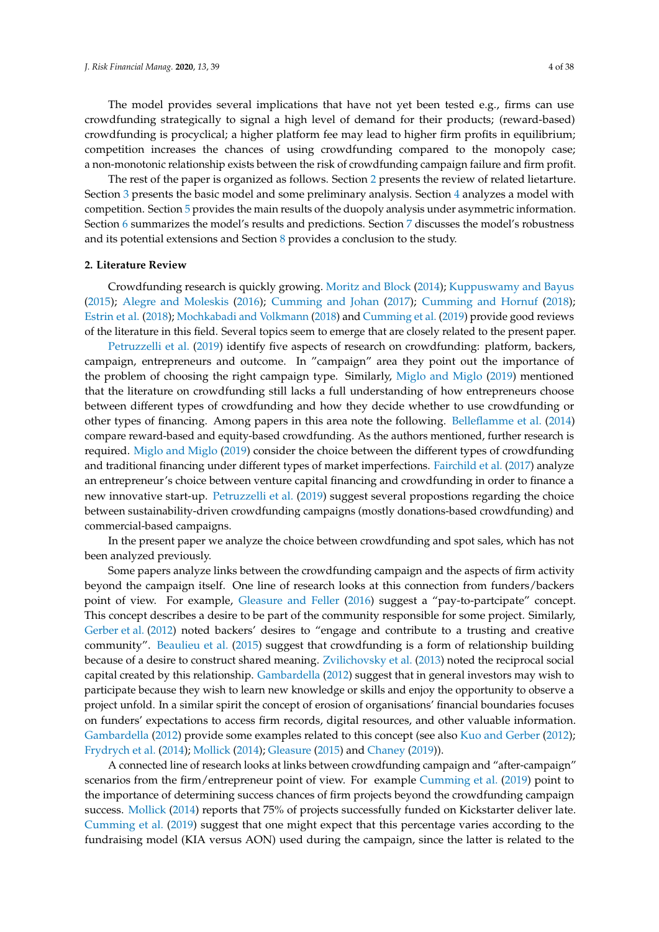The model provides several implications that have not yet been tested e.g., firms can use crowdfunding strategically to signal a high level of demand for their products; (reward-based) crowdfunding is procyclical; a higher platform fee may lead to higher firm profits in equilibrium; competition increases the chances of using crowdfunding compared to the monopoly case; a non-monotonic relationship exists between the risk of crowdfunding campaign failure and firm profit.

The rest of the paper is organized as follows. Section [2](#page-3-0) presents the review of related lietarture. Section [3](#page-5-0) presents the basic model and some preliminary analysis. Section [4](#page-7-0) analyzes a model with competition. Section [5](#page-10-0) provides the main results of the duopoly analysis under asymmetric information. Section [6](#page-14-0) summarizes the model's results and predictions. Section [7](#page-15-0) discusses the model's robustness and its potential extensions and Section [8](#page-25-0) provides a conclusion to the study.

#### <span id="page-3-0"></span>**2. Literature Review**

Crowdfunding research is quickly growing. [Moritz and Block](#page-36-2) [\(2014\)](#page-36-2); [Kuppuswamy and Bayus](#page-36-3) [\(2015\)](#page-36-3); [Alegre and Moleskis](#page-34-3) [\(2016\)](#page-34-3); [Cumming and Johan](#page-35-2) [\(2017\)](#page-35-2); [Cumming and Hornuf](#page-35-3) [\(2018\)](#page-35-3); [Estrin et al.](#page-35-4) [\(2018\)](#page-35-4); [Mochkabadi and Volkmann](#page-36-4) [\(2018\)](#page-36-4) and [Cumming et al.](#page-35-5) [\(2019\)](#page-35-5) provide good reviews of the literature in this field. Several topics seem to emerge that are closely related to the present paper.

[Petruzzelli et al.](#page-36-5) [\(2019\)](#page-36-5) identify five aspects of research on crowdfunding: platform, backers, campaign, entrepreneurs and outcome. In "campaign" area they point out the importance of the problem of choosing the right campaign type. Similarly, [Miglo and Miglo](#page-36-6) [\(2019\)](#page-36-6) mentioned that the literature on crowdfunding still lacks a full understanding of how entrepreneurs choose between different types of crowdfunding and how they decide whether to use crowdfunding or other types of financing. Among papers in this area note the following. [Belleflamme et al.](#page-34-4) [\(2014\)](#page-34-4) compare reward-based and equity-based crowdfunding. As the authors mentioned, further research is required. [Miglo and Miglo](#page-36-6) [\(2019\)](#page-36-6) consider the choice between the different types of crowdfunding and traditional financing under different types of market imperfections. [Fairchild et al.](#page-35-6) [\(2017\)](#page-35-6) analyze an entrepreneur's choice between venture capital financing and crowdfunding in order to finance a new innovative start-up. [Petruzzelli et al.](#page-36-5) [\(2019\)](#page-36-5) suggest several propostions regarding the choice between sustainability-driven crowdfunding campaigns (mostly donations-based crowdfunding) and commercial-based campaigns.

In the present paper we analyze the choice between crowdfunding and spot sales, which has not been analyzed previously.

Some papers analyze links between the crowdfunding campaign and the aspects of firm activity beyond the campaign itself. One line of research looks at this connection from funders/backers point of view. For example, [Gleasure and Feller](#page-35-7) [\(2016\)](#page-35-7) suggest a "pay-to-partcipate" concept. This concept describes a desire to be part of the community responsible for some project. Similarly, [Gerber et al.](#page-35-8) [\(2012\)](#page-35-8) noted backers' desires to "engage and contribute to a trusting and creative community". [Beaulieu et al.](#page-34-5) [\(2015\)](#page-34-5) suggest that crowdfunding is a form of relationship building because of a desire to construct shared meaning. [Zvilichovsky et al.](#page-37-4) [\(2013\)](#page-37-4) noted the reciprocal social capital created by this relationship. [Gambardella](#page-35-9) [\(2012\)](#page-35-9) suggest that in general investors may wish to participate because they wish to learn new knowledge or skills and enjoy the opportunity to observe a project unfold. In a similar spirit the concept of erosion of organisations' financial boundaries focuses on funders' expectations to access firm records, digital resources, and other valuable information. [Gambardella](#page-35-9) [\(2012\)](#page-35-9) provide some examples related to this concept (see also [Kuo and Gerber](#page-36-7) [\(2012\)](#page-36-7); [Frydrych et al.](#page-35-10) [\(2014\)](#page-35-10); [Mollick](#page-36-8) [\(2014\)](#page-36-8); [Gleasure](#page-35-11) [\(2015\)](#page-35-11) and [Chaney](#page-34-6) [\(2019\)](#page-34-6)).

A connected line of research looks at links between crowdfunding campaign and "after-campaign" scenarios from the firm/entrepreneur point of view. For example [Cumming et al.](#page-35-5) [\(2019\)](#page-35-5) point to the importance of determining success chances of firm projects beyond the crowdfunding campaign success. [Mollick](#page-36-8) [\(2014\)](#page-36-8) reports that 75% of projects successfully funded on Kickstarter deliver late. [Cumming et al.](#page-35-5) [\(2019\)](#page-35-5) suggest that one might expect that this percentage varies according to the fundraising model (KIA versus AON) used during the campaign, since the latter is related to the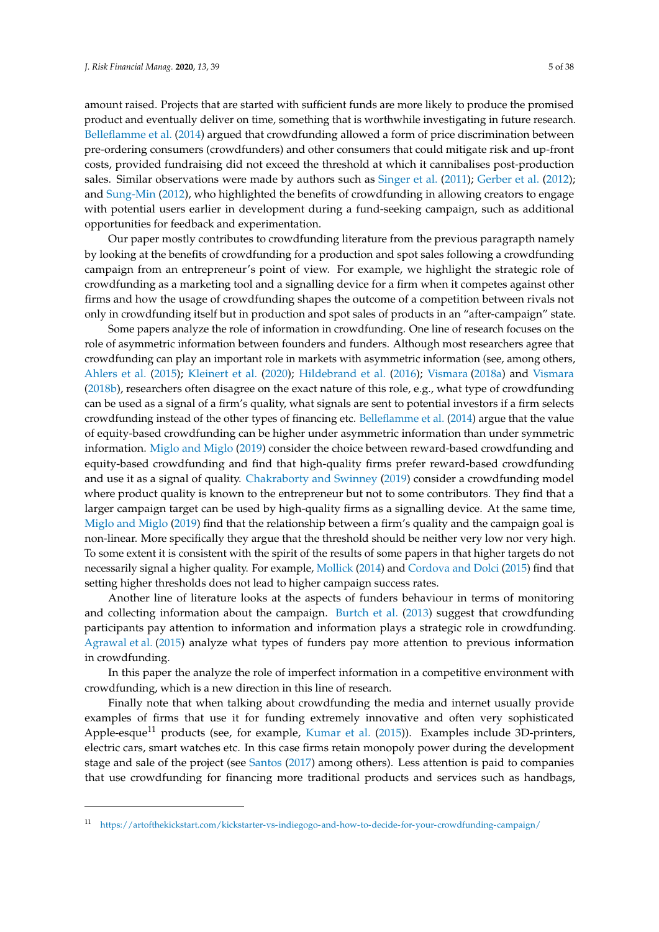amount raised. Projects that are started with sufficient funds are more likely to produce the promised product and eventually deliver on time, something that is worthwhile investigating in future research. [Belleflamme et al.](#page-34-4) [\(2014\)](#page-34-4) argued that crowdfunding allowed a form of price discrimination between pre-ordering consumers (crowdfunders) and other consumers that could mitigate risk and up-front costs, provided fundraising did not exceed the threshold at which it cannibalises post-production sales. Similar observations were made by authors such as [Singer et al.](#page-37-5) [\(2011\)](#page-37-5); [Gerber et al.](#page-35-8) [\(2012\)](#page-35-8); and [Sung-Min](#page-37-6) [\(2012\)](#page-37-6), who highlighted the benefits of crowdfunding in allowing creators to engage with potential users earlier in development during a fund-seeking campaign, such as additional opportunities for feedback and experimentation.

Our paper mostly contributes to crowdfunding literature from the previous paragrapth namely by looking at the benefits of crowdfunding for a production and spot sales following a crowdfunding campaign from an entrepreneur's point of view. For example, we highlight the strategic role of crowdfunding as a marketing tool and a signalling device for a firm when it competes against other firms and how the usage of crowdfunding shapes the outcome of a competition between rivals not only in crowdfunding itself but in production and spot sales of products in an "after-campaign" state.

Some papers analyze the role of information in crowdfunding. One line of research focuses on the role of asymmetric information between founders and funders. Although most researchers agree that crowdfunding can play an important role in markets with asymmetric information (see, among others, [Ahlers et al.](#page-34-0) [\(2015\)](#page-34-0); [Kleinert et al.](#page-36-9) [\(2020\)](#page-36-9); [Hildebrand et al.](#page-35-12) [\(2016\)](#page-35-12); [Vismara](#page-37-7) [\(2018a\)](#page-37-7) and [Vismara](#page-37-8) [\(2018b\)](#page-37-8), researchers often disagree on the exact nature of this role, e.g., what type of crowdfunding can be used as a signal of a firm's quality, what signals are sent to potential investors if a firm selects crowdfunding instead of the other types of financing etc. [Belleflamme et al.](#page-34-4) [\(2014\)](#page-34-4) argue that the value of equity-based crowdfunding can be higher under asymmetric information than under symmetric information. [Miglo and Miglo](#page-36-6) [\(2019\)](#page-36-6) consider the choice between reward-based crowdfunding and equity-based crowdfunding and find that high-quality firms prefer reward-based crowdfunding and use it as a signal of quality. [Chakraborty and Swinney](#page-34-7) [\(2019\)](#page-34-7) consider a crowdfunding model where product quality is known to the entrepreneur but not to some contributors. They find that a larger campaign target can be used by high-quality firms as a signalling device. At the same time, [Miglo and Miglo](#page-36-6) [\(2019\)](#page-36-6) find that the relationship between a firm's quality and the campaign goal is non-linear. More specifically they argue that the threshold should be neither very low nor very high. To some extent it is consistent with the spirit of the results of some papers in that higher targets do not necessarily signal a higher quality. For example, [Mollick](#page-36-8) [\(2014\)](#page-36-8) and [Cordova and Dolci](#page-35-13) [\(2015\)](#page-35-13) find that setting higher thresholds does not lead to higher campaign success rates.

Another line of literature looks at the aspects of funders behaviour in terms of monitoring and collecting information about the campaign. [Burtch et al.](#page-34-8) [\(2013\)](#page-34-8) suggest that crowdfunding participants pay attention to information and information plays a strategic role in crowdfunding. [Agrawal et al.](#page-34-9) [\(2015\)](#page-34-9) analyze what types of funders pay more attention to previous information in crowdfunding.

In this paper the analyze the role of imperfect information in a competitive environment with crowdfunding, which is a new direction in this line of research.

Finally note that when talking about crowdfunding the media and internet usually provide examples of firms that use it for funding extremely innovative and often very sophisticated Apple-esque<sup>11</sup> products (see, for example, [Kumar et al.](#page-36-10) [\(2015\)](#page-36-10)). Examples include 3D-printers, electric cars, smart watches etc. In this case firms retain monopoly power during the development stage and sale of the project (see [Santos](#page-37-9) [\(2017\)](#page-37-9) among others). Less attention is paid to companies that use crowdfunding for financing more traditional products and services such as handbags,

<sup>11</sup> <https://artofthekickstart.com/kickstarter-vs-indiegogo-and-how-to-decide-for-your-crowdfunding-campaign/>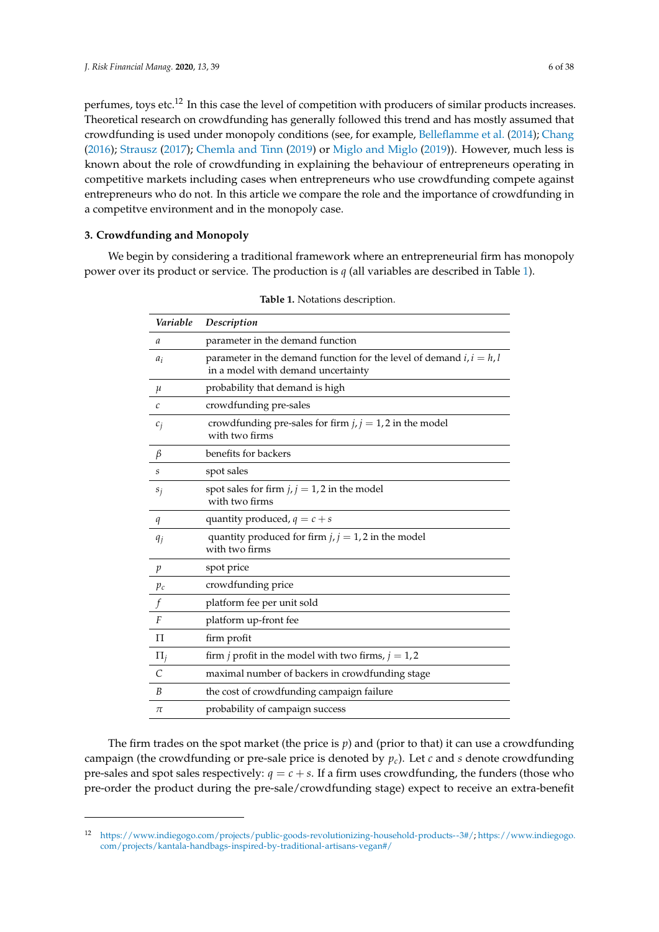perfumes, toys etc.<sup>12</sup> In this case the level of competition with producers of similar products increases. Theoretical research on crowdfunding has generally followed this trend and has mostly assumed that crowdfunding is used under monopoly conditions (see, for example, [Belleflamme et al.](#page-34-4) [\(2014\)](#page-34-4); [Chang](#page-34-10) [\(2016\)](#page-34-10); [Strausz](#page-37-10) [\(2017\)](#page-37-10); [Chemla and Tinn](#page-34-11) [\(2019\)](#page-34-11) or [Miglo and Miglo](#page-36-6) [\(2019\)](#page-36-6)). However, much less is known about the role of crowdfunding in explaining the behaviour of entrepreneurs operating in competitive markets including cases when entrepreneurs who use crowdfunding compete against entrepreneurs who do not. In this article we compare the role and the importance of crowdfunding in a competitve environment and in the monopoly case.

# <span id="page-5-0"></span>**3. Crowdfunding and Monopoly**

<span id="page-5-1"></span>We begin by considering a traditional framework where an entrepreneurial firm has monopoly power over its product or service. The production is *q* (all variables are described in Table [1\)](#page-5-1).

| Variable              | Description                                                                                                  |
|-----------------------|--------------------------------------------------------------------------------------------------------------|
| a                     | parameter in the demand function                                                                             |
| $a_i$                 | parameter in the demand function for the level of demand $i, i = h, l$<br>in a model with demand uncertainty |
| $\mu$                 | probability that demand is high                                                                              |
| $\mathcal{C}_{0}^{2}$ | crowdfunding pre-sales                                                                                       |
| $c_i$                 | crowdfunding pre-sales for firm $j, j = 1, 2$ in the model<br>with two firms                                 |
| $\beta$               | benefits for backers                                                                                         |
| S                     | spot sales                                                                                                   |
| $s_i$                 | spot sales for firm $j, j = 1, 2$ in the model<br>with two firms                                             |
| q                     | quantity produced, $q = c + s$                                                                               |
| $q_i$                 | quantity produced for firm $j, j = 1, 2$ in the model<br>with two firms                                      |
| p                     | spot price                                                                                                   |
| $p_c$                 | crowdfunding price                                                                                           |
| f                     | platform fee per unit sold                                                                                   |
| F                     | platform up-front fee                                                                                        |
| П                     | firm profit                                                                                                  |
| $\Pi_i$               | firm <i>j</i> profit in the model with two firms, $j = 1, 2$                                                 |
| $\mathcal{C}$         | maximal number of backers in crowdfunding stage                                                              |
| $\boldsymbol{B}$      | the cost of crowdfunding campaign failure                                                                    |
| π                     | probability of campaign success                                                                              |

**Table 1.** Notations description.

The firm trades on the spot market (the price is *p*) and (prior to that) it can use a crowdfunding campaign (the crowdfunding or pre-sale price is denoted by  $p_c$ ). Let *c* and *s* denote crowdfunding pre-sales and spot sales respectively:  $q = c + s$ . If a firm uses crowdfunding, the funders (those who pre-order the product during the pre-sale/crowdfunding stage) expect to receive an extra-benefit

<sup>12</sup> [https://www.indiegogo.com/projects/public-goods-revolutionizing-household-products--3#/;](https://www.indiegogo.com/projects/public-goods-revolutionizing-household-products--3#/) [https://www.indiegogo.](https://www.indiegogo.com/projects/kantala-handbags-inspired-by-traditional-artisans-vegan#/) [com/projects/kantala-handbags-inspired-by-traditional-artisans-vegan#/](https://www.indiegogo.com/projects/kantala-handbags-inspired-by-traditional-artisans-vegan#/)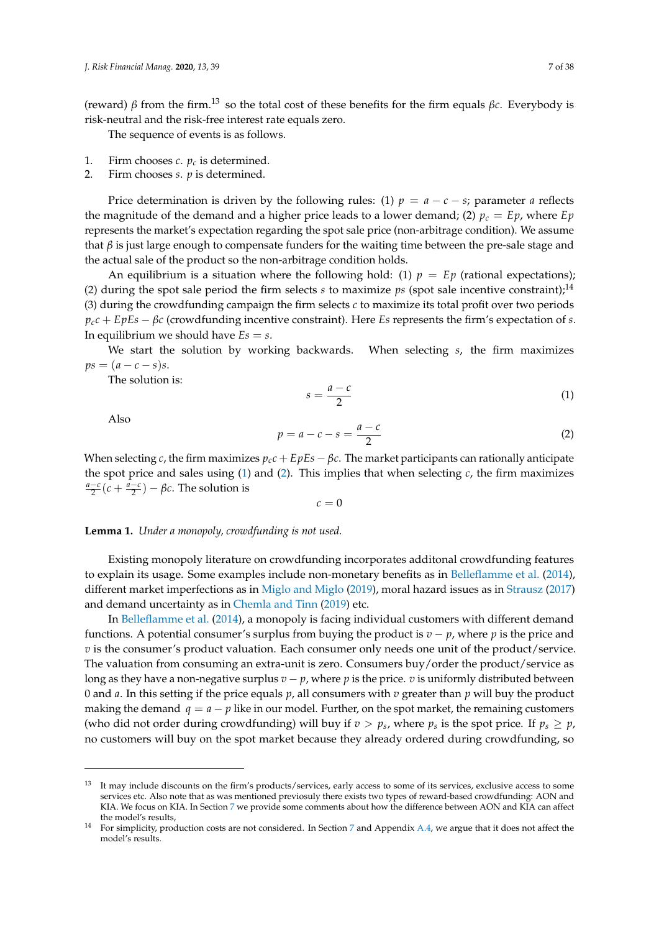(reward) *β* from the firm.<sup>13</sup> so the total cost of these benefits for the firm equals *βc*. Everybody is risk-neutral and the risk-free interest rate equals zero.

The sequence of events is as follows.

- 1. Firm chooses *c*. *p<sup>c</sup>* is determined.
- 2. Firm chooses *s*. *p* is determined.

Price determination is driven by the following rules: (1)  $p = a - c - s$ ; parameter *a* reflects the magnitude of the demand and a higher price leads to a lower demand; (2)  $p_c = Ep$ , where  $Ep$ represents the market's expectation regarding the spot sale price (non-arbitrage condition). We assume that  $\beta$  is just large enough to compensate funders for the waiting time between the pre-sale stage and the actual sale of the product so the non-arbitrage condition holds.

An equilibrium is a situation where the following hold: (1)  $p = Ep$  (rational expectations); (2) during the spot sale period the firm selects *s* to maximize *ps* (spot sale incentive constraint);<sup>14</sup> (3) during the crowdfunding campaign the firm selects *c* to maximize its total profit over two periods *pcc* + *EpEs* − *βc* (crowdfunding incentive constraint). Here *Es* represents the firm's expectation of *s*. In equilibrium we should have  $Es = s$ .

We start the solution by working backwards. When selecting *s*, the firm maximizes  $ps = (a - c - s)s$ .

The solution is:

<span id="page-6-0"></span>
$$
s = \frac{a - c}{2} \tag{1}
$$

Also

<span id="page-6-1"></span>
$$
p = a - c - s = \frac{a - c}{2} \tag{2}
$$

When selecting *c*, the firm maximizes  $p_c c + E pEs - \beta c$ . The market participants can rationally anticipate the spot price and sales using [\(1\)](#page-6-0) and [\(2\)](#page-6-1). This implies that when selecting *c*, the firm maximizes  $\frac{a-c}{2}(c + \frac{a-c}{2}) - \beta c$ . The solution is

 $c = 0$ 

**Lemma 1.** *Under a monopoly, crowdfunding is not used.*

Existing monopoly literature on crowdfunding incorporates additonal crowdfunding features to explain its usage. Some examples include non-monetary benefits as in [Belleflamme et al.](#page-34-4) [\(2014\)](#page-34-4), different market imperfections as in [Miglo and Miglo](#page-36-6) [\(2019\)](#page-36-6), moral hazard issues as in [Strausz](#page-37-10) [\(2017\)](#page-37-10) and demand uncertainty as in [Chemla and Tinn](#page-34-11) [\(2019\)](#page-34-11) etc.

In [Belleflamme et al.](#page-34-4) [\(2014\)](#page-34-4), a monopoly is facing individual customers with different demand functions. A potential consumer's surplus from buying the product is  $v - p$ , where  $p$  is the price and *v* is the consumer's product valuation. Each consumer only needs one unit of the product/service. The valuation from consuming an extra-unit is zero. Consumers buy/order the product/service as long as they have a non-negative surplus  $v - p$ , where p is the price.  $v$  is uniformly distributed between 0 and *a*. In this setting if the price equals *p*, all consumers with *v* greater than *p* will buy the product making the demand  $q = a - p$  like in our model. Further, on the spot market, the remaining customers (who did not order during crowdfunding) will buy if  $v > p_s$ , where  $p_s$  is the spot price. If  $p_s \geq p_s$ , no customers will buy on the spot market because they already ordered during crowdfunding, so

<sup>&</sup>lt;sup>13</sup> It may include discounts on the firm's products/services, early access to some of its services, exclusive access to some services etc. Also note that as was mentioned previosuly there exists two types of reward-based crowdfunding: AON and KIA. We focus on KIA. In Section [7](#page-15-0) we provide some comments about how the difference between AON and KIA can affect the model's results,

<sup>14</sup> For simplicity, production costs are not considered. In Section [7](#page-15-0) and Appendix [A.4,](#page-33-0) we argue that it does not affect the model's results.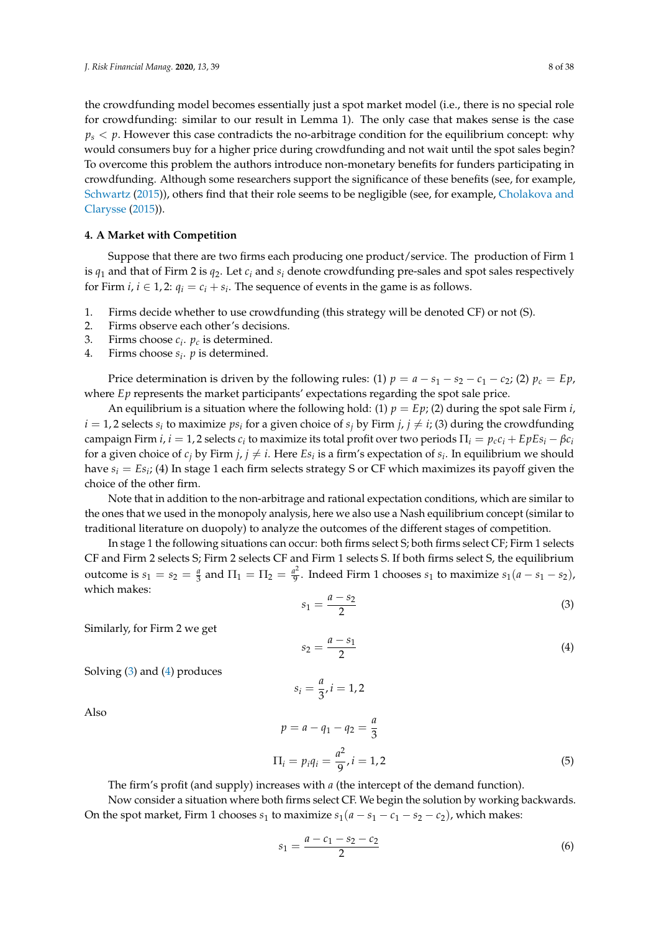the crowdfunding model becomes essentially just a spot market model (i.e., there is no special role for crowdfunding: similar to our result in Lemma 1). The only case that makes sense is the case  $p_s < p$ . However this case contradicts the no-arbitrage condition for the equilibrium concept: why would consumers buy for a higher price during crowdfunding and not wait until the spot sales begin? To overcome this problem the authors introduce non-monetary benefits for funders participating in crowdfunding. Although some researchers support the significance of these benefits (see, for example, [Schwartz](#page-37-11) [\(2015\)](#page-37-11)), others find that their role seems to be negligible (see, for example, [Cholakova and](#page-34-12) [Clarysse](#page-34-12) [\(2015\)](#page-34-12)).

# <span id="page-7-0"></span>**4. A Market with Competition**

Suppose that there are two firms each producing one product/service. The production of Firm 1 is  $q_1$  and that of Firm 2 is  $q_2$ . Let  $c_i$  and  $s_i$  denote crowdfunding pre-sales and spot sales respectively for Firm  $i, i \in 1, 2$ :  $q_i = c_i + s_i$ . The sequence of events in the game is as follows.

- 1. Firms decide whether to use crowdfunding (this strategy will be denoted CF) or not (S).
- 2. Firms observe each other's decisions.
- 3. Firms choose  $c_i$ .  $p_c$  is determined.
- 4. Firms choose *s<sup>i</sup>* . *p* is determined.

Price determination is driven by the following rules: (1)  $p = a - s_1 - s_2 - c_1 - c_2$ ; (2)  $p_c = Ep$ , where *Ep* represents the market participants' expectations regarding the spot sale price.

An equilibrium is a situation where the following hold: (1)  $p = Ep$ ; (2) during the spot sale Firm *i*,  $i = 1, 2$  selects  $s_i$  to maximize  $ps_i$  for a given choice of  $s_j$  by Firm  $j, j \neq i$ ; (3) during the crowdfunding  $\alpha$  campaign Firm *i*,  $i = 1$ , 2 selects  $c_i$  to maximize its total profit over two periods  $\Pi_i = p_c c_i + E p E s_i - \beta c_i$ for a given choice of  $c_j$  by Firm  $j$ ,  $j \neq i$ . Here  $Es_i$  is a firm's expectation of  $s_i$ . In equilibrium we should have *s<sup>i</sup>* = *Es<sup>i</sup>* ; (4) In stage 1 each firm selects strategy S or CF which maximizes its payoff given the choice of the other firm.

Note that in addition to the non-arbitrage and rational expectation conditions, which are similar to the ones that we used in the monopoly analysis, here we also use a Nash equilibrium concept (similar to traditional literature on duopoly) to analyze the outcomes of the different stages of competition.

In stage 1 the following situations can occur: both firms select S; both firms select CF; Firm 1 selects CF and Firm 2 selects S; Firm 2 selects CF and Firm 1 selects S. If both firms select S, the equilibrium outcome is  $s_1 = s_2 = \frac{a}{3}$  and  $\Pi_1 = \Pi_2 = \frac{a^2}{9}$  $\frac{a^2}{9}$ . Indeed Firm 1 chooses  $s_1$  to maximize  $s_1(a - s_1 - s_2)$ , which makes:

<span id="page-7-1"></span>
$$
s_1 = \frac{a - s_2}{2} \tag{3}
$$

Similarly, for Firm 2 we get

<span id="page-7-2"></span> $s_2 = \frac{a - s_1}{2}$ 2 (4)

Solving [\(3\)](#page-7-1) and [\(4\)](#page-7-2) produces

Also

$$
p = a - q_1 - q_2 = \frac{a}{3}
$$
  
\n
$$
\Pi_i = p_i q_i = \frac{a^2}{9}, i = 1, 2
$$
\n(5)

The firm's profit (and supply) increases with *a* (the intercept of the demand function).

 $s_i = \frac{a}{2}$ 

 $\frac{\pi}{3}$ , *i* = 1, 2

Now consider a situation where both firms select CF. We begin the solution by working backwards. On the spot market, Firm 1 chooses  $s_1$  to maximize  $s_1(a - s_1 - c_1 - s_2 - c_2)$ , which makes:

<span id="page-7-3"></span>
$$
s_1 = \frac{a - c_1 - s_2 - c_2}{2} \tag{6}
$$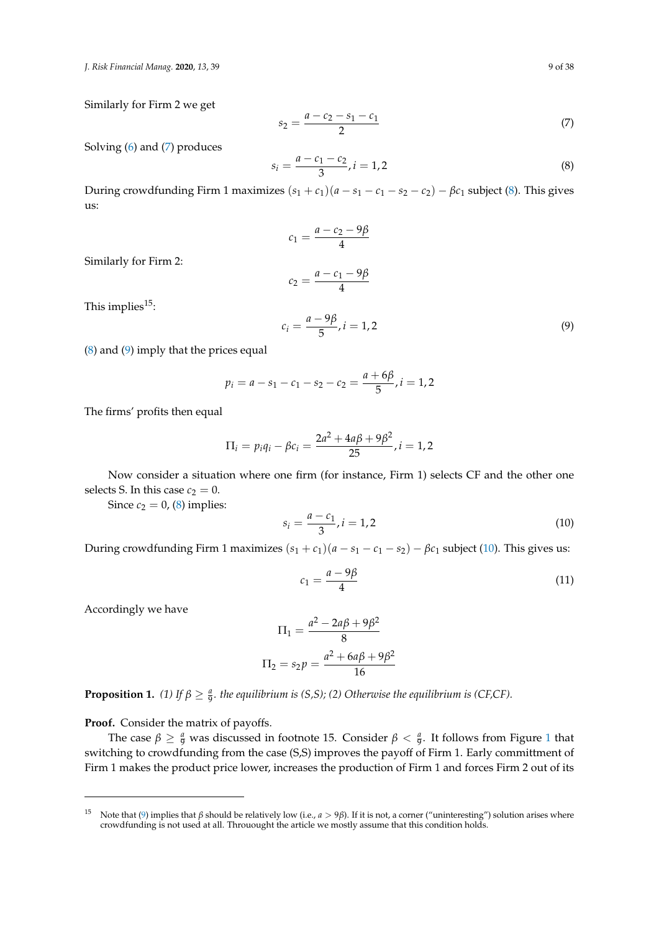*J. Risk Financial Manag.* **2020**, *13*, 39 9 of 38

Similarly for Firm 2 we get

<span id="page-8-0"></span>
$$
s_2 = \frac{a - c_2 - s_1 - c_1}{2} \tag{7}
$$

Solving [\(6\)](#page-7-3) and [\(7\)](#page-8-0) produces

<span id="page-8-1"></span>
$$
s_i = \frac{a - c_1 - c_2}{3}, i = 1, 2
$$
\n(8)

During crowdfunding Firm 1 maximizes  $(s_1 + c_1)(a - s_1 - c_1 - s_2 - c_2) - \beta c_1$  subject [\(8\)](#page-8-1). This gives us:

$$
c_1 = \frac{a - c_2 - 9\beta}{4}
$$

$$
c_2 = \frac{a - c_1 - 9\beta}{4}
$$

Similarly for Firm 2:

$$
c_2 = \frac{a - c_1 - 9\beta}{4}
$$

This implies $15$ :

<span id="page-8-2"></span>
$$
c_i = \frac{a - 9\beta}{5}, i = 1, 2
$$
\n(9)

[\(8\)](#page-8-1) and [\(9\)](#page-8-2) imply that the prices equal

$$
p_i = a - s_1 - c_1 - s_2 - c_2 = \frac{a + 6\beta}{5}, i = 1, 2
$$

The firms' profits then equal

$$
\Pi_i = p_i q_i - \beta c_i = \frac{2a^2 + 4a\beta + 9\beta^2}{25}, i = 1, 2
$$

Now consider a situation where one firm (for instance, Firm 1) selects CF and the other one selects S. In this case  $c_2 = 0$ .

Since  $c_2 = 0$ , [\(8\)](#page-8-1) implies:

<span id="page-8-3"></span>
$$
s_i = \frac{a - c_1}{3}, i = 1, 2
$$
\n(10)

During crowdfunding Firm 1 maximizes  $(s_1 + c_1)(a - s_1 - c_1 - s_2) - \beta c_1$  subject [\(10\)](#page-8-3). This gives us:

<span id="page-8-4"></span>
$$
c_1 = \frac{a - 9\beta}{4} \tag{11}
$$

Accordingly we have

$$
\Pi_1 = \frac{a^2 - 2a\beta + 9\beta^2}{8}
$$

$$
\Pi_2 = s_2 p = \frac{a^2 + 6a\beta + 9\beta^2}{16}
$$

**Proposition 1.** (1) If  $\beta \geq \frac{a}{9}$ . the equilibrium is (S,S); (2) Otherwise the equilibrium is (CF,CF).

**Proof.** Consider the matrix of payoffs.

The case  $\beta \geq \frac{a}{9}$  was discussed in footnote [1](#page-9-0)5. Consider  $\beta < \frac{a}{9}$ . It follows from Figure 1 that switching to crowdfunding from the case (S,S) improves the payoff of Firm 1. Early committment of Firm 1 makes the product price lower, increases the production of Firm 1 and forces Firm 2 out of its

<sup>15</sup> Note that [\(9\)](#page-8-2) implies that *β* should be relatively low (i.e., *a* > 9*β*). If it is not, a corner ("uninteresting") solution arises where crowdfunding is not used at all. Throuought the article we mostly assume that this condition holds.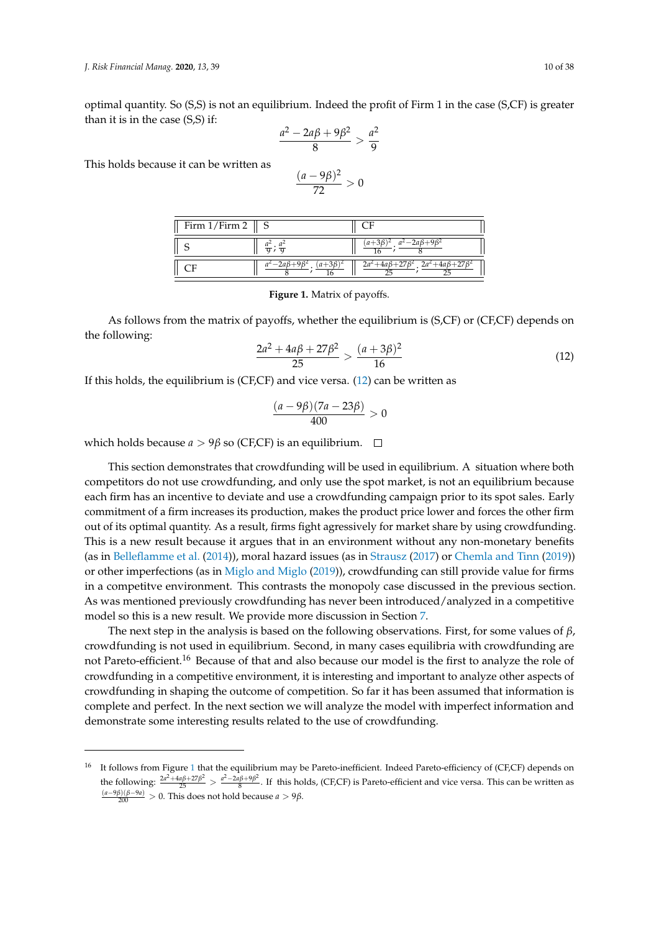optimal quantity. So (S,S) is not an equilibrium. Indeed the profit of Firm 1 in the case (S,CF) is greater than it is in the case (S,S) if:

$$
\frac{a^2-2a\beta+9\beta^2}{8} > \frac{a^2}{9}
$$

<span id="page-9-0"></span>This holds because it can be written as

$$
\frac{(a-9\beta)^2}{72} > 0
$$

| Firm $1/Firm 2 \parallel S$ |                                   |                                                     |
|-----------------------------|-----------------------------------|-----------------------------------------------------|
|                             | $\frac{a^2}{9}$ ; $\frac{a^2}{9}$ | $a^2 - 2aB + 9$                                     |
|                             | $a^2-2a\beta+9\beta^2$            | $2a^2+4a\beta+27\beta^2$ , $2a^2+4a\beta+27\beta^2$ |

#### **Figure 1.** Matrix of payoffs.

As follows from the matrix of payoffs, whether the equilibrium is (S,CF) or (CF,CF) depends on the following:

<span id="page-9-1"></span>
$$
\frac{2a^2 + 4a\beta + 27\beta^2}{25} > \frac{(a+3\beta)^2}{16}
$$
 (12)

If this holds, the equilibrium is (CF,CF) and vice versa. [\(12\)](#page-9-1) can be written as

$$
\frac{(a-9\beta)(7a-23\beta)}{400}>0
$$

which holds because  $a > 9\beta$  so (CF,CF) is an equilibrium.  $\Box$ 

This section demonstrates that crowdfunding will be used in equilibrium. A situation where both competitors do not use crowdfunding, and only use the spot market, is not an equilibrium because each firm has an incentive to deviate and use a crowdfunding campaign prior to its spot sales. Early commitment of a firm increases its production, makes the product price lower and forces the other firm out of its optimal quantity. As a result, firms fight agressively for market share by using crowdfunding. This is a new result because it argues that in an environment without any non-monetary benefits (as in [Belleflamme et al.](#page-34-4) [\(2014\)](#page-34-4)), moral hazard issues (as in [Strausz](#page-37-10) [\(2017\)](#page-37-10) or [Chemla and Tinn](#page-34-11) [\(2019\)](#page-34-11)) or other imperfections (as in [Miglo and Miglo](#page-36-6) [\(2019\)](#page-36-6)), crowdfunding can still provide value for firms in a competitve environment. This contrasts the monopoly case discussed in the previous section. As was mentioned previously crowdfunding has never been introduced/analyzed in a competitive model so this is a new result. We provide more discussion in Section [7.](#page-15-0)

The next step in the analysis is based on the following observations. First, for some values of *β*, crowdfunding is not used in equilibrium. Second, in many cases equilibria with crowdfunding are not Pareto-efficient.<sup>16</sup> Because of that and also because our model is the first to analyze the role of crowdfunding in a competitive environment, it is interesting and important to analyze other aspects of crowdfunding in shaping the outcome of competition. So far it has been assumed that information is complete and perfect. In the next section we will analyze the model with imperfect information and demonstrate some interesting results related to the use of crowdfunding.

<sup>&</sup>lt;sup>[1](#page-9-0)6</sup> It follows from Figure 1 that the equilibrium may be Pareto-inefficient. Indeed Pareto-efficiency of (CF,CF) depends on the following:  $\frac{2a^2 + 4a\beta + 27\beta^2}{25} > \frac{a^2 - 2a\beta + 9\beta^2}{8}$  $\frac{B^{(p+3)p}}{8}$ . If this holds, (CF,CF) is Pareto-efficient and vice versa. This can be written as (*a*−9*β*)(*β*−9*a*) <sup>200</sup> > 0. This does not hold because *a* > 9*β*.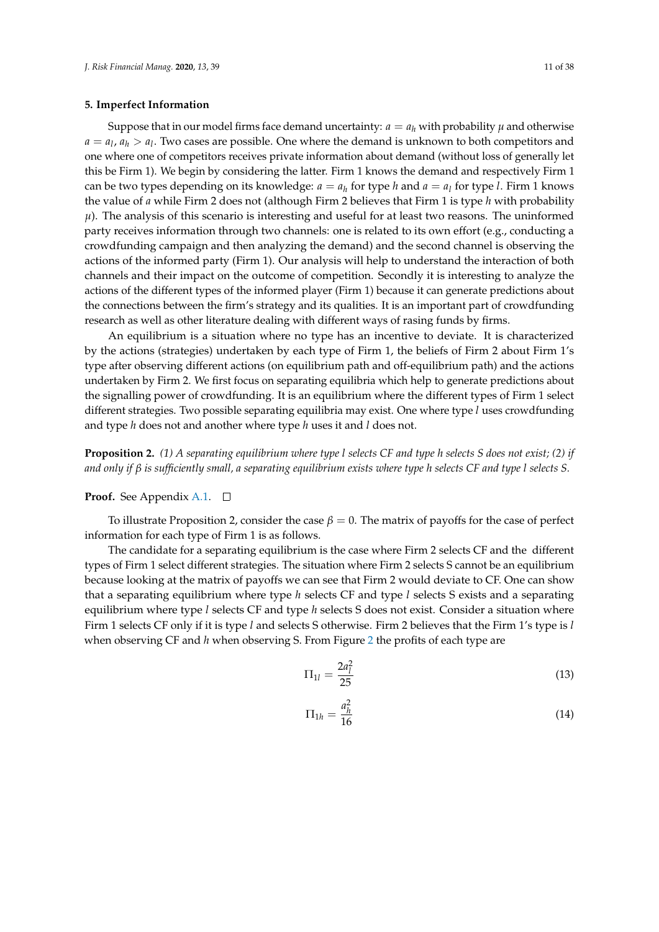#### <span id="page-10-0"></span>**5. Imperfect Information**

Suppose that in our model firms face demand uncertainty:  $a = a_h$  with probability  $\mu$  and otherwise  $a = a_l, a_h > a_l$ . Two cases are possible. One where the demand is unknown to both competitors and one where one of competitors receives private information about demand (without loss of generally let this be Firm 1). We begin by considering the latter. Firm 1 knows the demand and respectively Firm 1 can be two types depending on its knowledge:  $a = a_h$  for type *h* and  $a = a_l$  for type *l*. Firm 1 knows the value of *a* while Firm 2 does not (although Firm 2 believes that Firm 1 is type *h* with probability  $\mu$ ). The analysis of this scenario is interesting and useful for at least two reasons. The uninformed party receives information through two channels: one is related to its own effort (e.g., conducting a crowdfunding campaign and then analyzing the demand) and the second channel is observing the actions of the informed party (Firm 1). Our analysis will help to understand the interaction of both channels and their impact on the outcome of competition. Secondly it is interesting to analyze the actions of the different types of the informed player (Firm 1) because it can generate predictions about the connections between the firm's strategy and its qualities. It is an important part of crowdfunding research as well as other literature dealing with different ways of rasing funds by firms.

An equilibrium is a situation where no type has an incentive to deviate. It is characterized by the actions (strategies) undertaken by each type of Firm 1, the beliefs of Firm 2 about Firm 1's type after observing different actions (on equilibrium path and off-equilibrium path) and the actions undertaken by Firm 2. We first focus on separating equilibria which help to generate predictions about the signalling power of crowdfunding. It is an equilibrium where the different types of Firm 1 select different strategies. Two possible separating equilibria may exist. One where type *l* uses crowdfunding and type *h* does not and another where type *h* uses it and *l* does not.

**Proposition 2.** *(1) A separating equilibrium where type l selects CF and type h selects S does not exist; (2) if and only if β is sufficiently small, a separating equilibrium exists where type h selects CF and type l selects S.*

#### **Proof.** See Appendix [A.1.](#page-27-0) □

To illustrate Proposition 2, consider the case *β* = 0. The matrix of payoffs for the case of perfect information for each type of Firm 1 is as follows.

The candidate for a separating equilibrium is the case where Firm 2 selects CF and the different types of Firm 1 select different strategies. The situation where Firm 2 selects S cannot be an equilibrium because looking at the matrix of payoffs we can see that Firm 2 would deviate to CF. One can show that a separating equilibrium where type *h* selects CF and type *l* selects S exists and a separating equilibrium where type *l* selects CF and type *h* selects S does not exist. Consider a situation where Firm 1 selects CF only if it is type *l* and selects S otherwise. Firm 2 believes that the Firm 1's type is *l* when observing CF and *h* when observing S. From Figure [2](#page-11-0) the profits of each type are

$$
\Pi_{1l} = \frac{2a_l^2}{25} \tag{13}
$$

<span id="page-10-1"></span>
$$
\Pi_{1h} = \frac{a_h^2}{16} \tag{14}
$$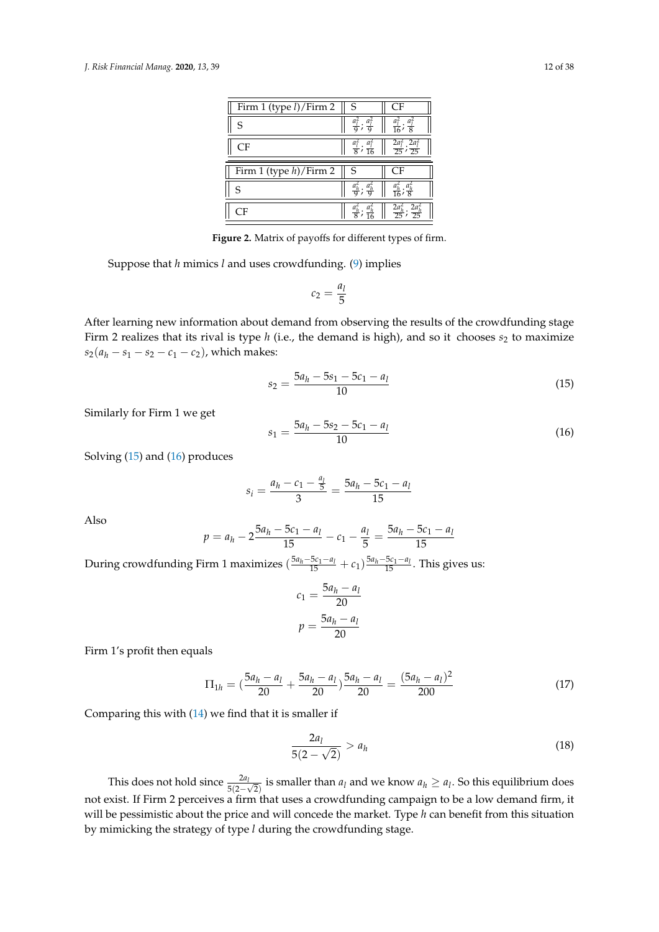<span id="page-11-0"></span>

| Firm 1 (type <i>l</i> )/Firm 2 | S                                               | CF                                                                                      |
|--------------------------------|-------------------------------------------------|-----------------------------------------------------------------------------------------|
| ς                              | $\frac{a_1^2}{9}$ ; $\frac{a_1^2}{6}$           | $\frac{a_1^2}{16}$ ; $\frac{a_1^2}{8}$                                                  |
| CF                             |                                                 | $\frac{a_1^2}{8}$ ; $\frac{a_1^2}{16}$ $\left  \frac{2a_1^2}{25}$ ; $\frac{2a_1^2}{25}$ |
|                                |                                                 |                                                                                         |
|                                |                                                 |                                                                                         |
| Firm 1 (type $h$ )/Firm 2      | S                                               | CF                                                                                      |
| S                              | $\frac{a_h^2}{\sigma}$ ; $\frac{a_h^2}{\sigma}$ | $\frac{a_h^2}{16}$                                                                      |
|                                |                                                 | $rac{2a_h^2}{25}$<br>$2a_h^2$                                                           |

**Figure 2.** Matrix of payoffs for different types of firm.

Suppose that *h* mimics *l* and uses crowdfunding. [\(9\)](#page-8-2) implies

$$
c_2=\frac{a_l}{5}
$$

After learning new information about demand from observing the results of the crowdfunding stage Firm 2 realizes that its rival is type *h* (i.e., the demand is high), and so it chooses  $s_2$  to maximize  $s_2(a_h - s_1 - s_2 - c_1 - c_2)$ , which makes:

<span id="page-11-1"></span>
$$
s_2 = \frac{5a_h - 5s_1 - 5c_1 - a_l}{10} \tag{15}
$$

Similarly for Firm 1 we get

<span id="page-11-2"></span>
$$
s_1 = \frac{5a_h - 5s_2 - 5c_1 - a_l}{10} \tag{16}
$$

Solving [\(15\)](#page-11-1) and [\(16\)](#page-11-2) produces

$$
s_i = \frac{a_h - c_1 - \frac{a_l}{5}}{3} = \frac{5a_h - 5c_1 - a_l}{15}
$$

Also

$$
p = a_h - 2\frac{5a_h - 5c_1 - a_l}{15} - c_1 - \frac{a_l}{5} = \frac{5a_h - 5c_1 - a_l}{15}
$$

During crowdfunding Firm 1 maximizes  $(\frac{5a_h-5c_1-a_l}{15}+c_1)\frac{5a_h-5c_1-a_l}{15}$ . This gives us:

$$
c_1 = \frac{5a_h - a_l}{20}
$$

$$
p = \frac{5a_h - a_l}{20}
$$

Firm 1's profit then equals

<span id="page-11-3"></span>
$$
\Pi_{1h} = \left(\frac{5a_h - a_l}{20} + \frac{5a_h - a_l}{20}\right) \frac{5a_h - a_l}{20} = \frac{(5a_h - a_l)^2}{200} \tag{17}
$$

Comparing this with [\(14\)](#page-10-1) we find that it is smaller if

$$
\frac{2a_l}{5(2-\sqrt{2})} > a_h \tag{18}
$$

This does not hold since  $\frac{2a_l}{5(2-\sqrt{2})}$  is smaller than  $a_l$  and we know  $a_h \ge a_l$ . So this equilibrium does not exist. If Firm 2 perceives a firm that uses a crowdfunding campaign to be a low demand firm, it will be pessimistic about the price and will concede the market. Type *h* can benefit from this situation by mimicking the strategy of type *l* during the crowdfunding stage.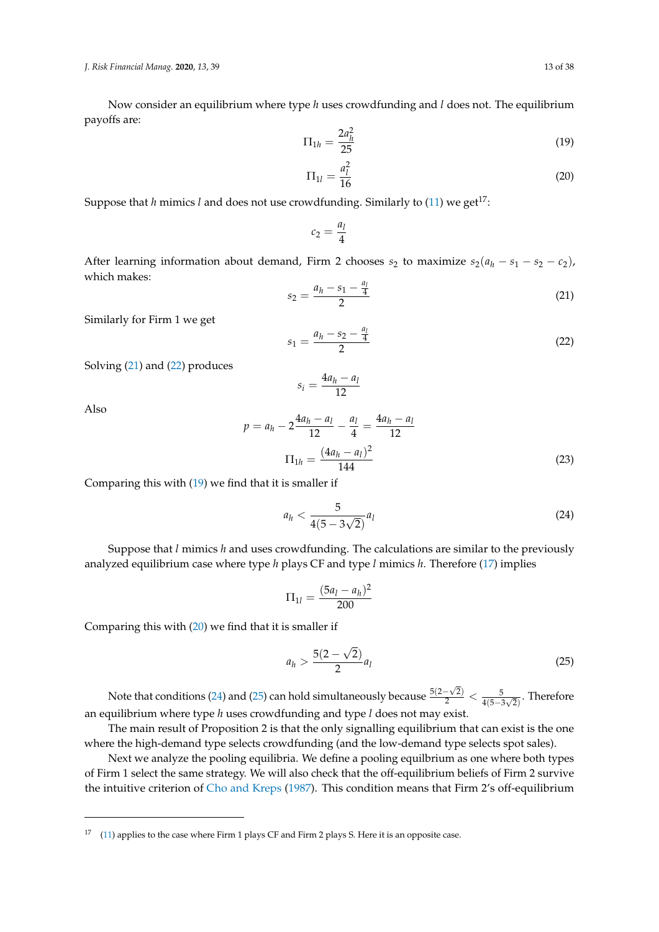*J. Risk Financial Manag.* **2020**, *13*, 39 13 of 38

Now consider an equilibrium where type *h* uses crowdfunding and *l* does not. The equilibrium payoffs are:

<span id="page-12-2"></span>
$$
\Pi_{1h} = \frac{2a_h^2}{25} \tag{19}
$$

<span id="page-12-3"></span>
$$
\Pi_{1l} = \frac{a_l^2}{16}
$$
 (20)

Suppose that *h* mimics *l* and does not use crowdfunding. Similarly to [\(11\)](#page-8-4) we get<sup>17</sup>:

$$
c_2=\frac{a_l}{4}
$$

After learning information about demand, Firm 2 chooses  $s_2$  to maximize  $s_2(a_h - s_1 - s_2 - c_2)$ , which makes:

<span id="page-12-0"></span>
$$
s_2 = \frac{a_h - s_1 - \frac{a_l}{4}}{2} \tag{21}
$$

Similarly for Firm 1 we get

<span id="page-12-1"></span> $s_1 = \frac{a_h - s_2 - \frac{a_l}{4}}{2}$ 2 (22)

Solving [\(21\)](#page-12-0) and [\(22\)](#page-12-1) produces

 $s_i = \frac{4a_h - a_l}{12}$ 12

Also

<span id="page-12-6"></span>
$$
p = a_h - 2\frac{4a_h - a_l}{12} - \frac{a_l}{4} = \frac{4a_h - a_l}{12}
$$

$$
\Pi_{1h} = \frac{(4a_h - a_l)^2}{144}
$$
(23)

Comparing this with [\(19\)](#page-12-2) we find that it is smaller if

<span id="page-12-4"></span>
$$
a_h < \frac{5}{4(5 - 3\sqrt{2})} a_l \tag{24}
$$

Suppose that *l* mimics *h* and uses crowdfunding. The calculations are similar to the previously analyzed equilibrium case where type *h* plays CF and type *l* mimics *h*. Therefore [\(17\)](#page-11-3) implies

$$
\Pi_{1l} = \frac{(5a_l - a_h)^2}{200}
$$

Comparing this with [\(20\)](#page-12-3) we find that it is smaller if

<span id="page-12-5"></span>
$$
a_h > \frac{5(2-\sqrt{2})}{2}a_l
$$
\n(25)

Note that conditions [\(24\)](#page-12-4) and [\(25\)](#page-12-5) can hold simultaneously because  $\frac{5(2-\sqrt{2})}{2} < \frac{5}{4(5-3\sqrt{2})}$ . Therefore an equilibrium where type *h* uses crowdfunding and type *l* does not may exist.

The main result of Proposition 2 is that the only signalling equilibrium that can exist is the one where the high-demand type selects crowdfunding (and the low-demand type selects spot sales).

Next we analyze the pooling equilibria. We define a pooling equilbrium as one where both types of Firm 1 select the same strategy. We will also check that the off-equilibrium beliefs of Firm 2 survive the intuitive criterion of [Cho and Kreps](#page-34-13) [\(1987\)](#page-34-13). This condition means that Firm 2's off-equilibrium

<sup>&</sup>lt;sup>17</sup> [\(11\)](#page-8-4) applies to the case where Firm 1 plays CF and Firm 2 plays S. Here it is an opposite case.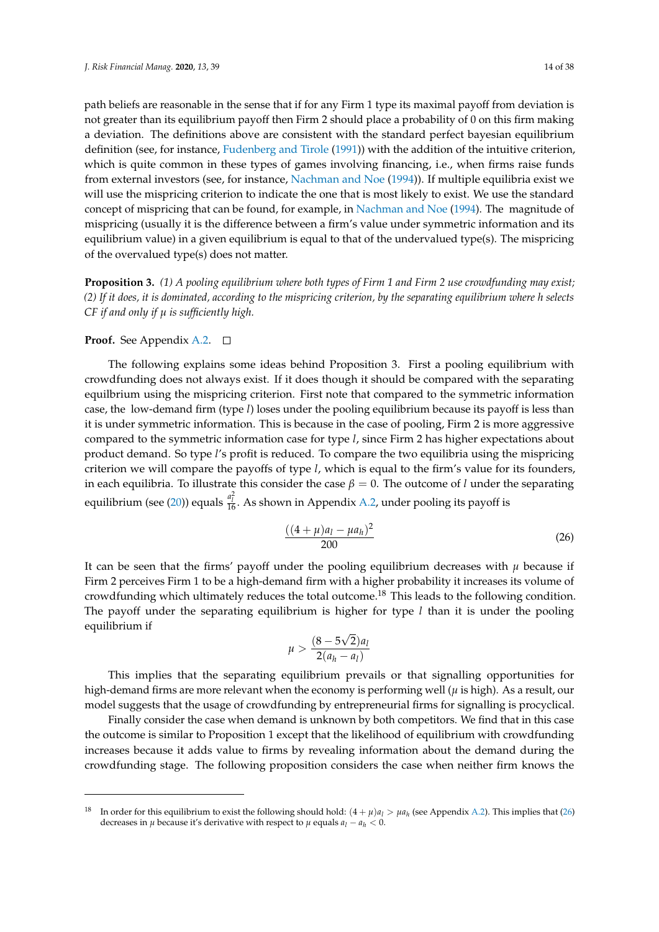path beliefs are reasonable in the sense that if for any Firm 1 type its maximal payoff from deviation is not greater than its equilibrium payoff then Firm 2 should place a probability of 0 on this firm making a deviation. The definitions above are consistent with the standard perfect bayesian equilibrium definition (see, for instance, [Fudenberg and Tirole](#page-35-14) [\(1991\)](#page-35-14)) with the addition of the intuitive criterion, which is quite common in these types of games involving financing, i.e., when firms raise funds from external investors (see, for instance, [Nachman and Noe](#page-36-11) [\(1994\)](#page-36-11)). If multiple equilibria exist we will use the mispricing criterion to indicate the one that is most likely to exist. We use the standard concept of mispricing that can be found, for example, in [Nachman and Noe](#page-36-11) [\(1994\)](#page-36-11). The magnitude of mispricing (usually it is the difference between a firm's value under symmetric information and its equilibrium value) in a given equilibrium is equal to that of the undervalued type(s). The mispricing of the overvalued type(s) does not matter.

**Proposition 3.** *(1) A pooling equilibrium where both types of Firm 1 and Firm 2 use crowdfunding may exist; (2) If it does, it is dominated, according to the mispricing criterion, by the separating equilibrium where h selects CF if and only if µ is sufficiently high.*

#### **Proof.** See Appendix [A.2.](#page-28-0) □

The following explains some ideas behind Proposition 3. First a pooling equilibrium with crowdfunding does not always exist. If it does though it should be compared with the separating equilbrium using the mispricing criterion. First note that compared to the symmetric information case, the low-demand firm (type *l*) loses under the pooling equilibrium because its payoff is less than it is under symmetric information. This is because in the case of pooling, Firm 2 is more aggressive compared to the symmetric information case for type *l*, since Firm 2 has higher expectations about product demand. So type *l*'s profit is reduced. To compare the two equilibria using the mispricing criterion we will compare the payoffs of type *l*, which is equal to the firm's value for its founders, in each equilibria. To illustrate this consider the case  $\beta = 0$ . The outcome of *l* under the separating equilibrium (see [\(20\)](#page-12-3)) equals  $\frac{a_l^2}{16}$ . As shown in Appendix [A.2,](#page-28-0) under pooling its payoff is

<span id="page-13-0"></span>
$$
\frac{((4+\mu)a_l - \mu a_h)^2}{200} \tag{26}
$$

It can be seen that the firms' payoff under the pooling equilibrium decreases with  $\mu$  because if Firm 2 perceives Firm 1 to be a high-demand firm with a higher probability it increases its volume of crowdfunding which ultimately reduces the total outcome.<sup>18</sup> This leads to the following condition. The payoff under the separating equilibrium is higher for type *l* than it is under the pooling equilibrium if √

$$
\mu > \frac{(8-5\sqrt{2})a_l}{2(a_h - a_l)}
$$

This implies that the separating equilibrium prevails or that signalling opportunities for high-demand firms are more relevant when the economy is performing well  $(\mu$  is high). As a result, our model suggests that the usage of crowdfunding by entrepreneurial firms for signalling is procyclical.

Finally consider the case when demand is unknown by both competitors. We find that in this case the outcome is similar to Proposition 1 except that the likelihood of equilibrium with crowdfunding increases because it adds value to firms by revealing information about the demand during the crowdfunding stage. The following proposition considers the case when neither firm knows the

<sup>&</sup>lt;sup>18</sup> In order for this equilibrium to exist the following should hold:  $(4 + \mu)a_l > \mu a_h$  (see Appendix [A.2\)](#page-28-0). This implies that [\(26\)](#page-13-0) decreases in *µ* because it's derivative with respect to *µ* equals  $a_l - a_h < 0$ .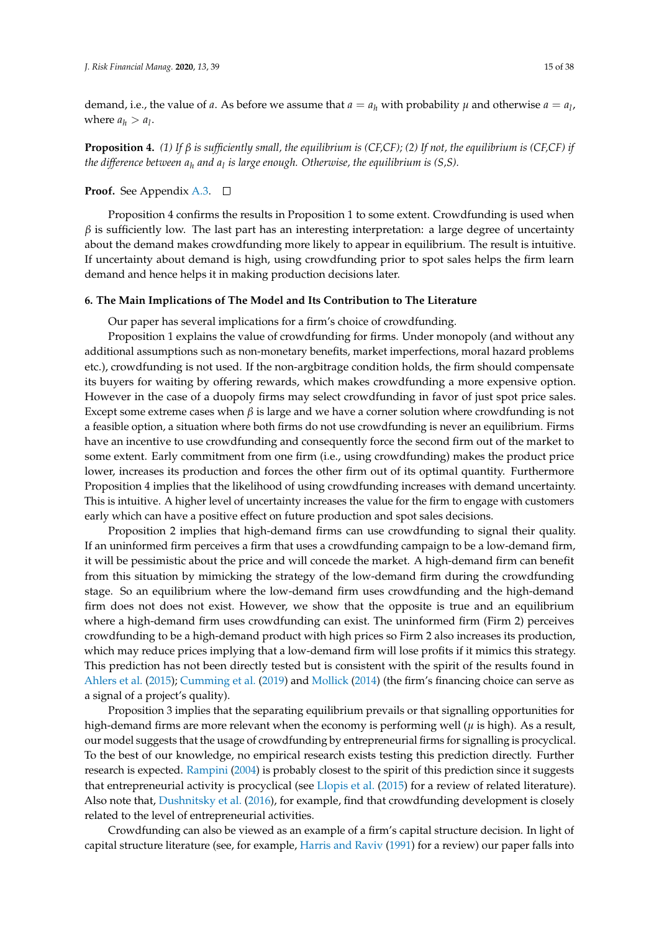demand, i.e., the value of *a*. As before we assume that  $a = a_h$  with probability  $\mu$  and otherwise  $a = a_l$ , where  $a_h > a_l$ .

**Proposition 4.** *(1) If β is sufficiently small, the equilibrium is (CF,CF); (2) If not, the equilibrium is (CF,CF) if the difference between a<sup>h</sup> and a<sup>l</sup> is large enough. Otherwise, the equilibrium is (S,S).*

# **Proof.** See Appendix [A.3.](#page-30-0) □

Proposition 4 confirms the results in Proposition 1 to some extent. Crowdfunding is used when  $\beta$  is sufficiently low. The last part has an interesting interpretation: a large degree of uncertainty about the demand makes crowdfunding more likely to appear in equilibrium. The result is intuitive. If uncertainty about demand is high, using crowdfunding prior to spot sales helps the firm learn demand and hence helps it in making production decisions later.

# <span id="page-14-0"></span>**6. The Main Implications of The Model and Its Contribution to The Literature**

Our paper has several implications for a firm's choice of crowdfunding.

Proposition 1 explains the value of crowdfunding for firms. Under monopoly (and without any additional assumptions such as non-monetary benefits, market imperfections, moral hazard problems etc.), crowdfunding is not used. If the non-argbitrage condition holds, the firm should compensate its buyers for waiting by offering rewards, which makes crowdfunding a more expensive option. However in the case of a duopoly firms may select crowdfunding in favor of just spot price sales. Except some extreme cases when *β* is large and we have a corner solution where crowdfunding is not a feasible option, a situation where both firms do not use crowdfunding is never an equilibrium. Firms have an incentive to use crowdfunding and consequently force the second firm out of the market to some extent. Early commitment from one firm (i.e., using crowdfunding) makes the product price lower, increases its production and forces the other firm out of its optimal quantity. Furthermore Proposition 4 implies that the likelihood of using crowdfunding increases with demand uncertainty. This is intuitive. A higher level of uncertainty increases the value for the firm to engage with customers early which can have a positive effect on future production and spot sales decisions.

Proposition 2 implies that high-demand firms can use crowdfunding to signal their quality. If an uninformed firm perceives a firm that uses a crowdfunding campaign to be a low-demand firm, it will be pessimistic about the price and will concede the market. A high-demand firm can benefit from this situation by mimicking the strategy of the low-demand firm during the crowdfunding stage. So an equilibrium where the low-demand firm uses crowdfunding and the high-demand firm does not does not exist. However, we show that the opposite is true and an equilibrium where a high-demand firm uses crowdfunding can exist. The uninformed firm (Firm 2) perceives crowdfunding to be a high-demand product with high prices so Firm 2 also increases its production, which may reduce prices implying that a low-demand firm will lose profits if it mimics this strategy. This prediction has not been directly tested but is consistent with the spirit of the results found in [Ahlers et al.](#page-34-0) [\(2015\)](#page-34-0); [Cumming et al.](#page-35-5) [\(2019\)](#page-35-5) and [Mollick](#page-36-8) [\(2014\)](#page-36-8) (the firm's financing choice can serve as a signal of a project's quality).

Proposition 3 implies that the separating equilibrium prevails or that signalling opportunities for high-demand firms are more relevant when the economy is performing well (*µ* is high). As a result, our model suggests that the usage of crowdfunding by entrepreneurial firms for signalling is procyclical. To the best of our knowledge, no empirical research exists testing this prediction directly. Further research is expected. [Rampini](#page-37-12) [\(2004\)](#page-37-12) is probably closest to the spirit of this prediction since it suggests that entrepreneurial activity is procyclical (see [Llopis et al.](#page-36-12) [\(2015\)](#page-36-12) for a review of related literature). Also note that, [Dushnitsky et al.](#page-35-15) [\(2016\)](#page-35-15), for example, find that crowdfunding development is closely related to the level of entrepreneurial activities.

Crowdfunding can also be viewed as an example of a firm's capital structure decision. In light of capital structure literature (see, for example, [Harris and Raviv](#page-35-16) [\(1991\)](#page-35-16) for a review) our paper falls into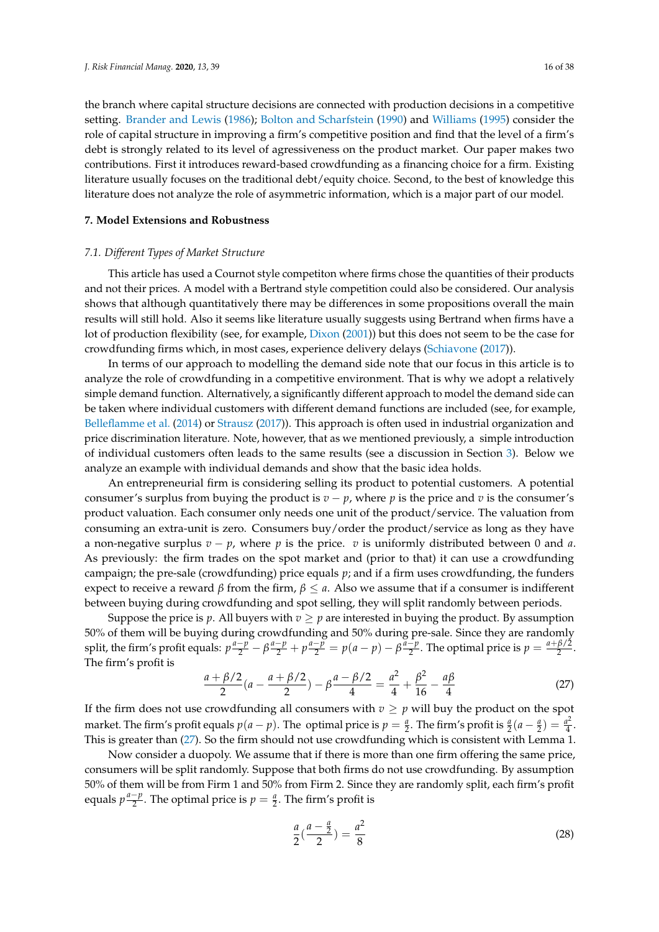the branch where capital structure decisions are connected with production decisions in a competitive setting. [Brander and Lewis](#page-34-14) [\(1986\)](#page-34-14); [Bolton and Scharfstein](#page-34-15) [\(1990\)](#page-34-15) and [Williams](#page-37-13) [\(1995\)](#page-37-13) consider the role of capital structure in improving a firm's competitive position and find that the level of a firm's debt is strongly related to its level of agressiveness on the product market. Our paper makes two contributions. First it introduces reward-based crowdfunding as a financing choice for a firm. Existing literature usually focuses on the traditional debt/equity choice. Second, to the best of knowledge this literature does not analyze the role of asymmetric information, which is a major part of our model.

# <span id="page-15-0"></span>**7. Model Extensions and Robustness**

#### *7.1. Different Types of Market Structure*

This article has used a Cournot style competiton where firms chose the quantities of their products and not their prices. A model with a Bertrand style competition could also be considered. Our analysis shows that although quantitatively there may be differences in some propositions overall the main results will still hold. Also it seems like literature usually suggests using Bertrand when firms have a lot of production flexibility (see, for example, [Dixon](#page-35-17) [\(2001\)](#page-35-17)) but this does not seem to be the case for crowdfunding firms which, in most cases, experience delivery delays [\(Schiavone](#page-37-14) [\(2017\)](#page-37-14)).

In terms of our approach to modelling the demand side note that our focus in this article is to analyze the role of crowdfunding in a competitive environment. That is why we adopt a relatively simple demand function. Alternatively, a significantly different approach to model the demand side can be taken where individual customers with different demand functions are included (see, for example, [Belleflamme et al.](#page-34-4) [\(2014\)](#page-34-4) or [Strausz](#page-37-10) [\(2017\)](#page-37-10)). This approach is often used in industrial organization and price discrimination literature. Note, however, that as we mentioned previously, a simple introduction of individual customers often leads to the same results (see a discussion in Section [3\)](#page-5-0). Below we analyze an example with individual demands and show that the basic idea holds.

An entrepreneurial firm is considering selling its product to potential customers. A potential consumer's surplus from buying the product is  $v - p$ , where p is the price and v is the consumer's product valuation. Each consumer only needs one unit of the product/service. The valuation from consuming an extra-unit is zero. Consumers buy/order the product/service as long as they have a non-negative surplus *v* − *p*, where *p* is the price. *v* is uniformly distributed between 0 and *a*. As previously: the firm trades on the spot market and (prior to that) it can use a crowdfunding campaign; the pre-sale (crowdfunding) price equals *p*; and if a firm uses crowdfunding, the funders expect to receive a reward *β* from the firm,  $\beta \le a$ . Also we assume that if a consumer is indifferent between buying during crowdfunding and spot selling, they will split randomly between periods.

Suppose the price is *p*. All buyers with  $v \geq p$  are interested in buying the product. By assumption 50% of them will be buying during crowdfunding and 50% during pre-sale. Since they are randomly split, the firm's profit equals:  $p\frac{a-p}{2} - \beta \frac{a-p}{2} + p\frac{a-p}{2} = p(a-p) - \beta \frac{a-p}{2}$  $\frac{-p}{2}$ . The optimal price is  $p = \frac{a + \beta/2}{2}$  $\frac{P}{2}$ . The firm's profit is

<span id="page-15-1"></span>
$$
\frac{a+\beta/2}{2}(a-\frac{a+\beta/2}{2})-\beta\frac{a-\beta/2}{4}=\frac{a^2}{4}+\frac{\beta^2}{16}-\frac{a\beta}{4}
$$
(27)

If the firm does not use crowdfunding all consumers with  $v \geq p$  will buy the product on the spot market. The firm's profit equals  $p(a - p)$ . The optimal price is  $p = \frac{a}{2}$ . The firm's profit is  $\frac{a}{2}(a - \frac{a}{2}) = \frac{a^2}{4}$  $\frac{4}{4}$ . This is greater than [\(27\)](#page-15-1). So the firm should not use crowdfunding which is consistent with Lemma 1.

Now consider a duopoly. We assume that if there is more than one firm offering the same price, consumers will be split randomly. Suppose that both firms do not use crowdfunding. By assumption 50% of them will be from Firm 1 and 50% from Firm 2. Since they are randomly split, each firm's profit equals  $p\frac{a-p}{2}$  $\frac{-p}{2}$ . The optimal price is  $p = \frac{a}{2}$ . The firm's profit is

<span id="page-15-2"></span>
$$
\frac{a}{2}(\frac{a-\frac{a}{2}}{2}) = \frac{a^2}{8}
$$
 (28)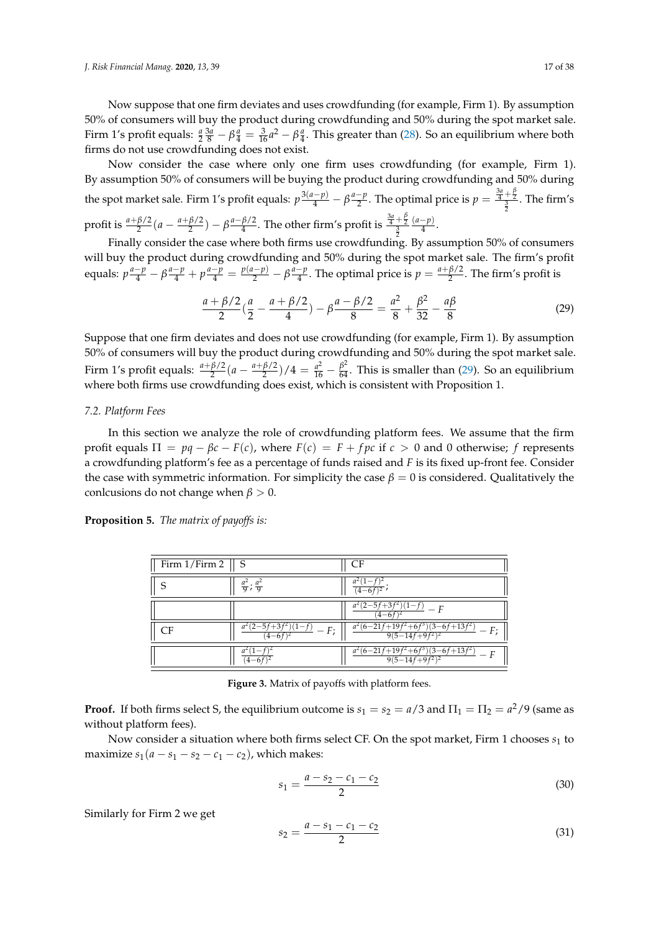Now suppose that one firm deviates and uses crowdfunding (for example, Firm 1). By assumption 50% of consumers will buy the product during crowdfunding and 50% during the spot market sale. Firm 1's profit equals:  $\frac{a}{2} \frac{3a}{8} - \beta \frac{a}{4} = \frac{3}{16} a^2 - \beta \frac{a}{4}$ . This greater than [\(28\)](#page-15-2). So an equilibrium where both firms do not use crowdfunding does not exist.

Now consider the case where only one firm uses crowdfunding (for example, Firm 1). By assumption 50% of consumers will be buying the product during crowdfunding and 50% during the spot market sale. Firm 1's profit equals:  $p\frac{3(a-p)}{4} - \beta \frac{a-p}{2}$  $\frac{-p}{2}$ . The optimal price is  $p = \frac{\frac{3a}{4} + \frac{\beta}{2}}{\frac{3}{2}}$ . The firm's profit is  $\frac{a+\beta/2}{2}(a-\frac{a+\beta/2}{2})$  $\binom{\beta/2}{2}$  –  $\beta \frac{a-\beta/2}{4}$  $\frac{\beta/2}{4}$ . The other firm's profit is  $\frac{\frac{3a}{4} + \frac{\beta}{2}}{\frac{3}{2}}$ (*a*−*p*)  $\frac{P}{4}$ .

Finally consider the case where both firms use crowdfunding. By assumption 50% of consumers will buy the product during crowdfunding and 50% during the spot market sale. The firm's profit equals:  $p\frac{a-p}{4} - \beta\frac{a-p}{4} + p\frac{a-p}{4} = \frac{p(a-p)}{2} - \beta\frac{a-p}{4}$  $\frac{-p}{4}$ . The optimal price is  $p = \frac{a + \beta/2}{2}$  $\frac{P}{2}$ . The firm's profit is

<span id="page-16-0"></span>
$$
\frac{a+\beta/2}{2}\left(\frac{a}{2}-\frac{a+\beta/2}{4}\right)-\beta\frac{a-\beta/2}{8}=\frac{a^2}{8}+\frac{\beta^2}{32}-\frac{a\beta}{8}
$$
(29)

Suppose that one firm deviates and does not use crowdfunding (for example, Firm 1). By assumption 50% of consumers will buy the product during crowdfunding and 50% during the spot market sale. Firm 1's profit equals:  $\frac{a+\beta/2}{2}(a-\frac{a+\beta/2}{2})$  $\frac{\beta}{2}$ )/4 =  $\frac{a^2}{16} - \frac{\beta^2}{64}$ . This is smaller than [\(29\)](#page-16-0). So an equilibrium where both firms use crowdfunding does exist, which is consistent with Proposition 1.

#### <span id="page-16-4"></span>*7.2. Platform Fees*

In this section we analyze the role of crowdfunding platform fees. We assume that the firm profit equals  $\Pi = pq - \beta c - F(c)$ , where  $F(c) = F + fpc$  if  $c > 0$  and 0 otherwise;  $f$  represents a crowdfunding platform's fee as a percentage of funds raised and *F* is its fixed up-front fee. Consider the case with symmetric information. For simplicity the case  $β = 0$  is considered. Qualitatively the conlcusions do not change when  $\beta > 0$ .

<span id="page-16-3"></span>**Proposition 5.** *The matrix of payoffs is:*

| Firm $1/Firm 2$   S |                                                        | CF                                                          |
|---------------------|--------------------------------------------------------|-------------------------------------------------------------|
|                     | $rac{a^2}{9}$ ; $rac{a^2}{9}$                          | $(4-6f)^2$                                                  |
|                     |                                                        | a <sup>2</sup> (2–5f<br>$)(1-f)$<br>$- F$<br>$4 - 6f$       |
| СF                  | $a^{2}(2-5f+3f)$<br>$\frac{1}{1-f}$ – F;<br>$(4-6f)^2$ | $a^2(6-21f+19)$<br>$\sqrt{3-6f+13f^2}$<br>$9(5-14f+9f^2)^2$ |
|                     |                                                        | $a^2(6-21f)$<br>$(3 - 6f + 13f^2)$<br>$9(5-14f+9f^2)$       |

**Figure 3.** Matrix of payoffs with platform fees.

**Proof.** If both firms select S, the equilibrium outcome is  $s_1 = s_2 = a/3$  and  $\Pi_1 = \Pi_2 = a^2/9$  (same as without platform fees).

Now consider a situation where both firms select CF. On the spot market, Firm 1 chooses  $s_1$  to maximize  $s_1(a - s_1 - s_2 - c_1 - c_2)$ , which makes:

<span id="page-16-1"></span>
$$
s_1 = \frac{a - s_2 - c_1 - c_2}{2} \tag{30}
$$

Similarly for Firm 2 we get

<span id="page-16-2"></span>
$$
s_2 = \frac{a - s_1 - c_1 - c_2}{2} \tag{31}
$$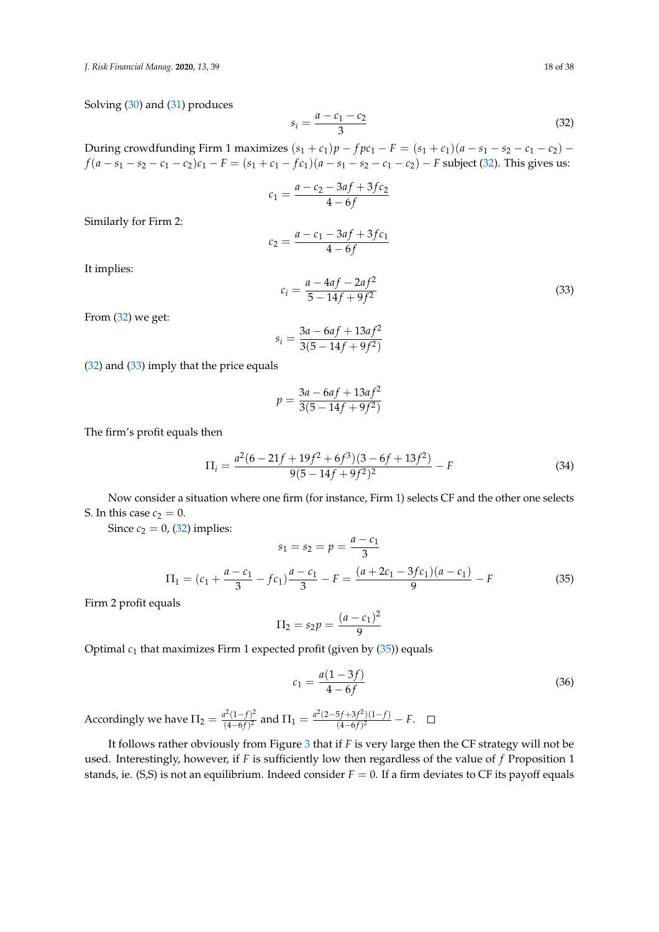*J. Risk Financial Manag.* **2020**, *13*, 39 18 of 38

Solving [\(30\)](#page-16-1) and [\(31\)](#page-16-2) produces

<span id="page-17-0"></span>
$$
s_i = \frac{a - c_1 - c_2}{3} \tag{32}
$$

During crowdfunding Firm 1 maximizes  $(s_1 + c_1)p - fpc_1 - F = (s_1 + c_1)(a - s_1 - s_2 - c_1 - c_2)$  −  $f(a - s_1 - s_2 - c_1 - c_2)c_1 - F = (s_1 + c_1 - fc_1)(a - s_1 - s_2 - c_1 - c_2) - F$  subject [\(32\)](#page-17-0). This gives us:

$$
c_1 = \frac{a - c_2 - 3af + 3fc_2}{4 - 6f}
$$

Similarly for Firm 2:

$$
c_2 = \frac{a - c_1 - 3af + 3fc_1}{4 - 6f}
$$

It implies:

<span id="page-17-1"></span>
$$
c_i = \frac{a - 4af - 2af^2}{5 - 14f + 9f^2}
$$
\n(33)

From [\(32\)](#page-17-0) we get:

$$
s_i = \frac{3a - 6af + 13af^2}{3(5 - 14f + 9f^2)}
$$

[\(32\)](#page-17-0) and [\(33\)](#page-17-1) imply that the price equals

$$
p = \frac{3a - 6af + 13af^2}{3(5 - 14f + 9f^2)}
$$

The firm's profit equals then

<span id="page-17-3"></span>
$$
\Pi_i = \frac{a^2(6 - 21f + 19f^2 + 6f^3)(3 - 6f + 13f^2)}{9(5 - 14f + 9f^2)^2} - F
$$
\n(34)

Now consider a situation where one firm (for instance, Firm 1) selects CF and the other one selects S. In this case  $c_2 = 0$ .

Since  $c_2 = 0$ , [\(32\)](#page-17-0) implies:

<span id="page-17-2"></span>
$$
s_1 = s_2 = p = \frac{a - c_1}{3}
$$
  
\n
$$
\Pi_1 = (c_1 + \frac{a - c_1}{3} - fc_1)\frac{a - c_1}{3} - F = \frac{(a + 2c_1 - 3fc_1)(a - c_1)}{9} - F
$$
\n(35)

Firm 2 profit equals

$$
\Pi_2 = s_2 p = \frac{(a - c_1)^2}{9}
$$

Optimal  $c_1$  that maximizes Firm 1 expected profit (given by  $(35)$ ) equals

<span id="page-17-4"></span>
$$
c_1 = \frac{a(1-3f)}{4-6f} \tag{36}
$$

Accordingly we have  $\Pi_2 = \frac{a^2(1-f)^2}{(4-6f)^2}$  $\frac{a^2(1-f)^2}{(4-6f)^2}$  and  $\Pi_1 = \frac{a^2(2-5f+3f^2)(1-f)}{(4-6f)^2}$  $\frac{(4-6f)^2}{(4-6f)^2} - F.$ 

It follows rather obviously from Figure [3](#page-16-3) that if *F* is very large then the CF strategy will not be used. Interestingly, however, if *F* is sufficiently low then regardless of the value of *f* Proposition 1 stands, ie. (S,S) is not an equilibrium. Indeed consider  $F = 0$ . If a firm deviates to CF its payoff equals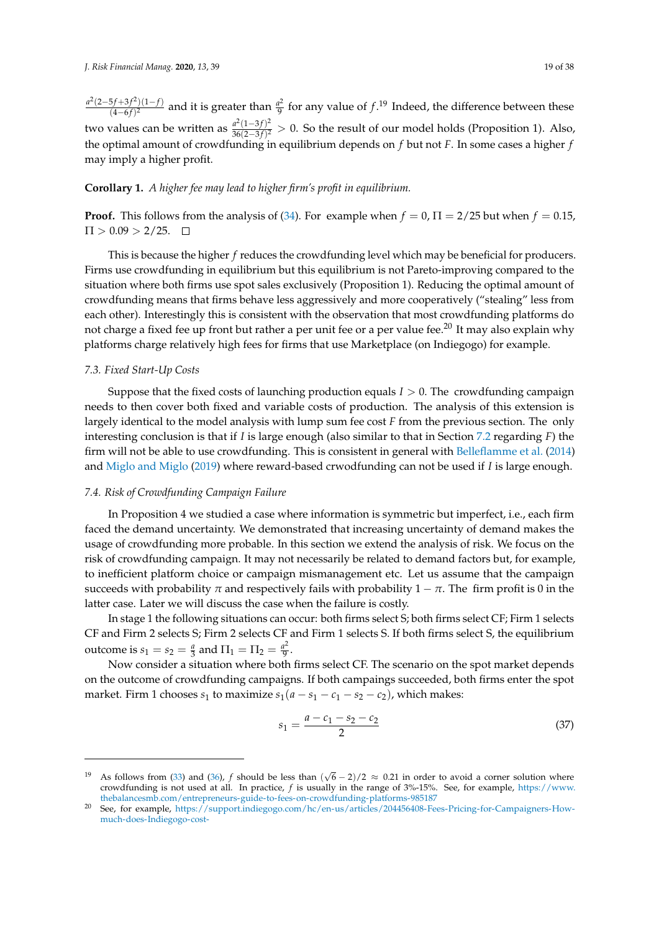*a* 2 (2−5 *f*+3 *f* 2 )(1−*f*) <sup>5*f*+3*f*<sup>2</sup>)(1−*f*)</sub> and it is greater than  $\frac{a^2}{9}$ </sup>  $\frac{q^2}{9}$  for any value of  $f$ .<sup>19</sup> Indeed, the difference between these two values can be written as  $\frac{a^2(1-3f)^2}{36(2-3f)^2}$  $\frac{d(1-3f)}{36(2-3f)^2} > 0$ . So the result of our model holds (Proposition 1). Also, the optimal amount of crowdfunding in equilibrium depends on *f* but not *F*. In some cases a higher *f* may imply a higher profit.

# **Corollary 1.** *A higher fee may lead to higher firm's profit in equilibrium.*

**Proof.** This follows from the analysis of [\(34\)](#page-17-3). For example when  $f = 0$ ,  $\Pi = 2/25$  but when  $f = 0.15$ ,  $\Pi > 0.09 > 2/25.$ 

This is because the higher *f* reduces the crowdfunding level which may be beneficial for producers. Firms use crowdfunding in equilibrium but this equilibrium is not Pareto-improving compared to the situation where both firms use spot sales exclusively (Proposition 1). Reducing the optimal amount of crowdfunding means that firms behave less aggressively and more cooperatively ("stealing" less from each other). Interestingly this is consistent with the observation that most crowdfunding platforms do not charge a fixed fee up front but rather a per unit fee or a per value fee.<sup>20</sup> It may also explain why platforms charge relatively high fees for firms that use Marketplace (on Indiegogo) for example.

# *7.3. Fixed Start-Up Costs*

Suppose that the fixed costs of launching production equals *I* > 0. The crowdfunding campaign needs to then cover both fixed and variable costs of production. The analysis of this extension is largely identical to the model analysis with lump sum fee cost *F* from the previous section. The only interesting conclusion is that if *I* is large enough (also similar to that in Section [7.2](#page-16-4) regarding *F*) the firm will not be able to use crowdfunding. This is consistent in general with [Belleflamme et al.](#page-34-4) [\(2014\)](#page-34-4) and [Miglo and Miglo](#page-36-6) [\(2019\)](#page-36-6) where reward-based crwodfunding can not be used if *I* is large enough.

#### *7.4. Risk of Crowdfunding Campaign Failure*

In Proposition 4 we studied a case where information is symmetric but imperfect, i.e., each firm faced the demand uncertainty. We demonstrated that increasing uncertainty of demand makes the usage of crowdfunding more probable. In this section we extend the analysis of risk. We focus on the risk of crowdfunding campaign. It may not necessarily be related to demand factors but, for example, to inefficient platform choice or campaign mismanagement etc. Let us assume that the campaign succeeds with probability  $\pi$  and respectively fails with probability  $1 - \pi$ . The firm profit is 0 in the latter case. Later we will discuss the case when the failure is costly.

In stage 1 the following situations can occur: both firms select S; both firms select CF; Firm 1 selects CF and Firm 2 selects S; Firm 2 selects CF and Firm 1 selects S. If both firms select S, the equilibrium outcome is  $s_1 = s_2 = \frac{a}{3}$  and  $\Pi_1 = \Pi_2 = \frac{a^2}{9}$  $rac{1}{9}$ .

Now consider a situation where both firms select CF. The scenario on the spot market depends on the outcome of crowdfunding campaigns. If both campaings succeeded, both firms enter the spot market. Firm 1 chooses  $s_1$  to maximize  $s_1(a - s_1 - c_1 - s_2 - c_2)$ , which makes:

<span id="page-18-0"></span>
$$
s_1 = \frac{a - c_1 - s_2 - c_2}{2} \tag{37}
$$

<sup>&</sup>lt;sup>19</sup> As follows from [\(33\)](#page-17-1) and [\(36\)](#page-17-4), *f* should be less than  $(\sqrt{6} - 2)/2 \approx 0.21$  in order to avoid a corner solution where crowdfunding is not used at all. In practice, *f* is usually in the range of 3%-15%. See, for example, [https://www.](https://www.thebalancesmb.com/entrepreneurs-guide-to-fees-on-crowdfunding-platforms-985187) [thebalancesmb.com/entrepreneurs-guide-to-fees-on-crowdfunding-platforms-985187](https://www.thebalancesmb.com/entrepreneurs-guide-to-fees-on-crowdfunding-platforms-985187)

See, for example, [https://support.indiegogo.com/hc/en-us/articles/204456408-Fees-Pricing-for-Campaigners-How](https://support.indiegogo.com/hc/en-us/articles/204456408-Fees-Pricing-for-Campaigners-How-much-does-Indiegogo-cost-)[much-does-Indiegogo-cost-](https://support.indiegogo.com/hc/en-us/articles/204456408-Fees-Pricing-for-Campaigners-How-much-does-Indiegogo-cost-)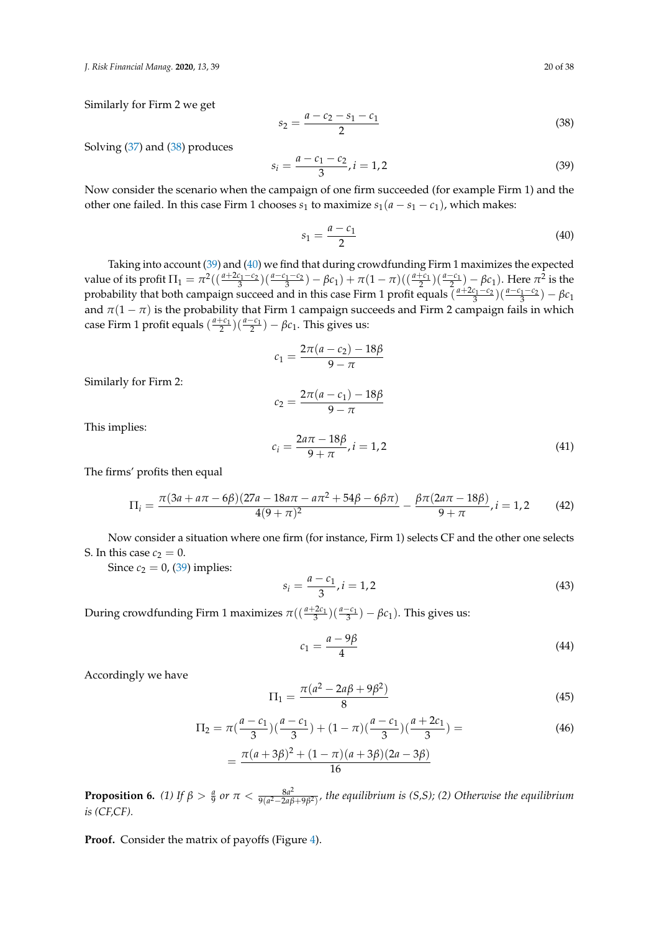*J. Risk Financial Manag.* **2020**, *13*, 39 20 of 38

Similarly for Firm 2 we get

<span id="page-19-0"></span>
$$
s_2 = \frac{a - c_2 - s_1 - c_1}{2} \tag{38}
$$

Solving [\(37\)](#page-18-0) and [\(38\)](#page-19-0) produces

<span id="page-19-1"></span>
$$
s_i = \frac{a - c_1 - c_2}{3}, i = 1, 2
$$
\n(39)

Now consider the scenario when the campaign of one firm succeeded (for example Firm 1) and the other one failed. In this case Firm 1 chooses  $s_1$  to maximize  $s_1(a - s_1 - c_1)$ , which makes:

<span id="page-19-2"></span>
$$
s_1 = \frac{a - c_1}{2} \tag{40}
$$

Taking into account [\(39\)](#page-19-1) and [\(40\)](#page-19-2) we find that during crowdfunding Firm 1 maximizes the expected value of its profit  $\Pi_1 = \pi^2((\frac{a+2c_1-c_2}{3})(\frac{a-c_1-c_2}{3}) - \beta c_1) + \pi(1-\pi)((\frac{a+c_1}{2})(\frac{a-c_1}{2}) - \beta c_1)$ . Here  $\pi^2$  is the probability that both campaign succeed and in this case Firm 1 profit equals  $\left(\frac{a+2c_1-c_2}{3}\right)\left(\frac{a-c_1-c_2}{3}\right) - \beta c_1$ and  $\pi(1 - \pi)$  is the probability that Firm 1 campaign succeeds and Firm 2 campaign fails in which case Firm 1 profit equals  $\left(\frac{a+c_1}{2}\right)\left(\frac{a-c_1}{2}\right) - \beta c_1$ . This gives us:

$$
c_1 = \frac{2\pi(a - c_2) - 18\beta}{9 - \pi}
$$

Similarly for Firm 2:

$$
c_2 = \frac{2\pi(a - c_1) - 18\beta}{9 - \pi}
$$

This implies:

<span id="page-19-4"></span>
$$
c_i = \frac{2a\pi - 18\beta}{9 + \pi}, i = 1, 2
$$
\n(41)

The firms' profits then equal

$$
\Pi_i = \frac{\pi (3a + a\pi - 6\beta)(27a - 18a\pi - a\pi^2 + 54\beta - 6\beta\pi)}{4(9+\pi)^2} - \frac{\beta \pi (2a\pi - 18\beta)}{9+\pi}, i = 1, 2 \tag{42}
$$

Now consider a situation where one firm (for instance, Firm 1) selects CF and the other one selects S. In this case  $c_2 = 0$ .

Since  $c_2 = 0$ , [\(39\)](#page-19-1) implies:

$$
s_i = \frac{a - c_1}{3}, i = 1, 2 \tag{43}
$$

During crowdfunding Firm 1 maximizes  $\pi((\frac{a+2c_1}{3})(\frac{a-c_1}{3}) - \beta c_1)$ . This gives us:

<span id="page-19-3"></span>
$$
c_1 = \frac{a - 9\beta}{4} \tag{44}
$$

Accordingly we have

$$
\Pi_1 = \frac{\pi (a^2 - 2a\beta + 9\beta^2)}{8} \tag{45}
$$

$$
\Pi_2 = \pi \left( \frac{a - c_1}{3} \right) \left( \frac{a - c_1}{3} \right) + (1 - \pi) \left( \frac{a - c_1}{3} \right) \left( \frac{a + 2c_1}{3} \right) =
$$
\n
$$
= \frac{\pi (a + 3\beta)^2 + (1 - \pi)(a + 3\beta)(2a - 3\beta)}{16}
$$
\n(46)

**Proposition 6.** (1) If  $\beta > \frac{a}{9}$  or  $\pi < \frac{8a^2}{9(a^2-2a\beta)}$ 9(*a* <sup>2</sup>−2*aβ*+9*β* 2) *, the equilibrium is (S,S); (2) Otherwise the equilibrium is (CF,CF).*

**Proof.** Consider the matrix of payoffs (Figure [4\)](#page-20-0).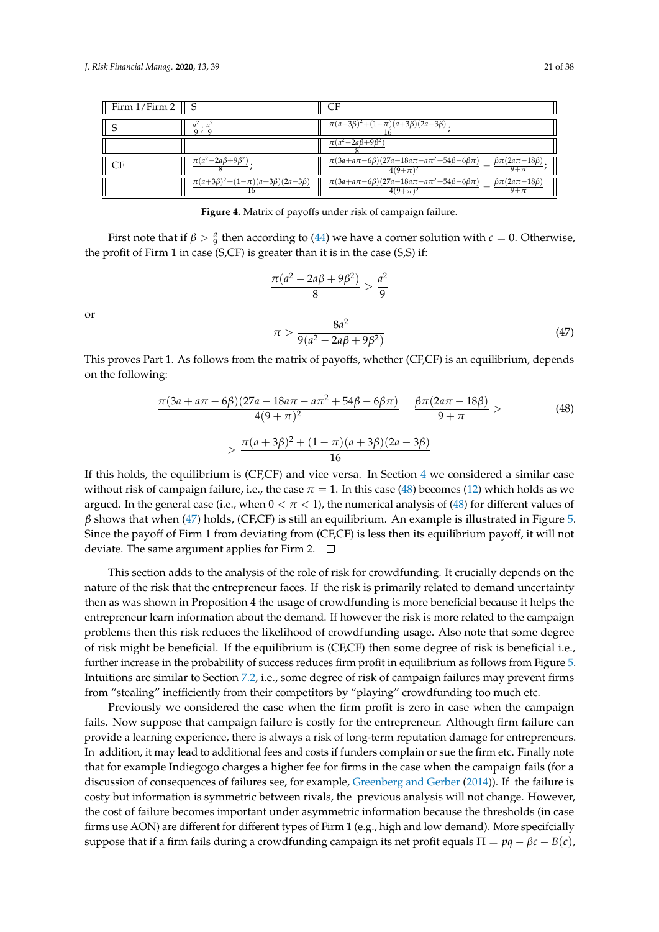<span id="page-20-0"></span>

| Firm $1/Firm 2 \parallel S$ |                                                        | CF                                                                                                                     |
|-----------------------------|--------------------------------------------------------|------------------------------------------------------------------------------------------------------------------------|
|                             | $rac{a^2}{9}$ ; $rac{a^2}{9}$                          | $\pi(a+3\beta)^2 + (1-\pi)(a+3\beta)(2a-3\beta)$                                                                       |
|                             |                                                        | $\pi(a^2-2a\beta+9\beta^2)$                                                                                            |
| CF                          | $\pi(a^2-2a\beta+9\beta^2)$                            | $\pi(3a+a\pi-6\beta)(27a-18a\pi-a\pi^2+54\beta-6\beta\pi)$<br>$\beta \pi (2a\pi - 18\beta)$<br>$9+\pi$<br>$4(9+\pi)^2$ |
|                             | $\pi(a+3\beta)^2 + (1-\pi)(a+3\beta)(2a-3\beta)$<br>16 | $\pi(3a+a\pi-6\beta)(27a-18a\pi-a\pi^2+54\beta-6\beta\pi)$<br>$\beta \pi (2a\pi - 18\beta)$<br>$9+\pi$<br>$4(9+\pi)^2$ |

**Figure 4.** Matrix of payoffs under risk of campaign failure.

First note that if  $\beta > \frac{a}{9}$  then according to [\(44\)](#page-19-3) we have a corner solution with  $c = 0$ . Otherwise, the profit of Firm 1 in case (S,CF) is greater than it is in the case (S,S) if:

<span id="page-20-2"></span>
$$
\frac{\pi(a^2 - 2a\beta + 9\beta^2)}{8} > \frac{a^2}{9}
$$

$$
\pi > \frac{8a^2}{9(a^2 - 2a\beta + 9\beta^2)}
$$
(47)

or

This proves Part 1. As follows from the matrix of payoffs, whether (CF,CF) is an equilibrium, depends on the following:

<span id="page-20-1"></span>
$$
\frac{\pi(3a + a\pi - 6\beta)(27a - 18a\pi - a\pi^2 + 54\beta - 6\beta\pi)}{4(9 + \pi)^2} - \frac{\beta\pi(2a\pi - 18\beta)}{9 + \pi} >\n \times \frac{\pi(a + 3\beta)^2 + (1 - \pi)(a + 3\beta)(2a - 3\beta)}{16}
$$
\n(48)

If this holds, the equilibrium is (CF,CF) and vice versa. In Section [4](#page-7-0) we considered a similar case without risk of campaign failure, i.e., the case  $\pi = 1$ . In this case [\(48\)](#page-20-1) becomes [\(12\)](#page-9-1) which holds as we argued. In the general case (i.e., when  $0 < \pi < 1$ ), the numerical analysis of [\(48\)](#page-20-1) for different values of  $\beta$  shows that when [\(47\)](#page-20-2) holds, (CF,CF) is still an equilibrium. An example is illustrated in Figure [5.](#page-21-0) Since the payoff of Firm 1 from deviating from (CF,CF) is less then its equilibrium payoff, it will not deviate. The same argument applies for Firm 2.  $\Box$ 

This section adds to the analysis of the role of risk for crowdfunding. It crucially depends on the nature of the risk that the entrepreneur faces. If the risk is primarily related to demand uncertainty then as was shown in Proposition 4 the usage of crowdfunding is more beneficial because it helps the entrepreneur learn information about the demand. If however the risk is more related to the campaign problems then this risk reduces the likelihood of crowdfunding usage. Also note that some degree of risk might be beneficial. If the equilibrium is (CF,CF) then some degree of risk is beneficial i.e., further increase in the probability of success reduces firm profit in equilibrium as follows from Figure [5.](#page-21-0) Intuitions are similar to Section [7.2,](#page-16-4) i.e., some degree of risk of campaign failures may prevent firms from "stealing" inefficiently from their competitors by "playing" crowdfunding too much etc.

Previously we considered the case when the firm profit is zero in case when the campaign fails. Now suppose that campaign failure is costly for the entrepreneur. Although firm failure can provide a learning experience, there is always a risk of long-term reputation damage for entrepreneurs. In addition, it may lead to additional fees and costs if funders complain or sue the firm etc. Finally note that for example Indiegogo charges a higher fee for firms in the case when the campaign fails (for a discussion of consequences of failures see, for example, [Greenberg and Gerber](#page-35-18) [\(2014\)](#page-35-18)). If the failure is costy but information is symmetric between rivals, the previous analysis will not change. However, the cost of failure becomes important under asymmetric information because the thresholds (in case firms use AON) are different for different types of Firm 1 (e.g., high and low demand). More specifcially suppose that if a firm fails during a crowdfunding campaign its net profit equals  $\Pi = pq - \beta c - B(c)$ ,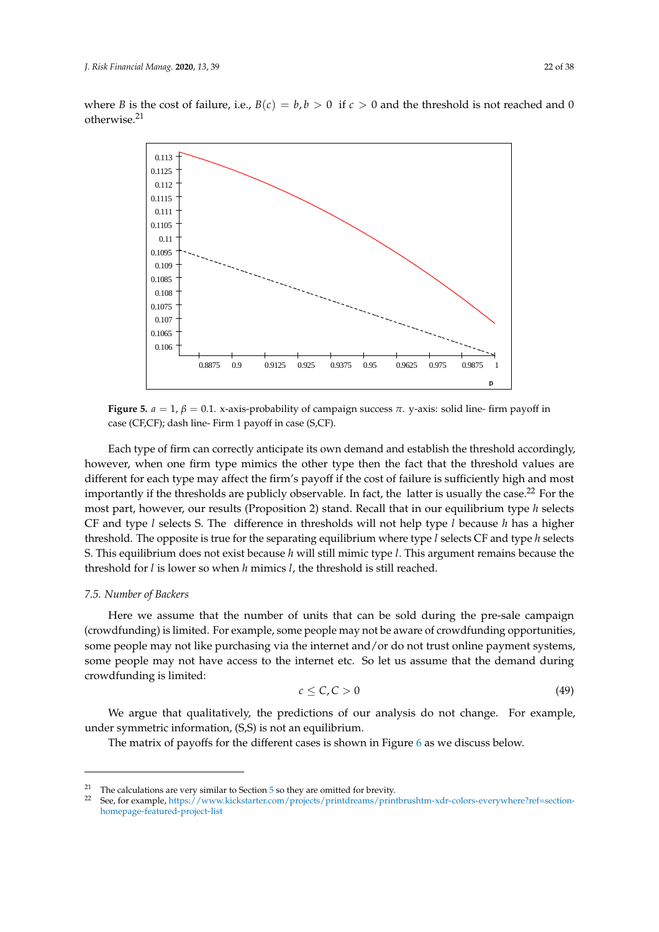<span id="page-21-0"></span>where *B* is the cost of failure, i.e.,  $B(c) = b, b > 0$  if  $c > 0$  and the threshold is not reached and 0 otherwise.<sup>21</sup>



**Figure 5.**  $a = 1$ ,  $\beta = 0.1$ . x-axis-probability of campaign success  $\pi$ . y-axis: solid line- firm payoff in case (CF,CF); dash line- Firm 1 payoff in case (S,CF).

This section adds to the analysis of the role of risk for crowdfunding. It cru-Each type of firm can correctly anticipate its own demand and establish the threshold accordingly, however, when one firm type mimics the other type then the fact that the threshold values are different for each type may affect the firm's payoff if the cost of failure is sufficiently high and most importantly if the thresholds are publicly observable. In fact, the latter is usually the case.<sup>22</sup> For the most part, however, our results (Proposition 2) stand. Recall that in our equilibrium type *h* selects CF and type *l* selects S. The difference in thresholds will not help type *l* because *h* has a higher threshold. The opposite is true for the separating equilibrium where type *l* selects CF and type *h* selects S. This equilibrium does not exist because *h* will still mimic type *l*. This argument remains because the  $\frac{1}{2}$   $\frac{1}{2}$   $\frac{1}{2}$   $\frac{1}{2}$   $\frac{1}{2}$   $\frac{1}{2}$   $\frac{1}{2}$   $\frac{1}{2}$   $\frac{1}{2}$   $\frac{1}{2}$   $\frac{1}{2}$   $\frac{1}{2}$   $\frac{1}{2}$   $\frac{1}{2}$   $\frac{1}{2}$ threshold for *l* is lower so when *h* mimics *l*, the threshold is still reached.

# by "playing" crowdfunding too much etc. *7.5. Number of Backers*  $P$ *v*

Here we assume that the number of units that can be sold during the pre-sale campaign (crowdfunding) is limited. For example, some people may not be aware of crowdfunding opportunities, some people may not like purchasing via the internet and/or do not trust online payment systems, le may not mee paremong vacate memetama or as not tract chine payme some people may not have access to the internet etc. So let us assume that the demand during  $t$  and  $t$  a discussion of  $\alpha$  discussion of  $\alpha$  and  $\alpha$  failures see, for examcrowdfunding is limited:

$$
c \leq C, C > 0 \tag{49}
$$

symmetric between rivals, the previous analysis will not change. However, the We argue that qualitatively, the predictions of our analysis do not change. For example, under symmetric information,  $(S, S)$  is not an equilibrium.

The m[at](#page-22-0)rix of payoffs for the different cases is shown in Figure 6 as we discuss below.

<sup>&</sup>lt;sup>21</sup> The calculations are very similar to Section [5](#page-10-0) so they are omitted for brevity.<br><sup>22</sup> See for avangle https://www.kielschater.com/projects/print-breases/prin

<sup>22</sup> See, for example, [https://www.kickstarter.com/projects/printdreams/printbrushtm-xdr-colors-everywhere?ref=section](https://www.kickstarter.com/projects/printdreams/printbrushtm-xdr-colors-everywhere?ref=section-homepage-featured-project-list)[homepage-featured-project-list](https://www.kickstarter.com/projects/printdreams/printbrushtm-xdr-colors-everywhere?ref=section-homepage-featured-project-list)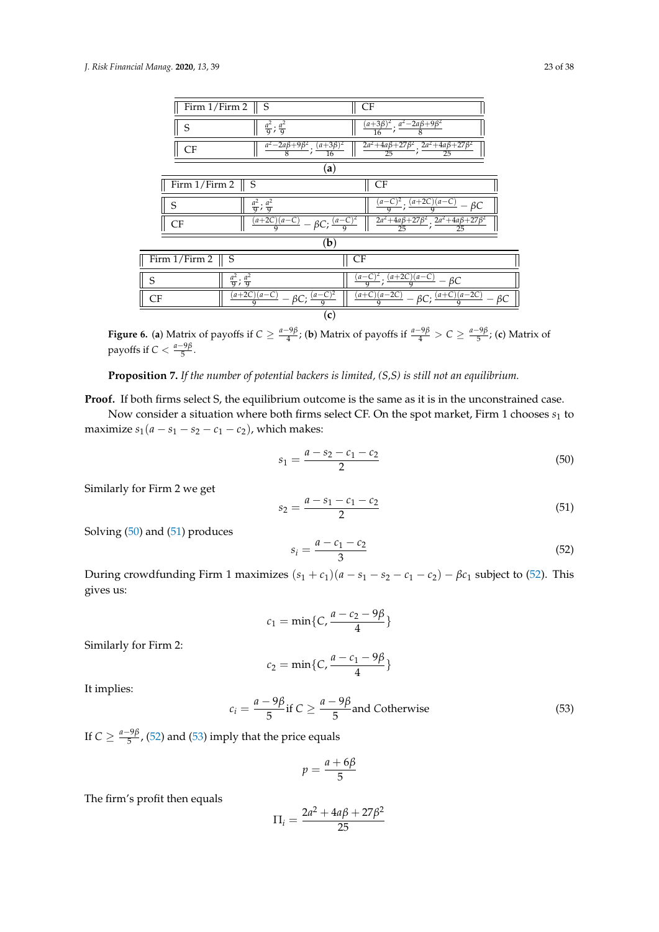<span id="page-22-0"></span>

| CF<br>Firm 1/Firm 2<br>S                                                                                                                     |      |
|----------------------------------------------------------------------------------------------------------------------------------------------|------|
| $\frac{(a+3\beta)^2}{2}$ : $\frac{a^2-2a\beta+9\beta^2}{2}$<br>$rac{a^2}{9}$ ; $rac{a^2}{9}$<br>S<br>$\overline{16}$                         |      |
| $\frac{2a^2+4a\beta+27\beta^2}{2a^2+4a\beta+27\beta^2}$<br>$\frac{a^2-2a\beta+9\beta^2}{8}; \frac{(a+3\beta)^2}{16}$<br>CF<br>25<br>25<br>16 |      |
| (a)                                                                                                                                          |      |
| Firm 1/Firm 2<br>CF<br>S                                                                                                                     |      |
| $(a+2C)(a-C)$<br>$rac{a^2}{9}$ ; $rac{a^2}{9}$<br>$(a-C)^2$ .<br>S<br>ßС                                                                     |      |
| $\frac{2a^2+4a\beta+27\beta^2}{25}; \frac{2a^2+4a\beta+27\beta^2}{25}$<br>$\frac{(a+2C)(a-C)}{9} - \beta C; \frac{(a-C)^2}{9}$<br>CF         |      |
| (b)                                                                                                                                          |      |
| Firm 1/Firm 2<br>S<br><b>CF</b>                                                                                                              |      |
| $(a+2C)(a-C)$<br>$(a - C)^2$<br>$rac{a^2}{9}$ ; $rac{a^2}{9}$<br>S<br>$- \beta C$<br>$\overline{a}$                                          |      |
| $(a+C)(a-2C)$<br>$(a+2C)(a-C)$<br>$-\beta C; \frac{(a+C)(a-2C)}{2}$<br>$-\beta C; \frac{(a-\overline{C})}{2}$<br><b>CF</b>                   | – ВС |
| (c)                                                                                                                                          |      |

**Figure 6. (a)** Matrix of payoffs if  $C \ge \frac{a-9\beta}{4}$ ; (b) Matrix of payoffs if  $\frac{a-9\beta}{4} > C \ge \frac{a-9\beta}{5}$ ; (c) Matrix of payoffs if  $C < \frac{a-9\beta}{5}$ .

**Proposition 7.** *If the number of potential backers is limited, (S,S) is still not an equilibrium.*

**Proof.** If both firms select S, the equilibrium outcome is the same as it is in the unconstrained case.

Now consider a situation where both firms select CF. On the spot market, Firm 1 chooses  $s_1$  to maximize  $s_1(a - s_1 - s_2 - c_1 - c_2)$ , which makes:

<span id="page-22-1"></span>
$$
s_1 = \frac{a - s_2 - c_1 - c_2}{2} \tag{50}
$$

Similarly for Firm 2 we get

<span id="page-22-2"></span>
$$
s_2 = \frac{a - s_1 - c_1 - c_2}{2} \tag{51}
$$

Solving [\(50\)](#page-22-1) and [\(51\)](#page-22-2) produces

<span id="page-22-3"></span>
$$
s_i = \frac{a - c_1 - c_2}{3} \tag{52}
$$

During crowdfunding Firm 1 maximizes  $(s_1 + c_1)(a - s_1 - s_2 - c_1 - c_2) - \beta c_1$  subject to [\(52\)](#page-22-3). This gives us:

$$
c_1=\min\{C,\frac{a-c_2-9\beta}{4}\}\
$$

Similarly for Firm 2:

$$
c_2=\min\{C,\frac{a-c_1-9\beta}{4}\}\
$$

It implies:

<span id="page-22-4"></span>
$$
c_i = \frac{a - 9\beta}{5} \text{if } C \ge \frac{a - 9\beta}{5} \text{and Cotherwise}
$$
 (53)

If  $C \geq \frac{a-9\beta}{5}$  $\frac{F_2P}{5}$ , [\(52\)](#page-22-3) and [\(53\)](#page-22-4) imply that the price equals

$$
p = \frac{a + 6\beta}{5}
$$

The firm's profit then equals

$$
\Pi_i = \frac{2a^2 + 4a\beta + 27\beta^2}{25}
$$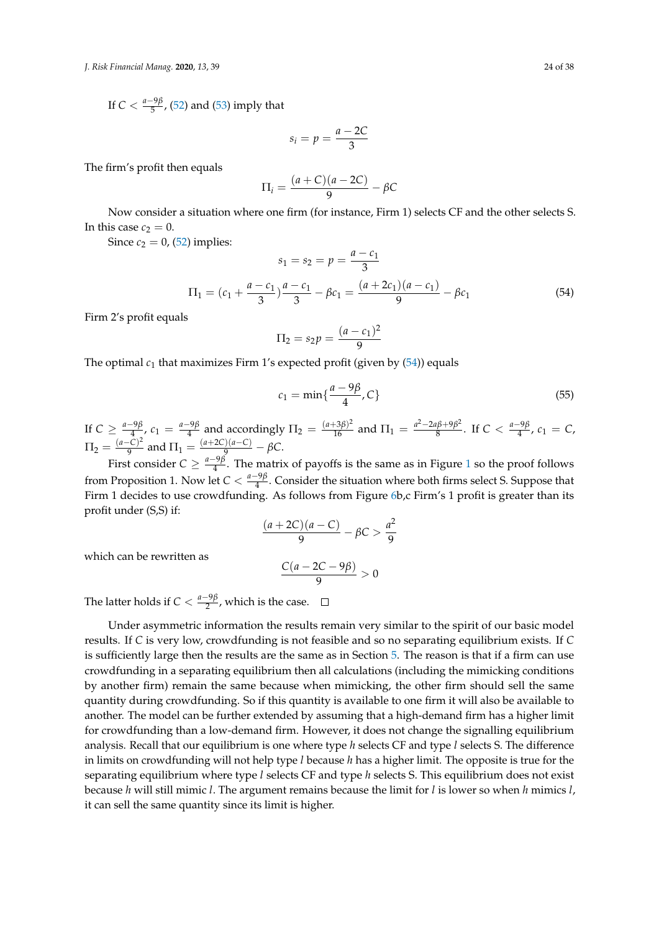If  $C < \frac{a-9\beta}{5}$  $\frac{f^{2}P}{5}$ , [\(52\)](#page-22-3) and [\(53\)](#page-22-4) imply that

$$
s_i = p = \frac{a - 2C}{3}
$$

The firm's profit then equals

$$
\Pi_i = \frac{(a+C)(a-2C)}{9} - \beta C
$$

Now consider a situation where one firm (for instance, Firm 1) selects CF and the other selects S. In this case  $c_2 = 0$ .

Since  $c_2 = 0$ , [\(52\)](#page-22-3) implies:

<span id="page-23-0"></span>
$$
s_1 = s_2 = p = \frac{a - c_1}{3}
$$
  
\n
$$
\Pi_1 = (c_1 + \frac{a - c_1}{3})\frac{a - c_1}{3} - \beta c_1 = \frac{(a + 2c_1)(a - c_1)}{9} - \beta c_1
$$
\n(54)

Firm 2's profit equals

$$
\Pi_2 = s_2 p = \frac{(a - c_1)^2}{9}
$$

The optimal  $c_1$  that maximizes Firm 1's expected profit (given by  $(54)$ ) equals

$$
c_1 = \min\{\frac{a - 9\beta}{4}, C\} \tag{55}
$$

If  $C \geq \frac{a-9\beta}{4}$  $\frac{-9\beta}{4}$ ,  $c_1 = \frac{a-9\beta}{4}$  $\frac{(-9\beta)}{4}$  and accordingly  $\Pi_2 = \frac{(a+3\beta)^2}{16}$  and  $\Pi_1 = \frac{a^2-2a\beta+9\beta^2}{8}$  $\frac{a\beta+9\beta^2}{8}$ . If  $C < \frac{a-9\beta}{4}$  $\frac{-9p}{4}$ ,  $c_1 = C$ ,  $\Pi_2 = \frac{(a-C)^2}{9}$  $\frac{(-C)^2}{9}$  and  $\Pi_1 = \frac{(a+2C)(a-C)}{9} - \beta C$ .

First consider  $C \geq \frac{a-9\beta}{4}$  $\frac{p}{4}$ . The matrix of payoffs is the same as in Figure [1](#page-9-0) so the proof follows from Proposition 1. Now let  $C < \frac{a-9\beta}{4}$  $\frac{p}{4}$ . Consider the situation where both firms select S. Suppose that Firm 1 decides to use crowdfunding. As follows from Figure [6b](#page-22-0),c Firm's 1 profit is greater than its profit under (S,S) if:

$$
\frac{(a+2C)(a-C)}{9}-\beta C>\frac{a^2}{9}
$$

which can be rewritten as

$$
\frac{C(a-2C-9\beta)}{9}>0
$$

The latter holds if  $C < \frac{a-9\beta}{2}$  $\frac{p}{2}$ , which is the case.

Under asymmetric information the results remain very similar to the spirit of our basic model results. If *C* is very low, crowdfunding is not feasible and so no separating equilibrium exists. If *C* is sufficiently large then the results are the same as in Section [5.](#page-10-0) The reason is that if a firm can use crowdfunding in a separating equilibrium then all calculations (including the mimicking conditions by another firm) remain the same because when mimicking, the other firm should sell the same quantity during crowdfunding. So if this quantity is available to one firm it will also be available to another. The model can be further extended by assuming that a high-demand firm has a higher limit for crowdfunding than a low-demand firm. However, it does not change the signalling equilibrium analysis. Recall that our equilibrium is one where type *h* selects CF and type *l* selects S. The difference in limits on crowdfunding will not help type *l* because *h* has a higher limit. The opposite is true for the separating equilibrium where type *l* selects CF and type *h* selects S. This equilibrium does not exist because *h* will still mimic *l*. The argument remains because the limit for *l* is lower so when *h* mimics *l*, it can sell the same quantity since its limit is higher.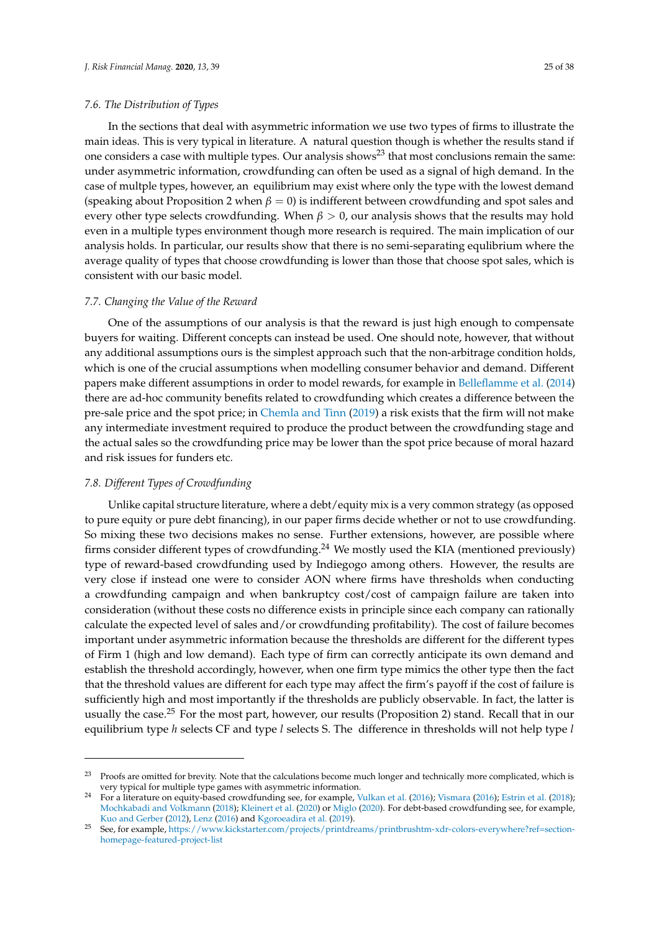#### *7.6. The Distribution of Types*

In the sections that deal with asymmetric information we use two types of firms to illustrate the main ideas. This is very typical in literature. A natural question though is whether the results stand if one considers a case with multiple types. Our analysis shows<sup>23</sup> that most conclusions remain the same: under asymmetric information, crowdfunding can often be used as a signal of high demand. In the case of multple types, however, an equilibrium may exist where only the type with the lowest demand (speaking about Proposition 2 when  $\beta = 0$ ) is indifferent between crowdfunding and spot sales and every other type selects crowdfunding. When  $\beta > 0$ , our analysis shows that the results may hold even in a multiple types environment though more research is required. The main implication of our analysis holds. In particular, our results show that there is no semi-separating equlibrium where the average quality of types that choose crowdfunding is lower than those that choose spot sales, which is consistent with our basic model.

# *7.7. Changing the Value of the Reward*

One of the assumptions of our analysis is that the reward is just high enough to compensate buyers for waiting. Different concepts can instead be used. One should note, however, that without any additional assumptions ours is the simplest approach such that the non-arbitrage condition holds, which is one of the crucial assumptions when modelling consumer behavior and demand. Different papers make different assumptions in order to model rewards, for example in [Belleflamme et al.](#page-34-4) [\(2014\)](#page-34-4) there are ad-hoc community benefits related to crowdfunding which creates a difference between the pre-sale price and the spot price; in [Chemla and Tinn](#page-34-11) [\(2019\)](#page-34-11) a risk exists that the firm will not make any intermediate investment required to produce the product between the crowdfunding stage and the actual sales so the crowdfunding price may be lower than the spot price because of moral hazard and risk issues for funders etc.

# *7.8. Different Types of Crowdfunding*

Unlike capital structure literature, where a debt/equity mix is a very common strategy (as opposed to pure equity or pure debt financing), in our paper firms decide whether or not to use crowdfunding. So mixing these two decisions makes no sense. Further extensions, however, are possible where firms consider different types of crowdfunding.<sup>24</sup> We mostly used the KIA (mentioned previously) type of reward-based crowdfunding used by Indiegogo among others. However, the results are very close if instead one were to consider AON where firms have thresholds when conducting a crowdfunding campaign and when bankruptcy cost/cost of campaign failure are taken into consideration (without these costs no difference exists in principle since each company can rationally calculate the expected level of sales and/or crowdfunding profitability). The cost of failure becomes important under asymmetric information because the thresholds are different for the different types of Firm 1 (high and low demand). Each type of firm can correctly anticipate its own demand and establish the threshold accordingly, however, when one firm type mimics the other type then the fact that the threshold values are different for each type may affect the firm's payoff if the cost of failure is sufficiently high and most importantly if the thresholds are publicly observable. In fact, the latter is usually the case.<sup>25</sup> For the most part, however, our results (Proposition 2) stand. Recall that in our equilibrium type *h* selects CF and type *l* selects S. The difference in thresholds will not help type *l*

<sup>&</sup>lt;sup>23</sup> Proofs are omitted for brevity. Note that the calculations become much longer and technically more complicated, which is very typical for multiple type games with asymmetric information.

<sup>24</sup> For a literature on equity-based crowdfunding see, for example, [Vulkan et al.](#page-37-15) [\(2016\)](#page-37-15); [Vismara](#page-37-16) [\(2016\)](#page-37-16); [Estrin et al.](#page-35-4) [\(2018\)](#page-35-4); [Mochkabadi and Volkmann](#page-36-4) [\(2018\)](#page-36-4); [Kleinert et al.](#page-36-9) [\(2020\)](#page-36-9) or [Miglo](#page-36-13) [\(2020\)](#page-36-13). For debt-based crowdfunding see, for example, [Kuo and Gerber](#page-36-7) [\(2012\)](#page-36-7), [Lenz](#page-36-14) [\(2016\)](#page-36-14) and [Kgoroeadira et al.](#page-36-15) [\(2019\)](#page-36-15).

<sup>25</sup> See, for example, [https://www.kickstarter.com/projects/printdreams/printbrushtm-xdr-colors-everywhere?ref=section](https://www.kickstarter.com/projects/printdreams/printbrushtm-xdr-colors-everywhere?ref=section-homepage-featured-project-list)[homepage-featured-project-list](https://www.kickstarter.com/projects/printdreams/printbrushtm-xdr-colors-everywhere?ref=section-homepage-featured-project-list)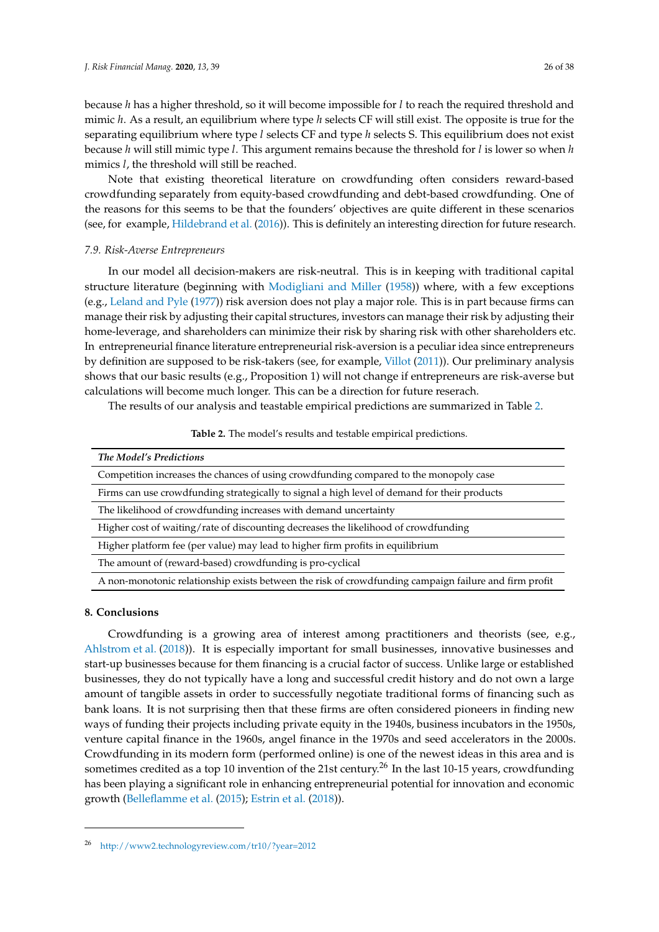because *h* has a higher threshold, so it will become impossible for *l* to reach the required threshold and mimic *h*. As a result, an equilibrium where type *h* selects CF will still exist. The opposite is true for the separating equilibrium where type *l* selects CF and type *h* selects S. This equilibrium does not exist because *h* will still mimic type *l*. This argument remains because the threshold for *l* is lower so when *h* mimics *l*, the threshold will still be reached.

Note that existing theoretical literature on crowdfunding often considers reward-based crowdfunding separately from equity-based crowdfunding and debt-based crowdfunding. One of the reasons for this seems to be that the founders' objectives are quite different in these scenarios (see, for example, [Hildebrand et al.](#page-35-12) [\(2016\)](#page-35-12)). This is definitely an interesting direction for future research.

#### *7.9. Risk-Averse Entrepreneurs*

In our model all decision-makers are risk-neutral. This is in keeping with traditional capital structure literature (beginning with [Modigliani and Miller](#page-36-16) [\(1958\)](#page-36-16)) where, with a few exceptions (e.g., [Leland and Pyle](#page-36-17) [\(1977\)](#page-36-17)) risk aversion does not play a major role. This is in part because firms can manage their risk by adjusting their capital structures, investors can manage their risk by adjusting their home-leverage, and shareholders can minimize their risk by sharing risk with other shareholders etc. In entrepreneurial finance literature entrepreneurial risk-aversion is a peculiar idea since entrepreneurs by definition are supposed to be risk-takers (see, for example, [Villot](#page-37-17) [\(2011\)](#page-37-17)). Our preliminary analysis shows that our basic results (e.g., Proposition 1) will not change if entrepreneurs are risk-averse but calculations will become much longer. This can be a direction for future reserach.

<span id="page-25-1"></span>The results of our analysis and teastable empirical predictions are summarized in Table [2.](#page-25-1)

| Table 2. The model's results and testable empirical predictions. |
|------------------------------------------------------------------|
|------------------------------------------------------------------|

| The Model's Predictions                                                                               |
|-------------------------------------------------------------------------------------------------------|
| Competition increases the chances of using crowdfunding compared to the monopoly case                 |
| Firms can use crowdfunding strategically to signal a high level of demand for their products          |
| The likelihood of crowdfunding increases with demand uncertainty                                      |
| Higher cost of waiting/rate of discounting decreases the likelihood of crowdfunding                   |
| Higher platform fee (per value) may lead to higher firm profits in equilibrium                        |
| The amount of (reward-based) crowdfunding is pro-cyclical                                             |
| A non-monotonic relationship exists between the risk of crowdfunding campaign failure and firm profit |
|                                                                                                       |

#### <span id="page-25-0"></span>**8. Conclusions**

Crowdfunding is a growing area of interest among practitioners and theorists (see, e.g., [Ahlstrom et al.](#page-34-16) [\(2018\)](#page-34-16)). It is especially important for small businesses, innovative businesses and start-up businesses because for them financing is a crucial factor of success. Unlike large or established businesses, they do not typically have a long and successful credit history and do not own a large amount of tangible assets in order to successfully negotiate traditional forms of financing such as bank loans. It is not surprising then that these firms are often considered pioneers in finding new ways of funding their projects including private equity in the 1940s, business incubators in the 1950s, venture capital finance in the 1960s, angel finance in the 1970s and seed accelerators in the 2000s. Crowdfunding in its modern form (performed online) is one of the newest ideas in this area and is sometimes credited as a top 10 invention of the 21st century.<sup>26</sup> In the last 10-15 years, crowdfunding has been playing a significant role in enhancing entrepreneurial potential for innovation and economic growth [\(Belleflamme et al.](#page-34-17) [\(2015\)](#page-34-17); [Estrin et al.](#page-35-4) [\(2018\)](#page-35-4)).

<sup>26</sup> <http://www2.technologyreview.com/tr10/?year=2012>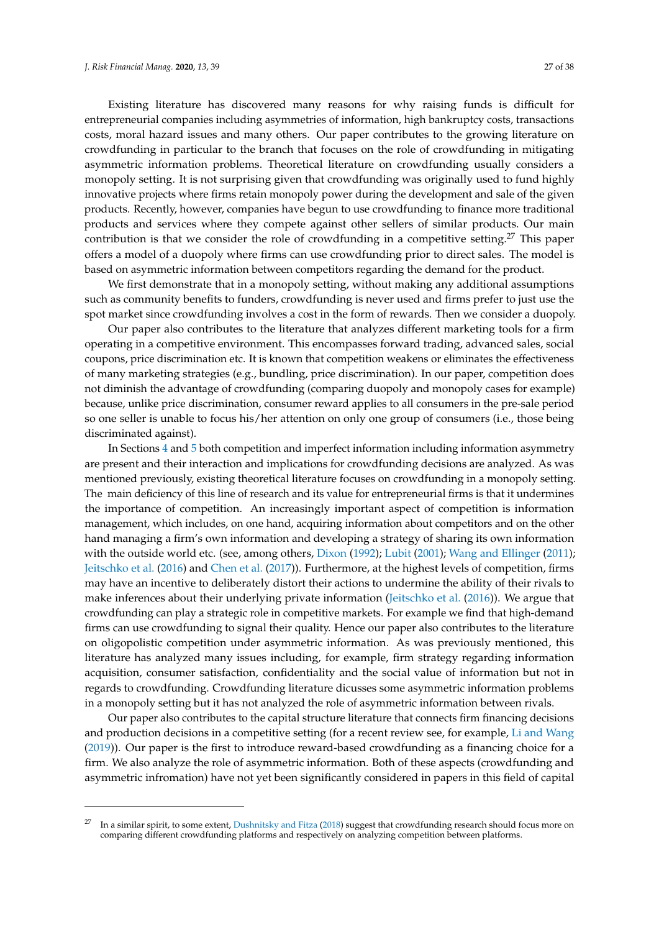Existing literature has discovered many reasons for why raising funds is difficult for entrepreneurial companies including asymmetries of information, high bankruptcy costs, transactions costs, moral hazard issues and many others. Our paper contributes to the growing literature on crowdfunding in particular to the branch that focuses on the role of crowdfunding in mitigating asymmetric information problems. Theoretical literature on crowdfunding usually considers a monopoly setting. It is not surprising given that crowdfunding was originally used to fund highly innovative projects where firms retain monopoly power during the development and sale of the given products. Recently, however, companies have begun to use crowdfunding to finance more traditional products and services where they compete against other sellers of similar products. Our main contribution is that we consider the role of crowdfunding in a competitive setting.<sup>27</sup> This paper offers a model of a duopoly where firms can use crowdfunding prior to direct sales. The model is based on asymmetric information between competitors regarding the demand for the product.

We first demonstrate that in a monopoly setting, without making any additional assumptions such as community benefits to funders, crowdfunding is never used and firms prefer to just use the spot market since crowdfunding involves a cost in the form of rewards. Then we consider a duopoly.

Our paper also contributes to the literature that analyzes different marketing tools for a firm operating in a competitive environment. This encompasses forward trading, advanced sales, social coupons, price discrimination etc. It is known that competition weakens or eliminates the effectiveness of many marketing strategies (e.g., bundling, price discrimination). In our paper, competition does not diminish the advantage of crowdfunding (comparing duopoly and monopoly cases for example) because, unlike price discrimination, consumer reward applies to all consumers in the pre-sale period so one seller is unable to focus his/her attention on only one group of consumers (i.e., those being discriminated against).

In Sections [4](#page-7-0) and [5](#page-10-0) both competition and imperfect information including information asymmetry are present and their interaction and implications for crowdfunding decisions are analyzed. As was mentioned previously, existing theoretical literature focuses on crowdfunding in a monopoly setting. The main deficiency of this line of research and its value for entrepreneurial firms is that it undermines the importance of competition. An increasingly important aspect of competition is information management, which includes, on one hand, acquiring information about competitors and on the other hand managing a firm's own information and developing a strategy of sharing its own information with the outside world etc. (see, among others, [Dixon](#page-35-19) [\(1992\)](#page-35-19); [Lubit](#page-36-18) [\(2001\)](#page-36-18); [Wang and Ellinger](#page-37-18) [\(2011\)](#page-37-18); [Jeitschko et al.](#page-36-19) [\(2016\)](#page-36-19) and [Chen et al.](#page-34-18) [\(2017\)](#page-34-18)). Furthermore, at the highest levels of competition, firms may have an incentive to deliberately distort their actions to undermine the ability of their rivals to make inferences about their underlying private information [\(Jeitschko et al.](#page-36-19) [\(2016\)](#page-36-19)). We argue that crowdfunding can play a strategic role in competitive markets. For example we find that high-demand firms can use crowdfunding to signal their quality. Hence our paper also contributes to the literature on oligopolistic competition under asymmetric information. As was previously mentioned, this literature has analyzed many issues including, for example, firm strategy regarding information acquisition, consumer satisfaction, confidentiality and the social value of information but not in regards to crowdfunding. Crowdfunding literature dicusses some asymmetric information problems in a monopoly setting but it has not analyzed the role of asymmetric information between rivals.

Our paper also contributes to the capital structure literature that connects firm financing decisions and production decisions in a competitive setting (for a recent review see, for example, [Li and Wang](#page-36-20) [\(2019\)](#page-36-20)). Our paper is the first to introduce reward-based crowdfunding as a financing choice for a firm. We also analyze the role of asymmetric information. Both of these aspects (crowdfunding and asymmetric infromation) have not yet been significantly considered in papers in this field of capital

<sup>&</sup>lt;sup>27</sup> In a similar spirit, to some extent, [Dushnitsky and Fitza](#page-35-20) [\(2018\)](#page-35-20) suggest that crowdfunding research should focus more on comparing different crowdfunding platforms and respectively on analyzing competition between platforms.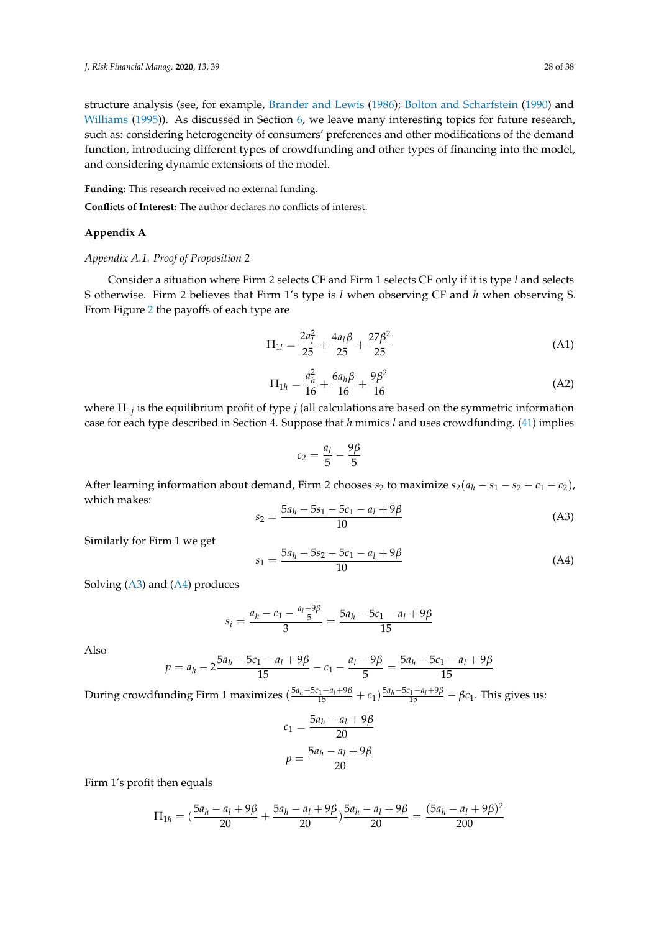structure analysis (see, for example, [Brander and Lewis](#page-34-14) [\(1986\)](#page-34-14); [Bolton and Scharfstein](#page-34-15) [\(1990\)](#page-34-15) and [Williams](#page-37-13) [\(1995\)](#page-37-13)). As discussed in Section [6,](#page-14-0) we leave many interesting topics for future research, such as: considering heterogeneity of consumers' preferences and other modifications of the demand function, introducing different types of crowdfunding and other types of financing into the model, and considering dynamic extensions of the model.

**Funding:** This research received no external funding.

**Conflicts of Interest:** The author declares no conflicts of interest.

# **Appendix A**

## <span id="page-27-0"></span>*Appendix A.1. Proof of Proposition 2*

Consider a situation where Firm 2 selects CF and Firm 1 selects CF only if it is type *l* and selects S otherwise. Firm 2 believes that Firm 1's type is *l* when observing CF and *h* when observing S. From Figure [2](#page-11-0) the payoffs of each type are

$$
\Pi_{1l} = \frac{2a_l^2}{25} + \frac{4a_l\beta}{25} + \frac{27\beta^2}{25}
$$
 (A1)

<span id="page-27-3"></span>
$$
\Pi_{1h} = \frac{a_h^2}{16} + \frac{6a_h\beta}{16} + \frac{9\beta^2}{16}
$$
 (A2)

where  $\Pi_{1j}$  is the equilibrium profit of type  $j$  (all calculations are based on the symmetric information case for each type described in Section 4. Suppose that *h* mimics *l* and uses crowdfunding. [\(41\)](#page-19-4) implies

$$
c_2 = \frac{a_1}{5} - \frac{9\beta}{5}
$$

After learning information about demand, Firm 2 chooses  $s_2$  to maximize  $s_2(a_h - s_1 - s_2 - c_1 - c_2)$ , which makes:

<span id="page-27-1"></span>
$$
s_2 = \frac{5a_h - 5s_1 - 5c_1 - a_l + 9\beta}{10}
$$
 (A3)

Similarly for Firm 1 we get

<span id="page-27-2"></span>
$$
s_1 = \frac{5a_h - 5s_2 - 5c_1 - a_l + 9\beta}{10}
$$
 (A4)

Solving [\(A3\)](#page-27-1) and [\(A4\)](#page-27-2) produces

$$
s_i = \frac{a_h - c_1 - \frac{a_l - 9\beta}{5}}{3} = \frac{5a_h - 5c_1 - a_l + 9\beta}{15}
$$

Also

$$
p = a_h - 2 \frac{5a_h - 5c_1 - a_l + 9\beta}{15} - c_1 - \frac{a_l - 9\beta}{5} = \frac{5a_h - 5c_1 - a_l + 9\beta}{15}
$$

During crowdfunding Firm 1 maximizes  $(\frac{5a_h-5c_1-a_l+9\beta}{15}+c_1)\frac{5a_h-5c_1-a_l+9\beta}{15}-\beta c_1$ . This gives us:

$$
c_1 = \frac{5a_h - a_l + 9\beta}{20}
$$

$$
p = \frac{5a_h - a_l + 9\beta}{20}
$$

Firm 1's profit then equals

$$
\Pi_{1h} = \left(\frac{5a_h - a_l + 9\beta}{20} + \frac{5a_h - a_l + 9\beta}{20}\right) \frac{5a_h - a_l + 9\beta}{20} = \frac{(5a_h - a_l + 9\beta)^2}{200}
$$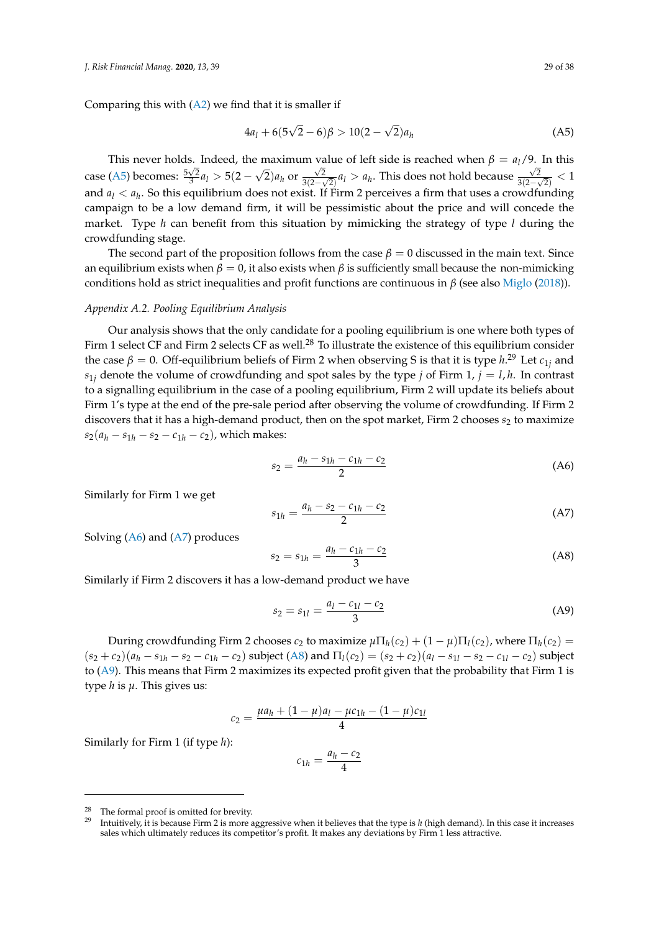Comparing this with  $(A2)$  we find that it is smaller if

<span id="page-28-1"></span>
$$
4a_1 + 6(5\sqrt{2} - 6)\beta > 10(2 - \sqrt{2})a_h
$$
 (A5)

This never holds. Indeed, the maximum value of left side is reached when  $\beta = a_l/9$ . In this case [\(A5\)](#page-28-1) becomes:  $\frac{5\sqrt{2}}{3}a_l > 5(2 -$ √  $\sqrt{2}$ )*a*<sub>h</sub> or  $\frac{\sqrt{2}}{3(2-1)}$  $\frac{\sqrt{2}}{3(2-\sqrt{2})}a_l > a_h$ . This does not hold because  $\frac{\sqrt{2}}{3(2-\sqrt{2})}$  $\frac{\sqrt{2}}{3(2-\sqrt{2})}$  < 1 and *a<sup>l</sup>* < *a<sup>h</sup>* . So this equilibrium does not exist. If Firm 2 perceives a firm that uses a crowdfunding campaign to be a low demand firm, it will be pessimistic about the price and will concede the market. Type *h* can benefit from this situation by mimicking the strategy of type *l* during the crowdfunding stage.

The second part of the proposition follows from the case  $\beta = 0$  discussed in the main text. Since an equilibrium exists when  $\beta = 0$ , it also exists when  $\beta$  is sufficiently small because the non-mimicking conditions hold as strict inequalities and profit functions are continuous in *β* (see also [Miglo](#page-36-21) [\(2018\)](#page-36-21)).

# <span id="page-28-0"></span>*Appendix A.2. Pooling Equilibrium Analysis*

Our analysis shows that the only candidate for a pooling equilibrium is one where both types of Firm 1 select CF and Firm 2 selects CF as well.<sup>28</sup> To illustrate the existence of this equilibrium consider the case  $β = 0$ . Off-equilibrium beliefs of Firm 2 when observing S is that it is type  $h^{29}$  Let  $c_{1j}$  and  $s_{1i}$  denote the volume of crowdfunding and spot sales by the type *j* of Firm 1, *j* = *l*, *h*. In contrast to a signalling equilibrium in the case of a pooling equilibrium, Firm 2 will update its beliefs about Firm 1's type at the end of the pre-sale period after observing the volume of crowdfunding. If Firm 2 discovers that it has a high-demand product, then on the spot market, Firm 2 chooses  $s_2$  to maximize  $s_2(a_h - s_{1h} - s_2 - c_{1h} - c_2)$ , which makes:

<span id="page-28-2"></span>
$$
s_2 = \frac{a_h - s_{1h} - c_{1h} - c_2}{2} \tag{A6}
$$

Similarly for Firm 1 we get

<span id="page-28-3"></span>
$$
s_{1h} = \frac{a_h - s_2 - c_{1h} - c_2}{2} \tag{A7}
$$

Solving [\(A6\)](#page-28-2) and [\(A7\)](#page-28-3) produces

<span id="page-28-4"></span>
$$
s_2 = s_{1h} = \frac{a_h - c_{1h} - c_2}{3} \tag{A8}
$$

Similarly if Firm 2 discovers it has a low-demand product we have

<span id="page-28-5"></span>
$$
s_2 = s_{1l} = \frac{a_l - c_{1l} - c_2}{3} \tag{A9}
$$

During crowdfunding Firm 2 chooses  $c_2$  to maximize  $\mu \Pi_h(c_2) + (1 - \mu) \Pi_l(c_2)$ , where  $\Pi_h(c_2) =$  $(s_2+c_2)(a_h-s_{1h}-s_2-c_{1h}-c_2)$  subject [\(A8\)](#page-28-4) and  $\Pi_l(c_2)=(s_2+c_2)(a_l-s_{1l}-s_2-c_{1l}-c_2)$  subject to [\(A9\)](#page-28-5). This means that Firm 2 maximizes its expected profit given that the probability that Firm 1 is type *h* is *µ*. This gives us:

$$
c_2 = \frac{\mu a_h + (1 - \mu)a_l - \mu c_{1h} - (1 - \mu)c_{1l}}{4}
$$

Similarly for Firm 1 (if type *h*):

$$
c_{1h} = \frac{a_h - c_2}{4}
$$

<sup>&</sup>lt;sup>28</sup> The formal proof is omitted for brevity.

<sup>29</sup> Intuitively, it is because Firm 2 is more aggressive when it believes that the type is *h* (high demand). In this case it increases sales which ultimately reduces its competitor's profit. It makes any deviations by Firm 1 less attractive.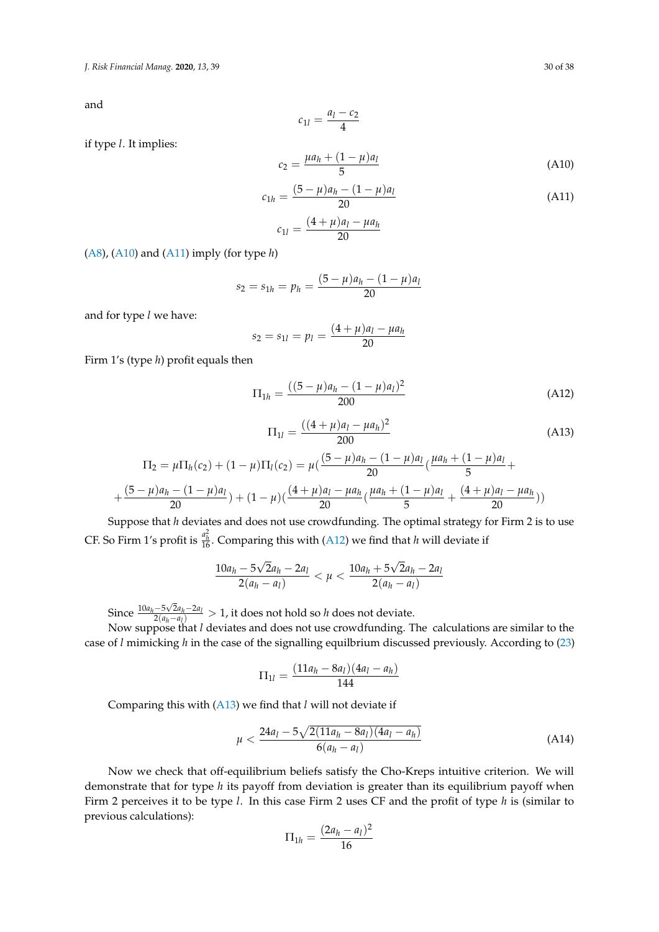*J. Risk Financial Manag.* **2020**, *13*, 39 30 of 38

and

$$
c_{1l}=\frac{a_l-c_2}{4}
$$

if type *l*. It implies:

<span id="page-29-0"></span>
$$
c_2 = \frac{\mu a_h + (1 - \mu)a_l}{5}
$$
 (A10)

<span id="page-29-1"></span>
$$
c_{1h} = \frac{(5 - \mu)a_h - (1 - \mu)a_l}{20}
$$
 (A11)

$$
c_{1l} = \frac{(4+\mu)a_l - \mu a_h}{20}
$$

[\(A8\)](#page-28-4), [\(A10\)](#page-29-0) and [\(A11\)](#page-29-1) imply (for type *h*)

$$
s_2 = s_{1h} = p_h = \frac{(5 - \mu)a_h - (1 - \mu)a_l}{20}
$$

and for type *l* we have:

$$
s_2 = s_{1l} = p_l = \frac{(4+\mu)a_l - \mu a_h}{20}
$$

Firm 1's (type *h*) profit equals then

<span id="page-29-2"></span>
$$
\Pi_{1h} = \frac{((5 - \mu)a_h - (1 - \mu)a_l)^2}{200}
$$
 (A12)

<span id="page-29-3"></span>
$$
\Pi_{1l} = \frac{((4+\mu)a_l - \mu a_h)^2}{200} \tag{A13}
$$

$$
\Pi_2 = \mu \Pi_h(c_2) + (1 - \mu) \Pi_l(c_2) = \mu \left( \frac{(5 - \mu)a_h - (1 - \mu)a_l}{20} \left( \frac{\mu a_h + (1 - \mu)a_l}{5} + \frac{(5 - \mu)a_h - (1 - \mu)a_l}{20} \right) + (1 - \mu) \left( \frac{(4 + \mu)a_l - \mu a_h}{20} \left( \frac{\mu a_h + (1 - \mu)a_l}{5} + \frac{(4 + \mu)a_l - \mu a_h}{20} \right) \right)
$$

Suppose that *h* deviates and does not use crowdfunding. The optimal strategy for Firm 2 is to use CF. So Firm 1's profit is  $\frac{a_h^2}{16}$ . Comparing this with [\(A12\)](#page-29-2) we find that *h* will deviate if

$$
\frac{10a_h - 5\sqrt{2}a_h - 2a_l}{2(a_h - a_l)} < \mu < \frac{10a_h + 5\sqrt{2}a_h - 2a_l}{2(a_h - a_l)}
$$

Since  $\frac{10a_h - 5\sqrt{2}a_h - 2a_l}{2(a_l - a_l)}$  $\frac{-5\sqrt{2}(a_h - a_l)}{2(a_h - a_l)} > 1$ , it does not hold so *h* does not deviate.

Now suppose that *l* deviates and does not use crowdfunding. The calculations are similar to the case of *l* mimicking *h* in the case of the signalling equilbrium discussed previously. According to [\(23\)](#page-12-6)

$$
\Pi_{1l} = \frac{(11a_h - 8a_l)(4a_l - a_h)}{144}
$$

Comparing this with [\(A13\)](#page-29-3) we find that *l* will not deviate if

<span id="page-29-4"></span>
$$
\mu < \frac{24a_l - 5\sqrt{2(11a_h - 8a_l)(4a_l - a_h)}}{6(a_h - a_l)}\tag{A14}
$$

Now we check that off-equilibrium beliefs satisfy the Cho-Kreps intuitive criterion. We will demonstrate that for type *h* its payoff from deviation is greater than its equilibrium payoff when Firm 2 perceives it to be type *l*. In this case Firm 2 uses CF and the profit of type *h* is (similar to previous calculations):

$$
\Pi_{1h} = \frac{(2a_h - a_l)^2}{16}
$$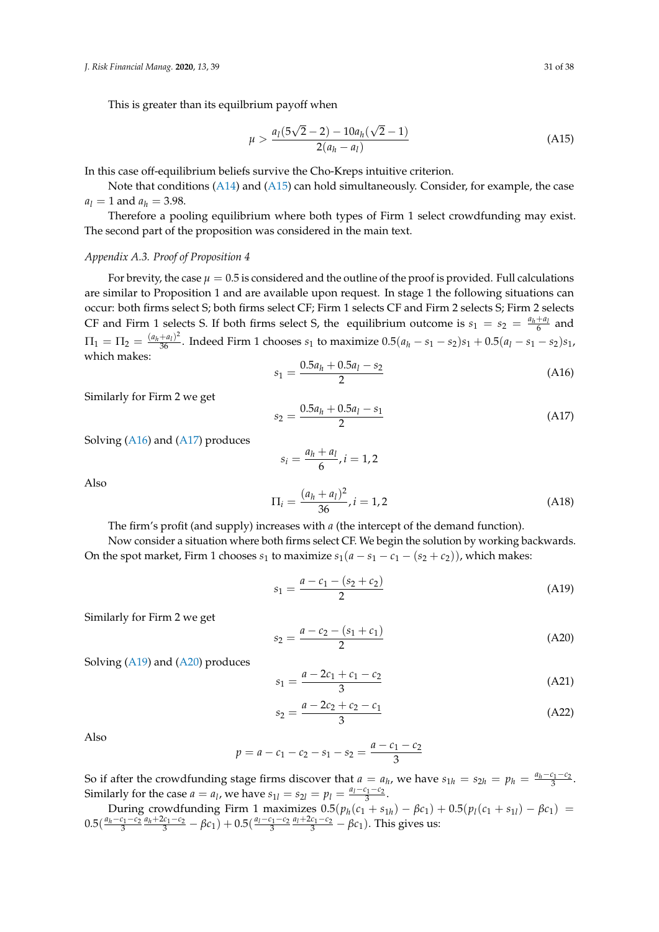This is greater than its equilbrium payoff when

<span id="page-30-1"></span>
$$
\mu > \frac{a_1(5\sqrt{2}-2) - 10a_h(\sqrt{2}-1)}{2(a_h - a_l)}
$$
\n(A15)

In this case off-equilibrium beliefs survive the Cho-Kreps intuitive criterion.

Note that conditions [\(A14\)](#page-29-4) and [\(A15\)](#page-30-1) can hold simultaneously. Consider, for example, the case  $a_l = 1$  and  $a_h = 3.98$ .

Therefore a pooling equilibrium where both types of Firm 1 select crowdfunding may exist. The second part of the proposition was considered in the main text.

### <span id="page-30-0"></span>*Appendix A.3. Proof of Proposition 4*

For brevity, the case  $\mu = 0.5$  is considered and the outline of the proof is provided. Full calculations are similar to Proposition 1 and are available upon request. In stage 1 the following situations can occur: both firms select S; both firms select CF; Firm 1 selects CF and Firm 2 selects S; Firm 2 selects CF and Firm 1 selects S. If both firms select S, the equilibrium outcome is  $s_1 = s_2 = \frac{a_h + a_l}{6}$  and  $\Pi_1 = \Pi_2 = \frac{(a_h + a_l)^2}{36}$ . Indeed Firm 1 chooses  $s_1$  to maximize  $0.5(a_h - s_1 - s_2)s_1 + 0.5(a_l - s_1 - s_2)s_1$ , which makes:

<span id="page-30-2"></span>
$$
s_1 = \frac{0.5a_h + 0.5a_l - s_2}{2} \tag{A16}
$$

Similarly for Firm 2 we get

<span id="page-30-3"></span>
$$
s_2 = \frac{0.5a_h + 0.5a_l - s_1}{2} \tag{A17}
$$

Solving [\(A16\)](#page-30-2) and [\(A17\)](#page-30-3) produces

$$
s_i = \frac{a_h + a_l}{6}, i = 1, 2
$$
  
\n
$$
\Pi_i = \frac{(a_h + a_l)^2}{36}, i = 1, 2
$$
\n(A18)

Also

The firm's profit (and supply) increases with *a* (the intercept of the demand function).

Now consider a situation where both firms select CF. We begin the solution by working backwards. On the spot market, Firm 1 chooses  $s_1$  to maximize  $s_1(a - s_1 - c_1 - (s_2 + c_2))$ , which makes:

<span id="page-30-4"></span>
$$
s_1 = \frac{a - c_1 - (s_2 + c_2)}{2} \tag{A19}
$$

Similarly for Firm 2 we get

<span id="page-30-5"></span>
$$
s_2 = \frac{a - c_2 - (s_1 + c_1)}{2} \tag{A20}
$$

Solving [\(A19\)](#page-30-4) and [\(A20\)](#page-30-5) produces

<span id="page-30-6"></span>
$$
s_1 = \frac{a - 2c_1 + c_1 - c_2}{3} \tag{A21}
$$

<span id="page-30-7"></span>
$$
s_2 = \frac{a - 2c_2 + c_2 - c_1}{3} \tag{A22}
$$

Also

$$
p = a - c_1 - c_2 - s_1 - s_2 = \frac{a - c_1 - c_2}{3}
$$

So if after the crowdfunding stage firms discover that  $a = a_h$ , we have  $s_{1h} = s_{2h} = p_h = \frac{a_h - c_1 - c_2}{3}$ . Similarly for the case  $a = a_l$ , we have  $s_{1l} = s_{2l} = p_l = \frac{a_l - c_1 - c_2}{3}$ .

During crowdfunding Firm 1 maximizes 
$$
0.5(p_h(c_1 + s_{1h}) - \beta c_1) + 0.5(p_l(c_1 + s_{1l}) - \beta c_1) = 0.5(\frac{a_h - c_1 - c_2}{3} \frac{a_h + 2c_1 - c_2}{3} - \beta c_1) + 0.5(\frac{a_l - c_1 - c_2}{3} \frac{a_l + 2c_1 - c_2}{3} - \beta c_1)
$$
. This gives us: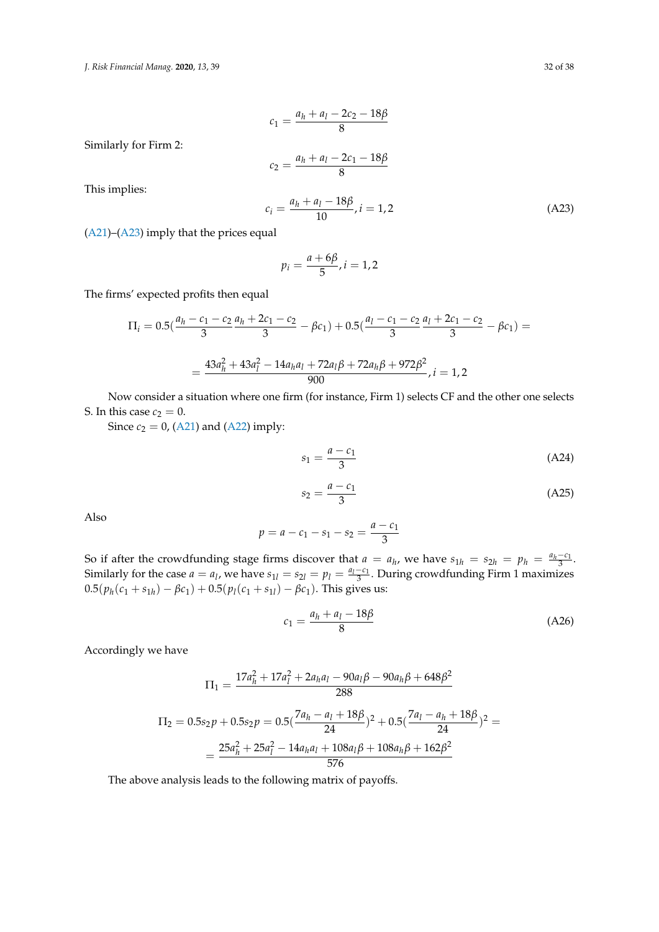*J. Risk Financial Manag.* **2020**, *13*, 39 32 of 38

$$
c_1 = \frac{a_h + a_l - 2c_2 - 18\beta}{8}
$$

Similarly for Firm 2:

$$
c_2 = \frac{a_h + a_l - 2c_1 - 18\beta}{8}
$$

This implies:

<span id="page-31-0"></span>
$$
c_i = \frac{a_h + a_l - 18\beta}{10}, i = 1, 2
$$
 (A23)

[\(A21\)](#page-30-6)–[\(A23\)](#page-31-0) imply that the prices equal

$$
p_i=\frac{a+6\beta}{5}, i=1,2
$$

The firms' expected profits then equal

$$
\Pi_{i} = 0.5\left(\frac{a_{h} - c_{1} - c_{2}}{3} \frac{a_{h} + 2c_{1} - c_{2}}{3} - \beta c_{1}\right) + 0.5\left(\frac{a_{l} - c_{1} - c_{2}}{3} \frac{a_{l} + 2c_{1} - c_{2}}{3} - \beta c_{1}\right) =
$$
\n
$$
= \frac{43a_{h}^{2} + 43a_{l}^{2} - 14a_{h}a_{l} + 72a_{l}\beta + 72a_{h}\beta + 972\beta^{2}}{900}, i = 1, 2
$$

Now consider a situation where one firm (for instance, Firm 1) selects CF and the other one selects S. In this case  $c_2 = 0$ .

Since  $c_2 = 0$ , [\(A21\)](#page-30-6) and [\(A22\)](#page-30-7) imply:

$$
s_1 = \frac{a - c_1}{3} \tag{A24}
$$

$$
s_2 = \frac{a - c_1}{3} \tag{A25}
$$

Also

$$
p = a - c_1 - s_1 - s_2 = \frac{a - c_1}{3}
$$

So if after the crowdfunding stage firms discover that  $a = a_h$ , we have  $s_{1h} = s_{2h} = p_h = \frac{a_h - c_1}{3}$ . Similarly for the case  $a = a_1$ , we have  $s_{11} = s_{21} = p_1 = \frac{a_1 - c_1}{3}$ . During crowdfunding Firm 1 maximizes  $0.5(p_h(c_1 + s_{1h}) - \beta c_1) + 0.5(p_l(c_1 + s_{1l}) - \beta c_1)$ . This gives us:

$$
c_1 = \frac{a_h + a_l - 18\beta}{8} \tag{A26}
$$

Accordingly we have

$$
\Pi_1 = \frac{17a_h^2 + 17a_l^2 + 2a_ha_l - 90a_l\beta - 90a_h\beta + 648\beta^2}{288}
$$
\n
$$
\Pi_2 = 0.5s_2p + 0.5s_2p = 0.5\left(\frac{7a_h - a_l + 18\beta}{24}\right)^2 + 0.5\left(\frac{7a_l - a_h + 18\beta}{24}\right)^2 =
$$
\n
$$
= \frac{25a_h^2 + 25a_l^2 - 14a_ha_l + 108a_l\beta + 108a_h\beta + 162\beta^2}{576}
$$

The above analysis leads to the following matrix of payoffs.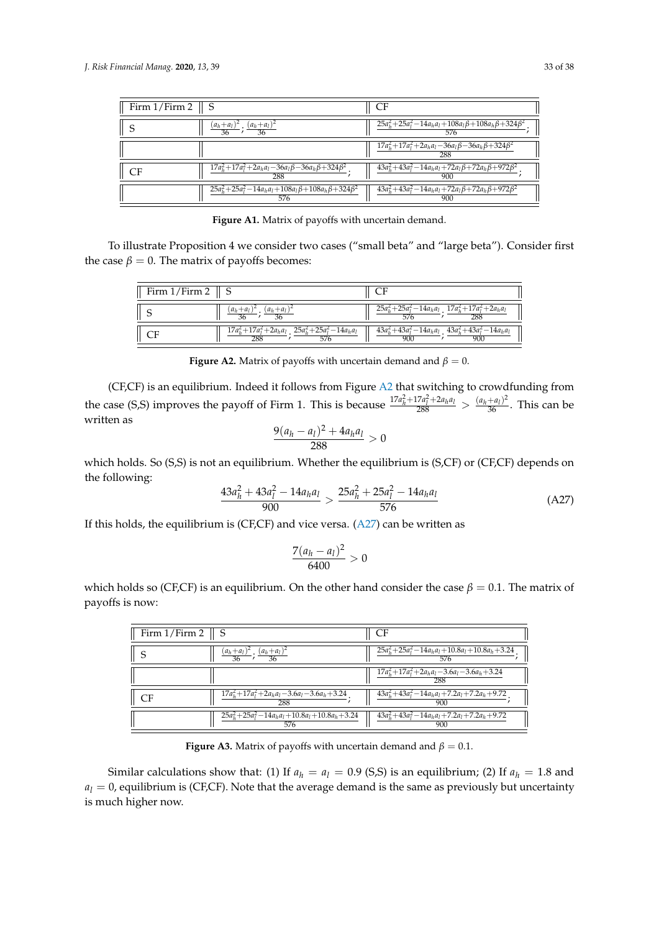| Firm $1/Firm 2 \parallel S$ |                                                                                     | CF                                                                                   |
|-----------------------------|-------------------------------------------------------------------------------------|--------------------------------------------------------------------------------------|
|                             | $\frac{(a_h+a_l)^2}{36}$ ; $\frac{(a_h+a_l)^2}{36}$                                 | $\frac{25a_h^2 + 25a_l^2 - 14a_ha_l + 108a_l\beta + 108a_h\beta + 324\beta^2}{576};$ |
|                             |                                                                                     | $\frac{17a_h^2 + 17a_l^2 + 2a_ha_l - 36a_l\beta - 36a_h\beta + 324\beta^2}{288}$     |
| <b>CF</b>                   | $\frac{17a_h^2+17a_l^2+2a_ha_l-36a_l\beta-36a_h\beta+324\beta^2}{288};$             | $\frac{43a_h^2 + 43a_l^2 - 14a_ha_l + 72a_l\beta + 72a_h\beta + 972\beta^2}{900};$   |
|                             | $\frac{25a_h^2 + 25a_l^2 - 14a_ha_l + 108a_l\beta + 108a_h\beta + 324\beta^2}{576}$ | $43a_h^2 + 43a_l^2 - 14a_ha_l + 72a_l\beta + 72a_h\beta + 972\beta^2$<br>900         |

Figure A1. Matrix of payoffs with uncertain demand.

<span id="page-32-0"></span>To illustrate Proposition 4 we consider two cases ("small beta" and "large beta"). Consider first the case  $\beta = 0$ . The matrix of payoffs becomes:

| Firm $1/Firm 2$    S |                                                     |                                                                                                                                                                                                               |
|----------------------|-----------------------------------------------------|---------------------------------------------------------------------------------------------------------------------------------------------------------------------------------------------------------------|
|                      | $\frac{(a_h+a_l)^2}{2} \cdot \frac{(a_h+a_l)^2}{2}$ | $\frac{25a_h^2 + 25a_l^2 - 14a_ha_l}{576}$ ; $\frac{17a_h^2 + 17a_l^2 + 2a_ha_l}{288}$                                                                                                                        |
|                      |                                                     | $\frac{17 a_h^2 + 17 a_l^2 + 2 a_h a_l}{288}$ ; $\frac{25 a_h^2 + 25 a_l^2 - 14 a_h a_l}{576}$ $\frac{43 a_h^2 + 43 a_l^2 - 14 a_h a_l}{900}$<br>(a)<br>$\frac{43 a_h^2 + 43 a_l^2 - 14 a_h a_l}{900}$<br>900 |

**Figure A2.** Matrix of payoffs with uncertain demand and  $\beta = 0$ .

(CF,CF) is an equilibrium. Indeed it follows from Figure [A2](#page-32-0) that switching to crowdfunding from the case (S,S) improves the payoff of Firm 1. This is because  $\frac{17a_h^2+17a_l^2+2a_ha_l}{288} > \frac{(a_h+a_l)^2}{36}$ . This can be written as

$$
\frac{9(a_h-a_l)^2+4a_ha_l}{288}>0
$$

which holds. So (S,S) is not an equilibrium. Whether the equilibrium is (S,CF) or (CF,CF) depends on the following:

<span id="page-32-1"></span>
$$
\frac{43a_h^2 + 43a_l^2 - 14a_ha_l}{900} > \frac{25a_h^2 + 25a_l^2 - 14a_ha_l}{576}
$$
 (A27)

If this holds, the equilibrium is (CF,CF) and vice versa. [\(A27\)](#page-32-1) can be written as

$$
\frac{7(a_h-a_l)^2}{6400}>0
$$

which holds so (CF,CF) is an equilibrium. On the other hand consider the case  $\beta = 0.1$ . The matrix of payoffs is now:

| Firm $1/Firm 2 \parallel S$                                              | СF                                                                                                                               |
|--------------------------------------------------------------------------|----------------------------------------------------------------------------------------------------------------------------------|
| $\frac{(a_h+a_l)^2}{36}$ ; $\frac{(a_h+a_l)^2}{36}$                      | $\frac{25a_h^2 + 25a_l^2 - 14a_ha_l + 10.8a_l + 10.8a_h + 3.24}{25a_h^2 + 25a_l^2 - 14a_ha_l + 10.8a_l + 10.8a_h + 3.24}$<br>576 |
|                                                                          | $\frac{17a_h^2+17a_l^2+2a_ha_l-3.6a_l-3.6a_h+3.24}{h}$<br>288                                                                    |
| $\frac{17a_h^2 + 17a_l^2 + 2a_ha_l - 3.6a_l - 3.6a_h + 3.24}{288}$<br>CF | $\frac{43a_h^2 + 43a_l^2 - 14a_ha_l + 7.2a_l + 7.2a_h + 9.72}{4a_h^2 + 4.2a_l + 7.2a_h + 9.72}$<br>900                           |
| $25a_h^2 + 25a_l^2 - 14a_ha_l + 10.8a_l + 10.8a_h + 3.24$<br>576         | $43a_h^2 + 43a_l^2 - 14a_ha_l + 7.2a_l + 7.2a_h + 9.72$<br>900                                                                   |

**Figure A3.** Matrix of payoffs with uncertain demand and  $\beta = 0.1$ .

Similar calculations show that: (1) If  $a_h = a_l = 0.9$  (S,S) is an equilibrium; (2) If  $a_h = 1.8$  and  $a_l = 0$ , equilibrium is (CF,CF). Note that the average demand is the same as previously but uncertainty is much higher now.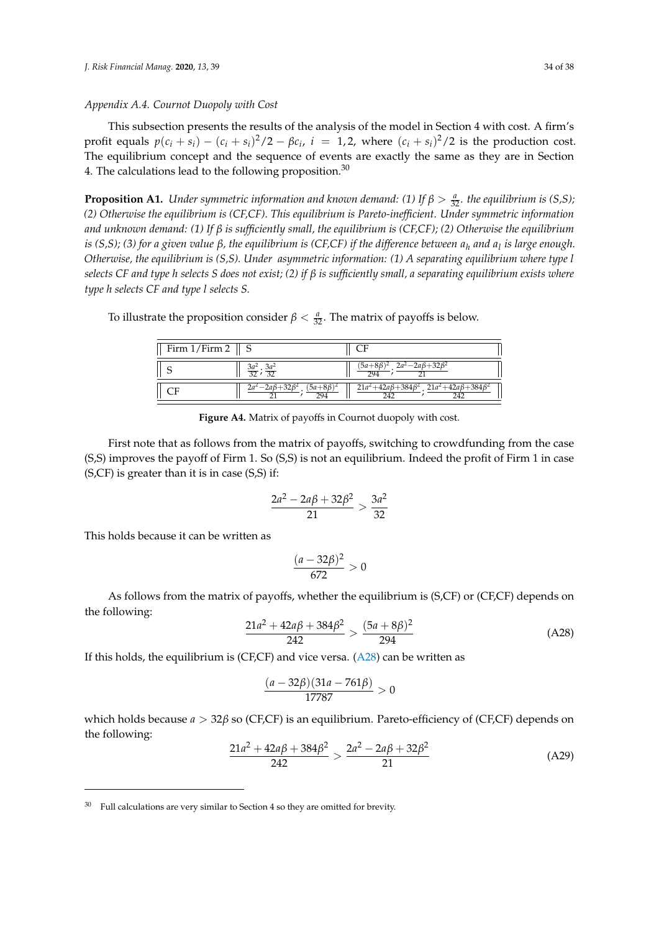# <span id="page-33-0"></span>*Appendix A.4. Cournot Duopoly with Cost*

This subsection presents the results of the analysis of the model in Section 4 with cost. A firm's profit equals  $p(c_i + s_i) - (c_i + s_i)^2/2 - \beta c_i$ ,  $i = 1, 2$ , where  $(c_i + s_i)^2/2$  is the production cost. The equilibrium concept and the sequence of events are exactly the same as they are in Section 4. The calculations lead to the following proposition.

**Proposition A1.** *Under symmetric information and known demand:* (1) If  $\beta > \frac{a}{32}$ *. the equilibrium is* (S,S); *(2) Otherwise the equilibrium is (CF,CF). This equilibrium is Pareto-inefficient. Under symmetric information and unknown demand: (1) If β is sufficiently small, the equilibrium is (CF,CF); (2) Otherwise the equilibrium is (S,S); (3) for a given value β, the equilibrium is (CF,CF) if the difference between a<sup>h</sup> and a<sup>l</sup> is large enough. Otherwise, the equilibrium is (S,S). Under asymmetric information: (1) A separating equilibrium where type l selects CF and type h selects S does not exist; (2) if β is sufficiently small, a separating equilibrium exists where type h selects CF and type l selects S.*

To illustrate the proposition consider  $\beta < \frac{a}{32}$ . The matrix of payoffs is below.

| Firm 1/Firm 2 |                                              |                                                                           |
|---------------|----------------------------------------------|---------------------------------------------------------------------------|
|               | $\frac{3a^2}{32}$ ; $\frac{3a^2}{32}$        | $\sqrt{2a^2-2a\beta+32\beta^2}$                                           |
|               | $2a^2 - 2a\beta + 32\beta$<br>$5a+8b$<br>794 | $21a^2 + 42a\beta + 384\beta^2$<br>$21a^2 + 42a\beta + 384\beta^2$<br>747 |

**Figure A4.** Matrix of payoffs in Cournot duopoly with cost.

First note that as follows from the matrix of payoffs, switching to crowdfunding from the case (S,S) improves the payoff of Firm 1. So (S,S) is not an equilibrium. Indeed the profit of Firm 1 in case (S,CF) is greater than it is in case (S,S) if:

$$
\frac{2a^2 - 2a\beta + 32\beta^2}{21} > \frac{3a^2}{32}
$$

This holds because it can be written as

$$
\frac{(a-32\beta)^2}{672}>0
$$

As follows from the matrix of payoffs, whether the equilibrium is (S,CF) or (CF,CF) depends on the following:

<span id="page-33-1"></span>
$$
\frac{21a^2 + 42a\beta + 384\beta^2}{242} > \frac{(5a + 8\beta)^2}{294}
$$
 (A28)

If this holds, the equilibrium is (CF,CF) and vice versa.  $(A28)$  can be written as

$$
\frac{(a-32\beta)(31a-761\beta)}{17787} > 0
$$

which holds because *a* > 32*β* so (CF,CF) is an equilibrium. Pareto-efficiency of (CF,CF) depends on the following:

<span id="page-33-2"></span>
$$
\frac{21a^2 + 42a\beta + 384\beta^2}{242} > \frac{2a^2 - 2a\beta + 32\beta^2}{21}
$$
 (A29)

Full calculations are very similar to Section 4 so they are omitted for brevity.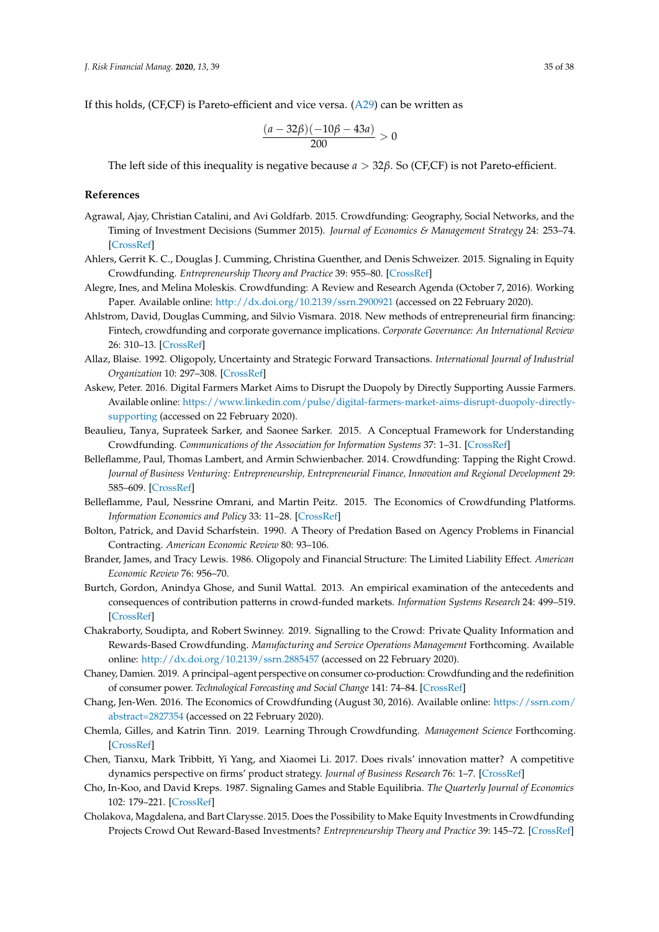If this holds, (CF,CF) is Pareto-efficient and vice versa. [\(A29\)](#page-33-2) can be written as

$$
\frac{(a-32\beta)(-10\beta-43a)}{200} > 0
$$

The left side of this inequality is negative because *a* > 32*β*. So (CF,CF) is not Pareto-efficient.

#### **References**

- <span id="page-34-9"></span>Agrawal, Ajay, Christian Catalini, and Avi Goldfarb. 2015. Crowdfunding: Geography, Social Networks, and the Timing of Investment Decisions (Summer 2015). *Journal of Economics & Management Strategy* 24: 253–74. [\[CrossRef\]](http://dx.doi.org/10.1111/jems.12093)
- <span id="page-34-0"></span>Ahlers, Gerrit K. C., Douglas J. Cumming, Christina Guenther, and Denis Schweizer. 2015. Signaling in Equity Crowdfunding. *Entrepreneurship Theory and Practice* 39: 955–80. [\[CrossRef\]](http://dx.doi.org/10.1111/etap.12157)
- <span id="page-34-3"></span>Alegre, Ines, and Melina Moleskis. Crowdfunding: A Review and Research Agenda (October 7, 2016). Working Paper. Available online: <http://dx.doi.org/10.2139/ssrn.2900921> (accessed on 22 February 2020).
- <span id="page-34-16"></span>Ahlstrom, David, Douglas Cumming, and Silvio Vismara. 2018. New methods of entrepreneurial firm financing: Fintech, crowdfunding and corporate governance implications. *Corporate Governance: An International Review* 26: 310–13. [\[CrossRef\]](http://dx.doi.org/10.1111/corg.12258)
- <span id="page-34-2"></span>Allaz, Blaise. 1992. Oligopoly, Uncertainty and Strategic Forward Transactions. *International Journal of Industrial Organization* 10: 297–308. [\[CrossRef\]](http://dx.doi.org/10.1016/0167-7187(92)90020-Y)
- <span id="page-34-1"></span>Askew, Peter. 2016. Digital Farmers Market Aims to Disrupt the Duopoly by Directly Supporting Aussie Farmers. Available online: [https://www.linkedin.com/pulse/digital-farmers-market-aims-disrupt-duopoly-directly](https://www.linkedin.com/pulse/digital-farmers-market-aims-disrupt-duopoly-directly-supporting)[supporting](https://www.linkedin.com/pulse/digital-farmers-market-aims-disrupt-duopoly-directly-supporting) (accessed on 22 February 2020).
- <span id="page-34-5"></span>Beaulieu, Tanya, Suprateek Sarker, and Saonee Sarker. 2015. A Conceptual Framework for Understanding Crowdfunding. *Communications of the Association for Information Systems* 37: 1–31. [\[CrossRef\]](http://dx.doi.org/10.17705/1CAIS.03701)
- <span id="page-34-4"></span>Belleflamme, Paul, Thomas Lambert, and Armin Schwienbacher. 2014. Crowdfunding: Tapping the Right Crowd. *Journal of Business Venturing: Entrepreneurship, Entrepreneurial Finance, Innovation and Regional Development* 29: 585–609. [\[CrossRef\]](http://dx.doi.org/10.1016/j.jbusvent.2013.07.003)
- <span id="page-34-17"></span>Belleflamme, Paul, Nessrine Omrani, and Martin Peitz. 2015. The Economics of Crowdfunding Platforms. *Information Economics and Policy* 33: 11–28. [\[CrossRef\]](http://dx.doi.org/10.1016/j.infoecopol.2015.08.003)
- <span id="page-34-15"></span>Bolton, Patrick, and David Scharfstein. 1990. A Theory of Predation Based on Agency Problems in Financial Contracting. *American Economic Review* 80: 93–106.
- <span id="page-34-14"></span>Brander, James, and Tracy Lewis. 1986. Oligopoly and Financial Structure: The Limited Liability Effect. *American Economic Review* 76: 956–70.
- <span id="page-34-8"></span>Burtch, Gordon, Anindya Ghose, and Sunil Wattal. 2013. An empirical examination of the antecedents and consequences of contribution patterns in crowd-funded markets. *Information Systems Research* 24: 499–519. [\[CrossRef\]](http://dx.doi.org/10.1287/isre.1120.0468)
- <span id="page-34-7"></span>Chakraborty, Soudipta, and Robert Swinney. 2019. Signalling to the Crowd: Private Quality Information and Rewards-Based Crowdfunding. *Manufacturing and Service Operations Management* Forthcoming. Available online: <http://dx.doi.org/10.2139/ssrn.2885457> (accessed on 22 February 2020).
- <span id="page-34-6"></span>Chaney, Damien. 2019. A principal–agent perspective on consumer co-production: Crowdfunding and the redefinition of consumer power. *Technological Forecasting and Social Change* 141: 74–84. [\[CrossRef\]](http://dx.doi.org/10.1016/j.techfore.2018.06.013)
- <span id="page-34-10"></span>Chang, Jen-Wen. 2016. The Economics of Crowdfunding (August 30, 2016). Available online: [https://ssrn.com/](https://ssrn.com/abstract=2827354) [abstract=2827354](https://ssrn.com/abstract=2827354) (accessed on 22 February 2020).
- <span id="page-34-11"></span>Chemla, Gilles, and Katrin Tinn. 2019. Learning Through Crowdfunding. *Management Science* Forthcoming. [\[CrossRef\]](http://dx.doi.org/10.1287/mnsc.2018.3278)
- <span id="page-34-18"></span>Chen, Tianxu, Mark Tribbitt, Yi Yang, and Xiaomei Li. 2017. Does rivals' innovation matter? A competitive dynamics perspective on firms' product strategy. *Journal of Business Research* 76: 1–7. [\[CrossRef\]](http://dx.doi.org/10.1016/j.jbusres.2017.02.016)
- <span id="page-34-13"></span>Cho, In-Koo, and David Kreps. 1987. Signaling Games and Stable Equilibria. *The Quarterly Journal of Economics* 102: 179–221. [\[CrossRef\]](http://dx.doi.org/10.2307/1885060)
- <span id="page-34-12"></span>Cholakova, Magdalena, and Bart Clarysse. 2015. Does the Possibility to Make Equity Investments in Crowdfunding Projects Crowd Out Reward-Based Investments? *Entrepreneurship Theory and Practice* 39: 145–72. [\[CrossRef\]](http://dx.doi.org/10.1111/etap.12139)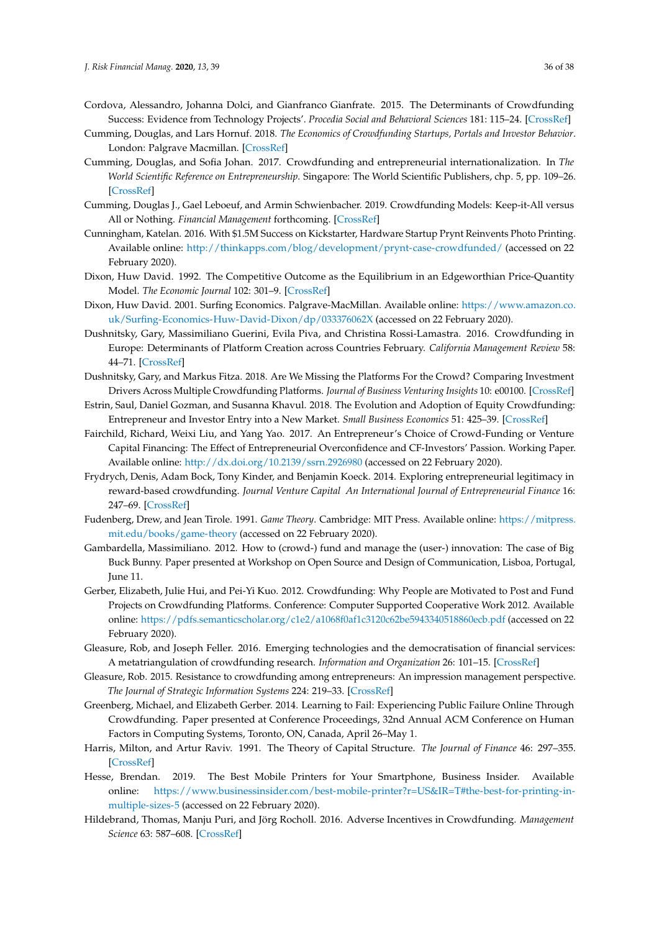- <span id="page-35-13"></span>Cordova, Alessandro, Johanna Dolci, and Gianfranco Gianfrate. 2015. The Determinants of Crowdfunding Success: Evidence from Technology Projects'. *Procedia Social and Behavioral Sciences* 181: 115–24. [\[CrossRef\]](http://dx.doi.org/10.1016/j.sbspro.2015.04.872)
- <span id="page-35-3"></span>Cumming, Douglas, and Lars Hornuf. 2018. *The Economics of Crowdfunding Startups, Portals and Investor Behavior*. London: Palgrave Macmillan. [\[CrossRef\]](http://dx.doi.org/10.1007/978-3-319-66119-3)
- <span id="page-35-2"></span>Cumming, Douglas, and Sofia Johan. 2017. Crowdfunding and entrepreneurial internationalization. In *The World Scientific Reference on Entrepreneurship*. Singapore: The World Scientific Publishers, chp. 5, pp. 109–26. [\[CrossRef\]](http://dx.doi.org/10.1142/9789813220607_0005)
- <span id="page-35-5"></span>Cumming, Douglas J., Gael Leboeuf, and Armin Schwienbacher. 2019. Crowdfunding Models: Keep-it-All versus All or Nothing. *Financial Management* forthcoming. [\[CrossRef\]](http://dx.doi.org/10.1111/fima.12262)
- <span id="page-35-0"></span>Cunningham, Katelan. 2016. With \$1.5M Success on Kickstarter, Hardware Startup Prynt Reinvents Photo Printing. Available online: <http://thinkapps.com/blog/development/prynt-case-crowdfunded/> (accessed on 22 February 2020).
- <span id="page-35-19"></span>Dixon, Huw David. 1992. The Competitive Outcome as the Equilibrium in an Edgeworthian Price-Quantity Model. *The Economic Journal* 102: 301–9. [\[CrossRef\]](http://dx.doi.org/10.2307/2234515)
- <span id="page-35-17"></span>Dixon, Huw David. 2001. Surfing Economics. Palgrave-MacMillan. Available online: [https://www.amazon.co.](https://www.amazon.co.uk/Surfing-Economics-Huw-David-Dixon/dp/033376062X) [uk/Surfing-Economics-Huw-David-Dixon/dp/033376062X](https://www.amazon.co.uk/Surfing-Economics-Huw-David-Dixon/dp/033376062X) (accessed on 22 February 2020).
- <span id="page-35-15"></span>Dushnitsky, Gary, Massimiliano Guerini, Evila Piva, and Christina Rossi-Lamastra. 2016. Crowdfunding in Europe: Determinants of Platform Creation across Countries February. *California Management Review* 58: 44–71. [\[CrossRef\]](http://dx.doi.org/10.1525/cmr.2016.58.2.44)
- <span id="page-35-20"></span>Dushnitsky, Gary, and Markus Fitza. 2018. Are We Missing the Platforms For the Crowd? Comparing Investment Drivers Across Multiple Crowdfunding Platforms. *Journal of Business Venturing Insights* 10: e00100. [\[CrossRef\]](http://dx.doi.org/10.1016/j.jbvi.2018.e00100)
- <span id="page-35-4"></span>Estrin, Saul, Daniel Gozman, and Susanna Khavul. 2018. The Evolution and Adoption of Equity Crowdfunding: Entrepreneur and Investor Entry into a New Market. *Small Business Economics* 51: 425–39. [\[CrossRef\]](http://dx.doi.org/10.1007/s11187-018-0009-5)
- <span id="page-35-6"></span>Fairchild, Richard, Weixi Liu, and Yang Yao. 2017. An Entrepreneur's Choice of Crowd-Funding or Venture Capital Financing: The Effect of Entrepreneurial Overconfidence and CF-Investors' Passion. Working Paper. Available online: <http://dx.doi.org/10.2139/ssrn.2926980> (accessed on 22 February 2020).
- <span id="page-35-10"></span>Frydrych, Denis, Adam Bock, Tony Kinder, and Benjamin Koeck. 2014. Exploring entrepreneurial legitimacy in reward-based crowdfunding. *Journal Venture Capital An International Journal of Entrepreneurial Finance* 16: 247–69. [\[CrossRef\]](http://dx.doi.org/10.1080/13691066.2014.916512)
- <span id="page-35-14"></span>Fudenberg, Drew, and Jean Tirole. 1991. *Game Theory*. Cambridge: MIT Press. Available online: [https://mitpress.](https://mitpress.mit.edu/books/game-theory) [mit.edu/books/game-theory](https://mitpress.mit.edu/books/game-theory) (accessed on 22 February 2020).
- <span id="page-35-9"></span>Gambardella, Massimiliano. 2012. How to (crowd-) fund and manage the (user-) innovation: The case of Big Buck Bunny. Paper presented at Workshop on Open Source and Design of Communication, Lisboa, Portugal, June 11.
- <span id="page-35-8"></span>Gerber, Elizabeth, Julie Hui, and Pei-Yi Kuo. 2012. Crowdfunding: Why People are Motivated to Post and Fund Projects on Crowdfunding Platforms. Conference: Computer Supported Cooperative Work 2012. Available online: <https://pdfs.semanticscholar.org/c1e2/a1068f0af1c3120c62be5943340518860ecb.pdf> (accessed on 22 February 2020).
- <span id="page-35-7"></span>Gleasure, Rob, and Joseph Feller. 2016. Emerging technologies and the democratisation of financial services: A metatriangulation of crowdfunding research. *Information and Organization* 26: 101–15. [\[CrossRef\]](http://dx.doi.org/10.1016/j.infoandorg.2016.09.001)
- <span id="page-35-11"></span>Gleasure, Rob. 2015. Resistance to crowdfunding among entrepreneurs: An impression management perspective. *The Journal of Strategic Information Systems* 224: 219–33. [\[CrossRef\]](http://dx.doi.org/10.1016/j.jsis.2015.09.001)
- <span id="page-35-18"></span>Greenberg, Michael, and Elizabeth Gerber. 2014. Learning to Fail: Experiencing Public Failure Online Through Crowdfunding. Paper presented at Conference Proceedings, 32nd Annual ACM Conference on Human Factors in Computing Systems, Toronto, ON, Canada, April 26–May 1.
- <span id="page-35-16"></span>Harris, Milton, and Artur Raviv. 1991. The Theory of Capital Structure. *The Journal of Finance* 46: 297–355. [\[CrossRef\]](http://dx.doi.org/10.1111/j.1540-6261.1991.tb03753.x)
- <span id="page-35-1"></span>Hesse, Brendan. 2019. The Best Mobile Printers for Your Smartphone, Business Insider. Available online: [https://www.businessinsider.com/best-mobile-printer?r=US&IR=T#the-best-for-printing-in](https://www.businessinsider.com/best-mobile-printer?r=US&IR=T#the-best-for-printing-in-multiple-sizes-5)[multiple-sizes-5](https://www.businessinsider.com/best-mobile-printer?r=US&IR=T#the-best-for-printing-in-multiple-sizes-5) (accessed on 22 February 2020).
- <span id="page-35-12"></span>Hildebrand, Thomas, Manju Puri, and Jörg Rocholl. 2016. Adverse Incentives in Crowdfunding. *Management Science* 63: 587–608. [\[CrossRef\]](http://dx.doi.org/10.1287/mnsc.2015.2339)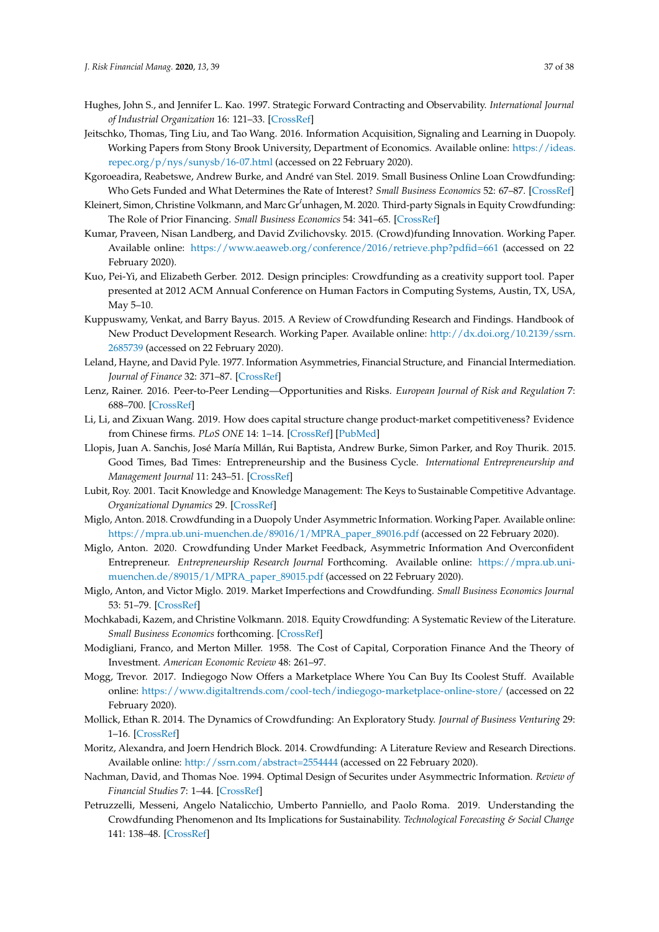- <span id="page-36-1"></span>Hughes, John S., and Jennifer L. Kao. 1997. Strategic Forward Contracting and Observability. *International Journal of Industrial Organization* 16: 121–33. [\[CrossRef\]](http://dx.doi.org/10.1016/S0167-7187(96)01036-3)
- <span id="page-36-19"></span>Jeitschko, Thomas, Ting Liu, and Tao Wang. 2016. Information Acquisition, Signaling and Learning in Duopoly. Working Papers from Stony Brook University, Department of Economics. Available online: [https://ideas.](https://ideas.repec.org/p/nys/sunysb/16-07.html) [repec.org/p/nys/sunysb/16-07.html](https://ideas.repec.org/p/nys/sunysb/16-07.html) (accessed on 22 February 2020).
- <span id="page-36-15"></span>Kgoroeadira, Reabetswe, Andrew Burke, and André van Stel. 2019. Small Business Online Loan Crowdfunding: Who Gets Funded and What Determines the Rate of Interest? *Small Business Economics* 52: 67–87. [\[CrossRef\]](http://dx.doi.org/10.1007/s11187-017-9986-z)
- <span id="page-36-9"></span>Kleinert, Simon, Christine Volkmann, and Marc Gr´'unhagen, M. 2020. Third-party Signals in Equity Crowdfunding: The Role of Prior Financing. *Small Business Economics* 54: 341–65. [\[CrossRef\]](http://dx.doi.org/10.1007/s11187-018-0125-2)
- <span id="page-36-10"></span>Kumar, Praveen, Nisan Landberg, and David Zvilichovsky. 2015. (Crowd)funding Innovation. Working Paper. Available online: <https://www.aeaweb.org/conference/2016/retrieve.php?pdfid=661> (accessed on 22 February 2020).
- <span id="page-36-7"></span>Kuo, Pei-Yi, and Elizabeth Gerber. 2012. Design principles: Crowdfunding as a creativity support tool. Paper presented at 2012 ACM Annual Conference on Human Factors in Computing Systems, Austin, TX, USA, May 5–10.
- <span id="page-36-3"></span>Kuppuswamy, Venkat, and Barry Bayus. 2015. A Review of Crowdfunding Research and Findings. Handbook of New Product Development Research. Working Paper. Available online: [http://dx.doi.org/10.2139/ssrn.](http://dx.doi.org/10.2139/ssrn.2685739) [2685739](http://dx.doi.org/10.2139/ssrn.2685739) (accessed on 22 February 2020).
- <span id="page-36-17"></span>Leland, Hayne, and David Pyle. 1977. Information Asymmetries, Financial Structure, and Financial Intermediation. *Journal of Finance* 32: 371–87. [\[CrossRef\]](http://dx.doi.org/10.2307/2326770)
- <span id="page-36-14"></span>Lenz, Rainer. 2016. Peer-to-Peer Lending—Opportunities and Risks. *European Journal of Risk and Regulation* 7: 688–700. [\[CrossRef\]](http://dx.doi.org/10.1017/S1867299X00010126)
- <span id="page-36-20"></span>Li, Li, and Zixuan Wang. 2019. How does capital structure change product-market competitiveness? Evidence from Chinese firms. *PLoS ONE* 14: 1–14. [\[CrossRef\]](http://dx.doi.org/10.1371/journal.pone.0210618) [\[PubMed\]](http://www.ncbi.nlm.nih.gov/pubmed/30721237)
- <span id="page-36-12"></span>Llopis, Juan A. Sanchis, José María Millán, Rui Baptista, Andrew Burke, Simon Parker, and Roy Thurik. 2015. Good Times, Bad Times: Entrepreneurship and the Business Cycle. *International Entrepreneurship and Management Journal* 11: 243–51. [\[CrossRef\]](http://dx.doi.org/10.1007/s11365-015-0361-8)
- <span id="page-36-18"></span>Lubit, Roy. 2001. Tacit Knowledge and Knowledge Management: The Keys to Sustainable Competitive Advantage. *Organizational Dynamics* 29. [\[CrossRef\]](http://dx.doi.org/10.1016/S0090-2616(01)00026-2)
- <span id="page-36-21"></span>Miglo, Anton. 2018. Crowdfunding in a Duopoly Under Asymmetric Information. Working Paper. Available online: [https://mpra.ub.uni-muenchen.de/89016/1/MPRA\\_paper\\_89016.pdf](https://mpra.ub.uni-muenchen.de/89016/1/MPRA_paper_89016.pdf) (accessed on 22 February 2020).
- <span id="page-36-13"></span>Miglo, Anton. 2020. Crowdfunding Under Market Feedback, Asymmetric Information And Overconfident Entrepreneur. *Entrepreneurship Research Journal* Forthcoming. Available online: [https://mpra.ub.uni](https://mpra.ub.uni-muenchen.de/89015/1/MPRA_paper_89015.pdf)[muenchen.de/89015/1/MPRA\\_paper\\_89015.pdf](https://mpra.ub.uni-muenchen.de/89015/1/MPRA_paper_89015.pdf) (accessed on 22 February 2020).
- <span id="page-36-6"></span>Miglo, Anton, and Victor Miglo. 2019. Market Imperfections and Crowdfunding. *Small Business Economics Journal* 53: 51–79. [\[CrossRef\]](http://dx.doi.org/10.1007/s11187-018-0037-1)
- <span id="page-36-4"></span>Mochkabadi, Kazem, and Christine Volkmann. 2018. Equity Crowdfunding: A Systematic Review of the Literature. *Small Business Economics* forthcoming. [\[CrossRef\]](http://dx.doi.org/10.1007/s11187-018-0081-x)
- <span id="page-36-16"></span>Modigliani, Franco, and Merton Miller. 1958. The Cost of Capital, Corporation Finance And the Theory of Investment. *American Economic Review* 48: 261–97.
- <span id="page-36-0"></span>Mogg, Trevor. 2017. Indiegogo Now Offers a Marketplace Where You Can Buy Its Coolest Stuff. Available online: <https://www.digitaltrends.com/cool-tech/indiegogo-marketplace-online-store/> (accessed on 22 February 2020).
- <span id="page-36-8"></span>Mollick, Ethan R. 2014. The Dynamics of Crowdfunding: An Exploratory Study. *Journal of Business Venturing* 29: 1–16. [\[CrossRef\]](http://dx.doi.org/10.1016/j.jbusvent.2013.06.005)
- <span id="page-36-2"></span>Moritz, Alexandra, and Joern Hendrich Block. 2014. Crowdfunding: A Literature Review and Research Directions. Available online: <http://ssrn.com/abstract=2554444> (accessed on 22 February 2020).
- <span id="page-36-11"></span>Nachman, David, and Thomas Noe. 1994. Optimal Design of Securites under Asymmectric Information. *Review of Financial Studies* 7: 1–44. [\[CrossRef\]](http://dx.doi.org/10.1093/rfs/7.1.1)
- <span id="page-36-5"></span>Petruzzelli, Messeni, Angelo Natalicchio, Umberto Panniello, and Paolo Roma. 2019. Understanding the Crowdfunding Phenomenon and Its Implications for Sustainability. *Technological Forecasting & Social Change* 141: 138–48. [\[CrossRef\]](http://dx.doi.org/10.1016/j.techfore.2018.10.002)